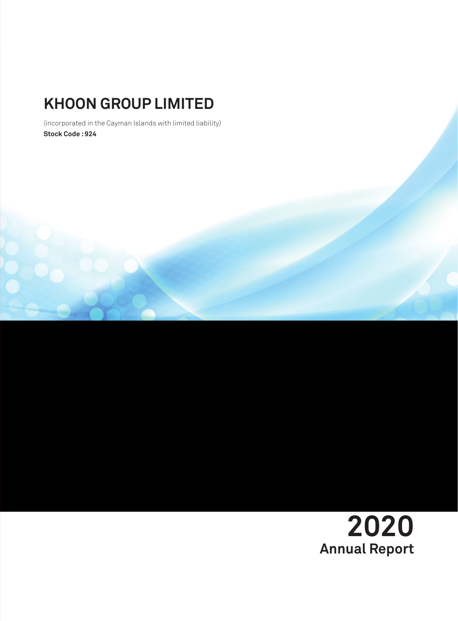# **KHOON GrOUP LIMITED**

(incorporated in the Cayman Islands with limited liability) **Stock Code : 924**

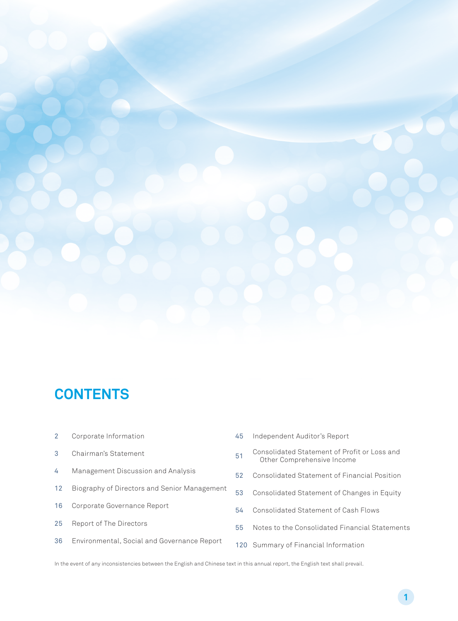

# **CONTENTS**

- Corporate Information
- Chairman's Statement
- Management Discussion and Analysis
- Biography of Directors and Senior Management
- Corporate Governance Report
- Report of The Directors
- Environmental, Social and Governance Report
- Independent Auditor's Report
- Consolidated Statement of Profit or Loss and Other Comprehensive Income
- Consolidated Statement of Financial Position
- Consolidated Statement of Changes in Equity
- Consolidated Statement of Cash Flows
- Notes to the Consolidated Financial Statements
- Summary of Financial Information

In the event of any inconsistencies between the English and Chinese text in this annual report, the English text shall prevail.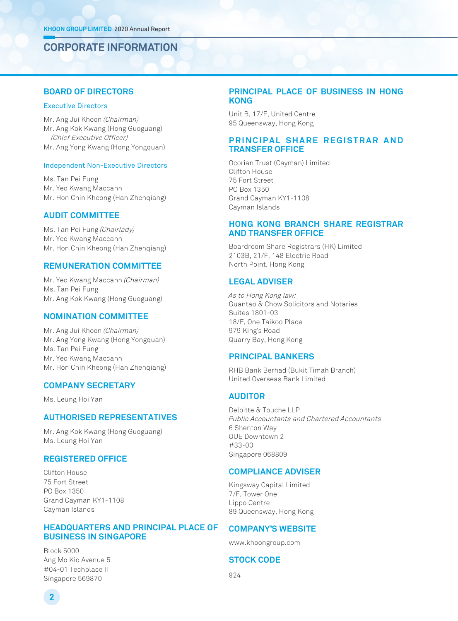**CORPORATE INFORMATION**

## **BOArd OF dirECTOrS**

#### Executive Directors

Mr. Ang Jui Khoon (Chairman) Mr. Ang Kok Kwang (Hong Guoguang) (Chief Executive Officer) Mr. Ang Yong Kwang (Hong Yongquan)

#### Independent Non-Executive Directors

Ms. Tan Pei Fung Mr. Yeo Kwang Maccann Mr. Hon Chin Kheong (Han Zhenqiang)

## **AudiT COmmiTTEE**

Ms. Tan Pei Fung (Chairlady) Mr. Yeo Kwang Maccann Mr. Hon Chin Kheong (Han Zhenqiang)

## **rEmuNErATiON COmmiTTEE**

Mr. Yeo Kwang Maccann (Chairman) Ms. Tan Pei Fung Mr. Ang Kok Kwang (Hong Guoguang)

## **NOmiNATiON COmmiTTEE**

Mr. Ang Jui Khoon (Chairman) Mr. Ang Yong Kwang (Hong Yongquan) Ms. Tan Pei Fung Mr. Yeo Kwang Maccann Mr. Hon Chin Kheong (Han Zhenqiang)

## **COmpANY SECrETArY**

Ms. Leung Hoi Yan

## **AuThOriSEd rEprESENTATiVES**

Mr. Ang Kok Kwang (Hong Guoguang) Ms. Leung Hoi Yan

## **rEGiSTErEd OFFiCE**

Clifton House 75 Fort Street PO Box 1350 Grand Cayman KY1-1108 Cayman Islands

#### **hEAdQuArTErS ANd priNCipAL pLACE OF BuSiNESS iN SiNGApOrE**

Block 5000 Ang Mo Kio Avenue 5 #04-01 Techplace II Singapore 569870

## **PRINCIPAL PLACE OF BUSINESS IN HONG KONG**

Unit B, 17/F, United Centre 95 Queensway, Hong Kong

## **PRINCIPAL SHARE REGISTRAR AND TrANSFEr OFFiCE**

Ocorian Trust (Cayman) Limited Clifton House 75 Fort Street PO Box 1350 Grand Cayman KY1-1108 Cayman Islands

## **HONG KONG BRANCH SHARE REGISTRAR ANd TrANSFEr OFFiCE**

Boardroom Share Registrars (HK) Limited 2103B, 21/F, 148 Electric Road North Point, Hong Kong

## **LEGAL AdViSEr**

As to Hong Kong law: Guantao & Chow Solicitors and Notaries Suites 1801-03 18/F, One Taikoo Place 979 King's Road Quarry Bay, Hong Kong

## **priNCipAL BANKErS**

RHB Bank Berhad (Bukit Timah Branch) United Overseas Bank Limited

## **AudiTOr**

Deloitte & Touche LLP Public Accountants and Chartered Accountants 6 Shenton Way OUE Downtown 2 #33-00 Singapore 068809

## **COmpLiANCE AdViSEr**

Kingsway Capital Limited 7/F, Tower One Lippo Centre 89 Queensway, Hong Kong

## **COmpANY'S WEBSiTE**

www.khoongroup.com

## **STOCK COdE**

924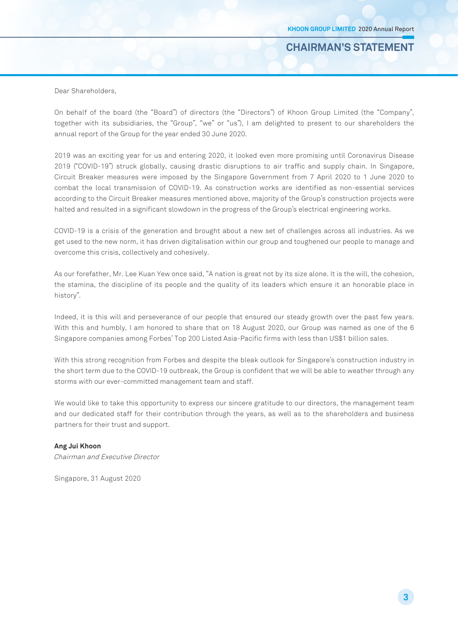## **CHAIRMAN'S STATEMENT**

Dear Shareholders,

On behalf of the board (the "Board") of directors (the "Directors") of Khoon Group Limited (the "Company", together with its subsidiaries, the "Group", "we" or "us"), I am delighted to present to our shareholders the annual report of the Group for the year ended 30 June 2020.

2019 was an exciting year for us and entering 2020, it looked even more promising until Coronavirus Disease 2019 ("COVID-19") struck globally, causing drastic disruptions to air traffic and supply chain. In Singapore, Circuit Breaker measures were imposed by the Singapore Government from 7 April 2020 to 1 June 2020 to combat the local transmission of COVID-19. As construction works are identified as non-essential services according to the Circuit Breaker measures mentioned above, majority of the Group's construction projects were halted and resulted in a significant slowdown in the progress of the Group's electrical engineering works.

COVID-19 is a crisis of the generation and brought about a new set of challenges across all industries. As we get used to the new norm, it has driven digitalisation within our group and toughened our people to manage and overcome this crisis, collectively and cohesively.

As our forefather, Mr. Lee Kuan Yew once said, "A nation is great not by its size alone. It is the will, the cohesion, the stamina, the discipline of its people and the quality of its leaders which ensure it an honorable place in history".

Indeed, it is this will and perseverance of our people that ensured our steady growth over the past few years. With this and humbly, I am honored to share that on 18 August 2020, our Group was named as one of the 6 Singapore companies among Forbes' Top 200 Listed Asia-Pacific firms with less than US\$1 billion sales.

With this strong recognition from Forbes and despite the bleak outlook for Singapore's construction industry in the short term due to the COVID-19 outbreak, the Group is confident that we will be able to weather through any storms with our ever-committed management team and staff.

We would like to take this opportunity to express our sincere gratitude to our directors, the management team and our dedicated staff for their contribution through the years, as well as to the shareholders and business partners for their trust and support.

## **Ang Jui Khoon**

Chairman and Executive Director

Singapore, 31 August 2020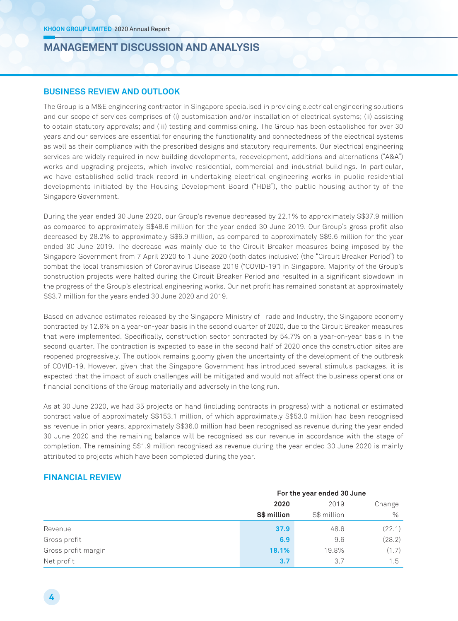## **BuSiNESS rEViEW ANd OuTLOOK**

The Group is a M&E engineering contractor in Singapore specialised in providing electrical engineering solutions and our scope of services comprises of (i) customisation and/or installation of electrical systems; (ii) assisting to obtain statutory approvals; and (iii) testing and commissioning. The Group has been established for over 30 years and our services are essential for ensuring the functionality and connectedness of the electrical systems as well as their compliance with the prescribed designs and statutory requirements. Our electrical engineering services are widely required in new building developments, redevelopment, additions and alternations ("A&A") works and upgrading projects, which involve residential, commercial and industrial buildings. In particular, we have established solid track record in undertaking electrical engineering works in public residential developments initiated by the Housing Development Board ("HDB"), the public housing authority of the Singapore Government.

During the year ended 30 June 2020, our Group's revenue decreased by 22.1% to approximately S\$37.9 million as compared to approximately S\$48.6 million for the year ended 30 June 2019. Our Group's gross profit also decreased by 28.2% to approximately S\$6.9 million, as compared to approximately S\$9.6 million for the year ended 30 June 2019. The decrease was mainly due to the Circuit Breaker measures being imposed by the Singapore Government from 7 April 2020 to 1 June 2020 (both dates inclusive) (the "Circuit Breaker Period") to combat the local transmission of Coronavirus Disease 2019 ("COVID-19") in Singapore. Majority of the Group's construction projects were halted during the Circuit Breaker Period and resulted in a significant slowdown in the progress of the Group's electrical engineering works. Our net profit has remained constant at approximately S\$3.7 million for the years ended 30 June 2020 and 2019.

Based on advance estimates released by the Singapore Ministry of Trade and Industry, the Singapore economy contracted by 12.6% on a year-on-year basis in the second quarter of 2020, due to the Circuit Breaker measures that were implemented. Specifically, construction sector contracted by 54.7% on a year-on-year basis in the second quarter. The contraction is expected to ease in the second half of 2020 once the construction sites are reopened progressively. The outlook remains gloomy given the uncertainty of the development of the outbreak of COVID-19. However, given that the Singapore Government has introduced several stimulus packages, it is expected that the impact of such challenges will be mitigated and would not affect the business operations or financial conditions of the Group materially and adversely in the long run.

As at 30 June 2020, we had 35 projects on hand (including contracts in progress) with a notional or estimated contract value of approximately S\$153.1 million, of which approximately S\$53.0 million had been recognised as revenue in prior years, approximately S\$36.0 million had been recognised as revenue during the year ended 30 June 2020 and the remaining balance will be recognised as our revenue in accordance with the stage of completion. The remaining S\$1.9 million recognised as revenue during the year ended 30 June 2020 is mainly attributed to projects which have been completed during the year.

## **FiNANCiAL rEViEW**

|                     | For the year ended 30 June |             |        |  |
|---------------------|----------------------------|-------------|--------|--|
|                     | 2020                       | 2019        | Change |  |
|                     | S\$ million                | S\$ million | $\%$   |  |
| Revenue             | 37.9                       | 48.6        | (22.1) |  |
| Gross profit        | 6.9                        | 9.6         | (28.2) |  |
| Gross profit margin | 18.1%                      | 19.8%       | (1.7)  |  |
| Net profit          | 3.7                        | 3.7         | 1.5    |  |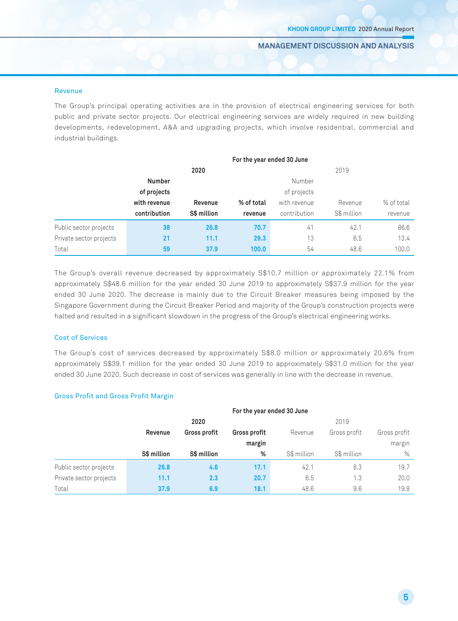#### Revenue

The Group's principal operating activities are in the provision of electrical engineering services for both public and private sector projects. Our electrical engineering services are widely required in new building developments, redevelopment, A&A and upgrading projects, which involve residential, commercial and industrial buildings.

|                         | For the year ended 30 June |             |            |              |             |            |
|-------------------------|----------------------------|-------------|------------|--------------|-------------|------------|
|                         |                            | 2020        |            |              | 2019        |            |
|                         | <b>Number</b>              |             |            | Number       |             |            |
|                         | of projects                |             |            | of projects  |             |            |
|                         | with revenue               | Revenue     | % of total | with revenue | Revenue     | % of total |
|                         | contribution               | S\$ million | revenue    | contribution | S\$ million | revenue    |
| Public sector projects  | 38                         | 26.8        | 70.7       | 41           | 42.1        | 86.6       |
| Private sector projects | 21                         | 11.1        | 29.3       | 13           | 6.5         | 13.4       |
| Total                   | 59                         | 37.9        | 100.0      | 54           | 48.6        | 100.0      |

The Group's overall revenue decreased by approximately S\$10.7 million or approximately 22.1% from approximately S\$48.6 million for the year ended 30 June 2019 to approximately S\$37.9 million for the year ended 30 June 2020. The decrease is mainly due to the Circuit Breaker measures being imposed by the Singapore Government during the Circuit Breaker Period and majority of the Group's construction projects were halted and resulted in a significant slowdown in the progress of the Group's electrical engineering works.

#### Cost of Services

The Group's cost of services decreased by approximately S\$8.0 million or approximately 20.6% from approximately S\$39.1 million for the year ended 30 June 2019 to approximately S\$31.0 million for the year ended 30 June 2020. Such decrease in cost of services was generally in line with the decrease in revenue.

#### Gross Profit and Gross Profit Margin

|                         | For the year ended 30 June |                     |              |             |              |              |  |
|-------------------------|----------------------------|---------------------|--------------|-------------|--------------|--------------|--|
|                         |                            | 2020                |              |             | 2019         |              |  |
|                         | Revenue                    | <b>Gross profit</b> | Gross profit | Revenue     | Gross profit | Gross profit |  |
|                         |                            |                     | margin       |             |              | margin       |  |
|                         | S\$ million                | S\$ million         | %            | S\$ million | S\$ million  | $\%$         |  |
| Public sector projects  | 26.8                       | 4.6                 | 17.1         | 42.1        | 8.3          | 19.7         |  |
| Private sector projects | 11.1                       | 2.3                 | 20.7         | 6.5         | 1.3          | 20.0         |  |
| Total                   | 37.9                       | 6.9                 | 18.1         | 48.6        | 9.6          | 19.8         |  |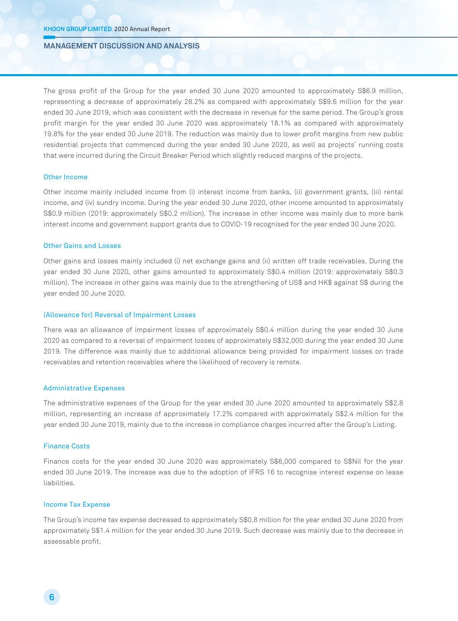The gross profit of the Group for the year ended 30 June 2020 amounted to approximately S\$6.9 million, representing a decrease of approximately 28.2% as compared with approximately S\$9.6 million for the year ended 30 June 2019, which was consistent with the decrease in revenue for the same period. The Group's gross profit margin for the year ended 30 June 2020 was approximately 18.1% as compared with approximately 19.8% for the year ended 30 June 2019. The reduction was mainly due to lower profit margins from new public residential projects that commenced during the year ended 30 June 2020, as well as projects' running costs that were incurred during the Circuit Breaker Period which slightly reduced margins of the projects.

#### Other Income

Other income mainly included income from (i) interest income from banks, (ii) government grants, (iii) rental income, and (iv) sundry income. During the year ended 30 June 2020, other income amounted to approximately S\$0.9 million (2019: approximately S\$0.2 million). The increase in other income was mainly due to more bank interest income and government support grants due to COVID-19 recognised for the year ended 30 June 2020.

#### Other Gains and Losses

Other gains and losses mainly included (i) net exchange gains and (ii) written off trade receivables. During the year ended 30 June 2020, other gains amounted to approximately S\$0.4 million (2019: approximately S\$0.3 million). The increase in other gains was mainly due to the strengthening of US\$ and HK\$ against S\$ during the year ended 30 June 2020.

#### (Allowance for) Reversal of Impairment Losses

There was an allowance of impairment losses of approximately S\$0.4 million during the year ended 30 June 2020 as compared to a reversal of impairment losses of approximately S\$32,000 during the year ended 30 June 2019. The difference was mainly due to additional allowance being provided for impairment losses on trade receivables and retention receivables where the likelihood of recovery is remote.

#### Administrative Expenses

The administrative expenses of the Group for the year ended 30 June 2020 amounted to approximately S\$2.8 million, representing an increase of approximately 17.2% compared with approximately S\$2.4 million for the year ended 30 June 2019, mainly due to the increase in compliance charges incurred after the Group's Listing.

#### Finance Costs

Finance costs for the year ended 30 June 2020 was approximately S\$6,000 compared to S\$Nil for the year ended 30 June 2019. The increase was due to the adoption of IFRS 16 to recognise interest expense on lease liabilities.

#### Income Tax Expense

The Group's income tax expense decreased to approximately S\$0.8 million for the year ended 30 June 2020 from approximately S\$1.4 million for the year ended 30 June 2019. Such decrease was mainly due to the decrease in assessable profit.

**6**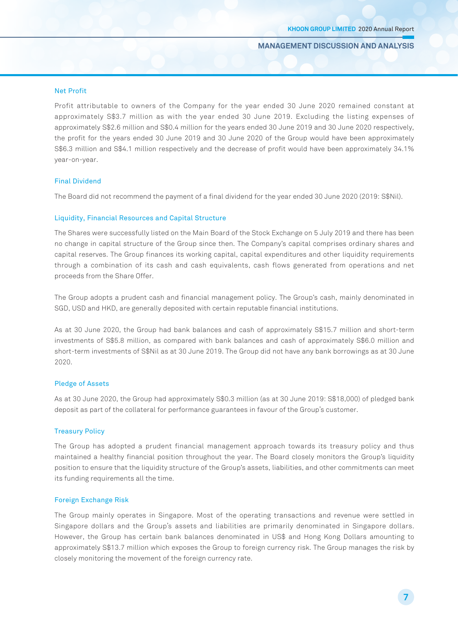#### Net Profit

Profit attributable to owners of the Company for the year ended 30 June 2020 remained constant at approximately S\$3.7 million as with the year ended 30 June 2019. Excluding the listing expenses of approximately S\$2.6 million and S\$0.4 million for the years ended 30 June 2019 and 30 June 2020 respectively, the profit for the years ended 30 June 2019 and 30 June 2020 of the Group would have been approximately S\$6.3 million and S\$4.1 million respectively and the decrease of profit would have been approximately 34.1% year-on-year.

#### Final Dividend

The Board did not recommend the payment of a final dividend for the year ended 30 June 2020 (2019: S\$Nil).

#### Liquidity, Financial Resources and Capital Structure

The Shares were successfully listed on the Main Board of the Stock Exchange on 5 July 2019 and there has been no change in capital structure of the Group since then. The Company's capital comprises ordinary shares and capital reserves. The Group finances its working capital, capital expenditures and other liquidity requirements through a combination of its cash and cash equivalents, cash flows generated from operations and net proceeds from the Share Offer.

The Group adopts a prudent cash and financial management policy. The Group's cash, mainly denominated in SGD, USD and HKD, are generally deposited with certain reputable financial institutions.

As at 30 June 2020, the Group had bank balances and cash of approximately S\$15.7 million and short-term investments of S\$5.8 million, as compared with bank balances and cash of approximately S\$6.0 million and short-term investments of S\$Nil as at 30 June 2019. The Group did not have any bank borrowings as at 30 June 2020.

#### Pledge of Assets

As at 30 June 2020, the Group had approximately S\$0.3 million (as at 30 June 2019: S\$18,000) of pledged bank deposit as part of the collateral for performance guarantees in favour of the Group's customer.

#### Treasury Policy

The Group has adopted a prudent financial management approach towards its treasury policy and thus maintained a healthy financial position throughout the year. The Board closely monitors the Group's liquidity position to ensure that the liquidity structure of the Group's assets, liabilities, and other commitments can meet its funding requirements all the time.

#### Foreign Exchange Risk

The Group mainly operates in Singapore. Most of the operating transactions and revenue were settled in Singapore dollars and the Group's assets and liabilities are primarily denominated in Singapore dollars. However, the Group has certain bank balances denominated in US\$ and Hong Kong Dollars amounting to approximately S\$13.7 million which exposes the Group to foreign currency risk. The Group manages the risk by closely monitoring the movement of the foreign currency rate.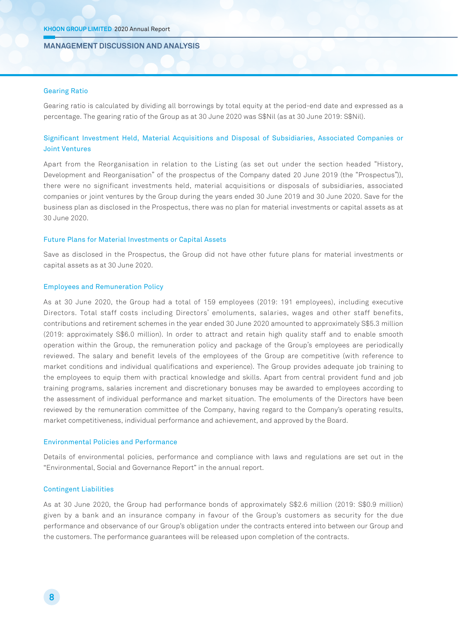#### Gearing Ratio

Gearing ratio is calculated by dividing all borrowings by total equity at the period-end date and expressed as a percentage. The gearing ratio of the Group as at 30 June 2020 was S\$Nil (as at 30 June 2019: S\$Nil).

## Significant Investment Held, Material Acquisitions and Disposal of Subsidiaries, Associated Companies or Joint Ventures

Apart from the Reorganisation in relation to the Listing (as set out under the section headed "History, Development and Reorganisation" of the prospectus of the Company dated 20 June 2019 (the "Prospectus")), there were no significant investments held, material acquisitions or disposals of subsidiaries, associated companies or joint ventures by the Group during the years ended 30 June 2019 and 30 June 2020. Save for the business plan as disclosed in the Prospectus, there was no plan for material investments or capital assets as at 30 June 2020.

#### Future Plans for Material Investments or Capital Assets

Save as disclosed in the Prospectus, the Group did not have other future plans for material investments or capital assets as at 30 June 2020.

#### Employees and Remuneration Policy

As at 30 June 2020, the Group had a total of 159 employees (2019: 191 employees), including executive Directors. Total staff costs including Directors' emoluments, salaries, wages and other staff benefits, contributions and retirement schemes in the year ended 30 June 2020 amounted to approximately S\$5.3 million (2019: approximately S\$6.0 million). In order to attract and retain high quality staff and to enable smooth operation within the Group, the remuneration policy and package of the Group's employees are periodically reviewed. The salary and benefit levels of the employees of the Group are competitive (with reference to market conditions and individual qualifications and experience). The Group provides adequate job training to the employees to equip them with practical knowledge and skills. Apart from central provident fund and job training programs, salaries increment and discretionary bonuses may be awarded to employees according to the assessment of individual performance and market situation. The emoluments of the Directors have been reviewed by the remuneration committee of the Company, having regard to the Company's operating results, market competitiveness, individual performance and achievement, and approved by the Board.

#### Environmental Policies and Performance

Details of environmental policies, performance and compliance with laws and regulations are set out in the "Environmental, Social and Governance Report" in the annual report.

#### Contingent Liabilities

As at 30 June 2020, the Group had performance bonds of approximately S\$2.6 million (2019: S\$0.9 million) given by a bank and an insurance company in favour of the Group's customers as security for the due performance and observance of our Group's obligation under the contracts entered into between our Group and the customers. The performance guarantees will be released upon completion of the contracts.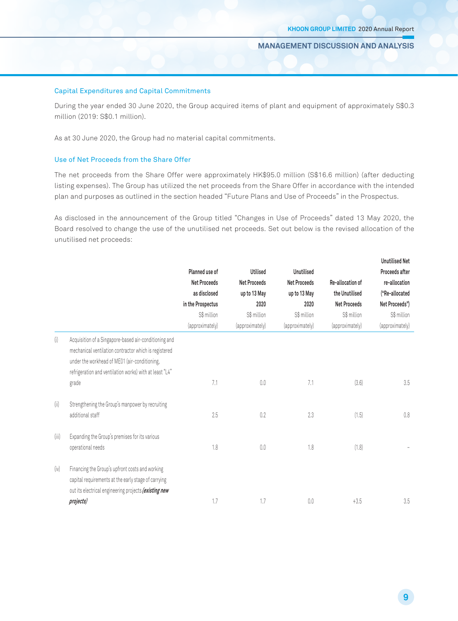#### Capital Expenditures and Capital Commitments

During the year ended 30 June 2020, the Group acquired items of plant and equipment of approximately S\$0.3 million (2019: S\$0.1 million).

As at 30 June 2020, the Group had no material capital commitments.

#### Use of Net Proceeds from the Share Offer

The net proceeds from the Share Offer were approximately HK\$95.0 million (S\$16.6 million) (after deducting listing expenses). The Group has utilized the net proceeds from the Share Offer in accordance with the intended plan and purposes as outlined in the section headed "Future Plans and Use of Proceeds" in the Prospectus.

As disclosed in the announcement of the Group titled "Changes in Use of Proceeds" dated 13 May 2020, the Board resolved to change the use of the unutilised net proceeds. Set out below is the revised allocation of the unutilised net proceeds:

|                                                          |                                                                                                                                                                                                                            |                     |                     |                     |                     | <b>Unutilised Net</b> |
|----------------------------------------------------------|----------------------------------------------------------------------------------------------------------------------------------------------------------------------------------------------------------------------------|---------------------|---------------------|---------------------|---------------------|-----------------------|
|                                                          |                                                                                                                                                                                                                            | Planned use of      | <b>Utilised</b>     | Unutilised          |                     | Proceeds after        |
|                                                          |                                                                                                                                                                                                                            | <b>Net Proceeds</b> | <b>Net Proceeds</b> | <b>Net Proceeds</b> | Re-allocation of    | re-allocation         |
|                                                          |                                                                                                                                                                                                                            | as disclosed        | up to 13 May        | up to 13 May        | the Unutilised      | ("Re-allocated        |
|                                                          |                                                                                                                                                                                                                            | in the Prospectus   | 2020                | 2020                | <b>Net Proceeds</b> | Net Proceeds")        |
|                                                          |                                                                                                                                                                                                                            | S\$ million         | S\$ million         | S\$ million         | S\$ million         | S\$ million           |
|                                                          |                                                                                                                                                                                                                            | (approximately)     | (approximately)     | (approximately)     | (approximately)     | (approximately)       |
| $\begin{pmatrix} \mathbf{i} \\ \mathbf{l} \end{pmatrix}$ | Acquisition of a Singapore-based air-conditioning and<br>mechanical ventilation contractor which is registered<br>under the workhead of ME01 (air-conditioning,<br>refrigeration and ventilation works) with at least "L4" |                     |                     |                     |                     |                       |
|                                                          | grade                                                                                                                                                                                                                      | 7.1                 | 0.0                 | 7.1                 | (3.6)               | 3.5                   |
| (ii)                                                     | Strengthening the Group's manpower by recruiting<br>additional staff                                                                                                                                                       | 2.5                 | 0.2                 | 2.3                 | (1.5)               | 0.8                   |
| (iii)                                                    | Expanding the Group's premises for its various<br>operational needs                                                                                                                                                        | 1.8                 | 0.0                 | 1.8                 | (1.8)               |                       |
| (iv)                                                     | Financing the Group's upfront costs and working<br>capital requirements at the early stage of carrying<br>out its electrical engineering projects (existing new                                                            |                     |                     |                     |                     |                       |
|                                                          | projects)                                                                                                                                                                                                                  | 1.7                 | 1.7                 | 0.0                 | $+3.5$              | 3.5                   |

**9**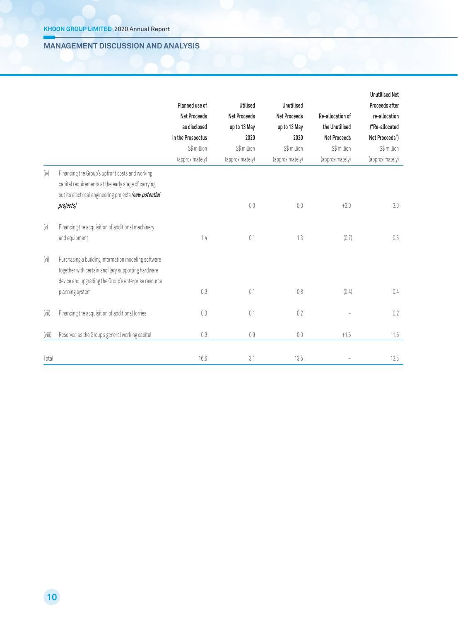|                           |                                                                                                                                                                                       | Planned use of<br><b>Net Proceeds</b><br>as disclosed<br>in the Prospectus<br>S\$ million<br>(approximately) | <b>Utilised</b><br><b>Net Proceeds</b><br>up to 13 May<br>2020<br>S\$ million<br>(approximately) | Unutilised<br><b>Net Proceeds</b><br>up to 13 May<br>2020<br>S\$ million<br>(approximately) | Re-allocation of<br>the Unutilised<br><b>Net Proceeds</b><br>S\$ million<br>(approximately) | <b>Unutilised Net</b><br>Proceeds after<br>re-allocation<br>("Re-allocated<br>Net Proceeds")<br>S\$ million<br>(approximately) |
|---------------------------|---------------------------------------------------------------------------------------------------------------------------------------------------------------------------------------|--------------------------------------------------------------------------------------------------------------|--------------------------------------------------------------------------------------------------|---------------------------------------------------------------------------------------------|---------------------------------------------------------------------------------------------|--------------------------------------------------------------------------------------------------------------------------------|
| (iv)                      | Financing the Group's upfront costs and working<br>capital requirements at the early stage of carrying<br>out its electrical engineering projects (new potential<br>projects)         |                                                                                                              | $0.0\,$                                                                                          | 0.0                                                                                         | $+3.0$                                                                                      | 3.0                                                                                                                            |
| $\left(\mathrm{V}\right)$ | Financing the acquisition of additional machinery<br>and equipment                                                                                                                    | 1.4                                                                                                          | 0.1                                                                                              | 1.3                                                                                         | (0.7)                                                                                       | 0.6                                                                                                                            |
| (vi)                      | Purchasing a building information modeling software<br>together with certain ancillary supporting hardware<br>device and upgrading the Group's enterprise resource<br>planning system | 0.9                                                                                                          | 0.1                                                                                              | 0.8                                                                                         | (0.4)                                                                                       | 0.4                                                                                                                            |
| (vii)                     | Financing the acquisition of additional lorries                                                                                                                                       | 0.3                                                                                                          | 0.1                                                                                              | 0.2                                                                                         |                                                                                             | 0.2                                                                                                                            |
| (viii)                    | Reserved as the Group's general working capital                                                                                                                                       | $0.9\,$                                                                                                      | $0.9\,$                                                                                          | $0.0\,$                                                                                     | $+1.5$                                                                                      | 1.5                                                                                                                            |
| Total                     |                                                                                                                                                                                       | 16.6                                                                                                         | 3.1                                                                                              | 13.5                                                                                        |                                                                                             | 13.5                                                                                                                           |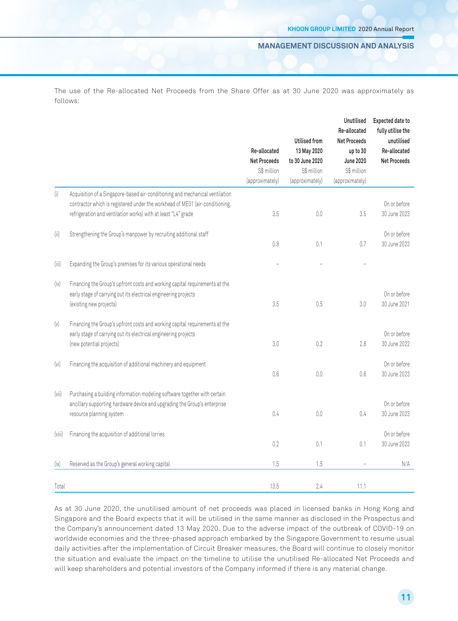The use of the Re-allocated Net Proceeds from the Share Offer as at 30 June 2020 was approximately as follows:

|                           |                                                                                                                                                                                                                               | Re-allocated<br><b>Net Proceeds</b><br>S\$ million<br>(approximately) | <b>Utilised from</b><br>13 May 2020<br>to 30 June 2020<br>S\$ million<br>(approximately) | Unutilised<br>Re-allocated<br><b>Net Proceeds</b><br>up to 30<br><b>June 2020</b><br>S\$ million<br>(approximately) | Expected date to<br>fully utilise the<br>unutilised<br>Re-allocated<br><b>Net Proceeds</b> |
|---------------------------|-------------------------------------------------------------------------------------------------------------------------------------------------------------------------------------------------------------------------------|-----------------------------------------------------------------------|------------------------------------------------------------------------------------------|---------------------------------------------------------------------------------------------------------------------|--------------------------------------------------------------------------------------------|
| $\left(\mathsf{i}\right)$ | Acquisition of a Singapore-based air-conditioning and mechanical ventilation<br>contractor which is registered under the workhead of ME01 (air-conditioning,<br>refrigeration and ventilation works) with at least "L4" grade | 3.5                                                                   | 0.0                                                                                      | 3.5                                                                                                                 | On or before<br>30 June 2023                                                               |
| (ii)                      | Strengthening the Group's manpower by recruiting additional staff                                                                                                                                                             | 0.8                                                                   | 0.1                                                                                      | 0.7                                                                                                                 | On or before<br>30 June 2023                                                               |
| (iii)                     | Expanding the Group's premises for its various operational needs                                                                                                                                                              |                                                                       |                                                                                          |                                                                                                                     |                                                                                            |
| (iv)                      | Financing the Group's upfront costs and working capital requirements at the<br>early stage of carrying out its electrical engineering projects<br>(existing new projects)                                                     | 3.5                                                                   | 0.5                                                                                      | 3.0                                                                                                                 | On or before<br>30 June 2021                                                               |
| $\left(\mathrm{V}\right)$ | Financing the Group's upfront costs and working capital requirements at the<br>early stage of carrying out its electrical engineering projects<br>(new potential projects)                                                    | 3.0                                                                   | 0.2                                                                                      | 2.8                                                                                                                 | On or before<br>30 June 2022                                                               |
| (vi)                      | Financing the acquisition of additional machinery and equipment                                                                                                                                                               | 0.6                                                                   | 0.0                                                                                      | 0.6                                                                                                                 | On or before<br>30 June 2023                                                               |
| (vii)                     | Purchasing a building information modeling software together with certain<br>ancillary supporting hardware device and upgrading the Group's enterprise<br>resource planning system                                            | 0.4                                                                   | 0.0                                                                                      | 0.4                                                                                                                 | On or before<br>30 June 2023                                                               |
| (viii)                    | Financing the acquisition of additional lorries                                                                                                                                                                               | 0.2                                                                   | 0.1                                                                                      | 0.1                                                                                                                 | On or before<br>30 June 2023                                                               |
| (ix)                      | Reserved as the Group's general working capital                                                                                                                                                                               | 1.5                                                                   | 1.5                                                                                      |                                                                                                                     | N/A                                                                                        |
| Total                     |                                                                                                                                                                                                                               | 13.5                                                                  | 2.4                                                                                      | 11.1                                                                                                                |                                                                                            |

As at 30 June 2020, the unutilised amount of net proceeds was placed in licensed banks in Hong Kong and Singapore and the Board expects that it will be utilised in the same manner as disclosed in the Prospectus and the Company's announcement dated 13 May 2020. Due to the adverse impact of the outbreak of COVID-19 on worldwide economies and the three-phased approach embarked by the Singapore Government to resume usual daily activities after the implementation of Circuit Breaker measures, the Board will continue to closely monitor the situation and evaluate the impact on the timeline to utilise the unutilised Re-allocated Net Proceeds and will keep shareholders and potential investors of the Company informed if there is any material change.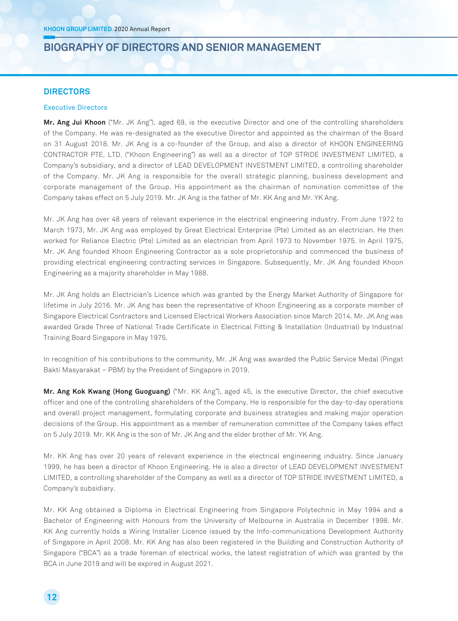## **dirECTOrS**

#### Executive Directors

**mr. Ang Jui Khoon** ("Mr. JK Ang"), aged 69, is the executive Director and one of the controlling shareholders of the Company. He was re-designated as the executive Director and appointed as the chairman of the Board on 31 August 2018. Mr. JK Ang is a co-founder of the Group, and also a director of KHOON ENGINEERING CONTRACTOR PTE. LTD. ("Khoon Engineering") as well as a director of TOP STRIDE INVESTMENT LIMITED, a Company's subsidiary, and a director of LEAD DEVELOPMENT INVESTMENT LIMITED, a controlling shareholder of the Company. Mr. JK Ang is responsible for the overall strategic planning, business development and corporate management of the Group. His appointment as the chairman of nomination committee of the Company takes effect on 5 July 2019. Mr. JK Ang is the father of Mr. KK Ang and Mr. YK Ang.

Mr. JK Ang has over 48 years of relevant experience in the electrical engineering industry. From June 1972 to March 1973, Mr. JK Ang was employed by Great Electrical Enterprise (Pte) Limited as an electrician. He then worked for Reliance Electric (Pte) Limited as an electrician from April 1973 to November 1975. In April 1975, Mr. JK Ang founded Khoon Engineering Contractor as a sole proprietorship and commenced the business of providing electrical engineering contracting services in Singapore. Subsequently, Mr. JK Ang founded Khoon Engineering as a majority shareholder in May 1988.

Mr. JK Ang holds an Electrician's Licence which was granted by the Energy Market Authority of Singapore for lifetime in July 2016. Mr. JK Ang has been the representative of Khoon Engineering as a corporate member of Singapore Electrical Contractors and Licensed Electrical Workers Association since March 2014. Mr. JK Ang was awarded Grade Three of National Trade Certificate in Electrical Fitting & Installation (Industrial) by Industrial Training Board Singapore in May 1975.

In recognition of his contributions to the community, Mr. JK Ang was awarded the Public Service Medal (Pingat Bakti Masyarakat – PBM) by the President of Singapore in 2019.

**mr. Ang Kok Kwang (hong Guoguang)** ("Mr. KK Ang"), aged 45, is the executive Director, the chief executive officer and one of the controlling shareholders of the Company. He is responsible for the day-to-day operations and overall project management, formulating corporate and business strategies and making major operation decisions of the Group. His appointment as a member of remuneration committee of the Company takes effect on 5 July 2019. Mr. KK Ang is the son of Mr. JK Ang and the elder brother of Mr. YK Ang.

Mr. KK Ang has over 20 years of relevant experience in the electrical engineering industry. Since January 1999, he has been a director of Khoon Engineering. He is also a director of LEAD DEVELOPMENT INVESTMENT LIMITED, a controlling shareholder of the Company as well as a director of TOP STRIDE INVESTMENT LIMITED, a Company's subsidiary.

Mr. KK Ang obtained a Diploma in Electrical Engineering from Singapore Polytechnic in May 1994 and a Bachelor of Engineering with Honours from the University of Melbourne in Australia in December 1998. Mr. KK Ang currently holds a Wiring Installer Licence issued by the Info-communications Development Authority of Singapore in April 2008. Mr. KK Ang has also been registered in the Building and Construction Authority of Singapore ("BCA") as a trade foreman of electrical works, the latest registration of which was granted by the BCA in June 2019 and will be expired in August 2021.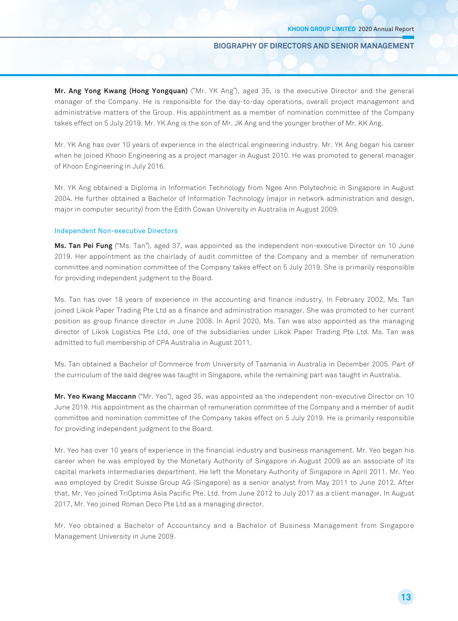**mr. Ang Yong Kwang (hong Yongquan)** ("Mr. YK Ang"), aged 35, is the executive Director and the general manager of the Company. He is responsible for the day-to-day operations, overall project management and administrative matters of the Group. His appointment as a member of nomination committee of the Company takes effect on 5 July 2019. Mr. YK Ang is the son of Mr. JK Ang and the younger brother of Mr. KK Ang.

Mr. YK Ang has over 10 years of experience in the electrical engineering industry. Mr. YK Ang began his career when he joined Khoon Engineering as a project manager in August 2010. He was promoted to general manager of Khoon Engineering in July 2016.

Mr. YK Ang obtained a Diploma in Information Technology from Ngee Ann Polytechnic in Singapore in August 2004. He further obtained a Bachelor of Information Technology (major in network administration and design, major in computer security) from the Edith Cowan University in Australia in August 2009.

#### Independent Non-executive Directors

**ms. Tan pei Fung** ("Ms. Tan"), aged 37, was appointed as the independent non-executive Director on 10 June 2019. Her appointment as the chairlady of audit committee of the Company and a member of remuneration committee and nomination committee of the Company takes effect on 5 July 2019. She is primarily responsible for providing independent judgment to the Board.

Ms. Tan has over 18 years of experience in the accounting and finance industry. In February 2002, Ms. Tan joined Likok Paper Trading Pte Ltd as a finance and administration manager. She was promoted to her current position as group finance director in June 2008. In April 2020, Ms. Tan was also appointed as the managing director of Likok Logistics Pte Ltd, one of the subsidiaries under Likok Paper Trading Pte Ltd. Ms. Tan was admitted to full membership of CPA Australia in August 2011.

Ms. Tan obtained a Bachelor of Commerce from University of Tasmania in Australia in December 2005. Part of the curriculum of the said degree was taught in Singapore, while the remaining part was taught in Australia.

**mr. Yeo Kwang maccann** ("Mr. Yeo"), aged 35, was appointed as the independent non-executive Director on 10 June 2019. His appointment as the chairman of remuneration committee of the Company and a member of audit committee and nomination committee of the Company takes effect on 5 July 2019. He is primarily responsible for providing independent judgment to the Board.

Mr. Yeo has over 10 years of experience in the financial industry and business management. Mr. Yeo began his career when he was employed by the Monetary Authority of Singapore in August 2009 as an associate of its capital markets intermediaries department. He left the Monetary Authority of Singapore in April 2011. Mr. Yeo was employed by Credit Suisse Group AG (Singapore) as a senior analyst from May 2011 to June 2012. After that, Mr. Yeo joined TriOptima Asia Pacific Pte. Ltd. from June 2012 to July 2017 as a client manager. In August 2017, Mr. Yeo joined Roman Deco Pte Ltd as a managing director.

Mr. Yeo obtained a Bachelor of Accountancy and a Bachelor of Business Management from Singapore Management University in June 2009.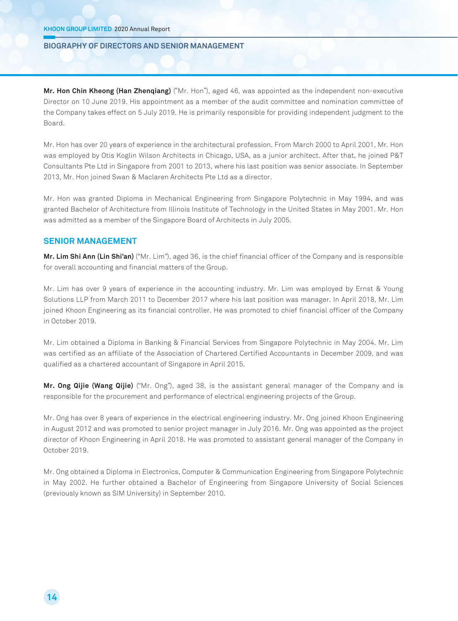**mr. hon Chin Kheong (han Zhenqiang)** ("Mr. Hon"), aged 46, was appointed as the independent non-executive Director on 10 June 2019. His appointment as a member of the audit committee and nomination committee of the Company takes effect on 5 July 2019. He is primarily responsible for providing independent judgment to the Board.

Mr. Hon has over 20 years of experience in the architectural profession. From March 2000 to April 2001, Mr. Hon was employed by Otis Koglin Wilson Architects in Chicago, USA, as a junior architect. After that, he joined P&T Consultants Pte Ltd in Singapore from 2001 to 2013, where his last position was senior associate. In September 2013, Mr. Hon joined Swan & Maclaren Architects Pte Ltd as a director.

Mr. Hon was granted Diploma in Mechanical Engineering from Singapore Polytechnic in May 1994, and was granted Bachelor of Architecture from Illinois Institute of Technology in the United States in May 2001. Mr. Hon was admitted as a member of the Singapore Board of Architects in July 2005.

#### **SENiOr mANAGEmENT**

**mr. Lim Shi Ann (Lin Shi'an)** ("Mr. Lim"), aged 36, is the chief financial officer of the Company and is responsible for overall accounting and financial matters of the Group.

Mr. Lim has over 9 years of experience in the accounting industry. Mr. Lim was employed by Ernst & Young Solutions LLP from March 2011 to December 2017 where his last position was manager. In April 2018, Mr. Lim joined Khoon Engineering as its financial controller. He was promoted to chief financial officer of the Company in October 2019.

Mr. Lim obtained a Diploma in Banking & Financial Services from Singapore Polytechnic in May 2004. Mr. Lim was certified as an affiliate of the Association of Chartered Certified Accountants in December 2009, and was qualified as a chartered accountant of Singapore in April 2015.

**mr. Ong Qijie (Wang Qijie)** ("Mr. Ong"), aged 38, is the assistant general manager of the Company and is responsible for the procurement and performance of electrical engineering projects of the Group.

Mr. Ong has over 8 years of experience in the electrical engineering industry. Mr. Ong joined Khoon Engineering in August 2012 and was promoted to senior project manager in July 2016. Mr. Ong was appointed as the project director of Khoon Engineering in April 2018. He was promoted to assistant general manager of the Company in October 2019.

Mr. Ong obtained a Diploma in Electronics, Computer & Communication Engineering from Singapore Polytechnic in May 2002. He further obtained a Bachelor of Engineering from Singapore University of Social Sciences (previously known as SIM University) in September 2010.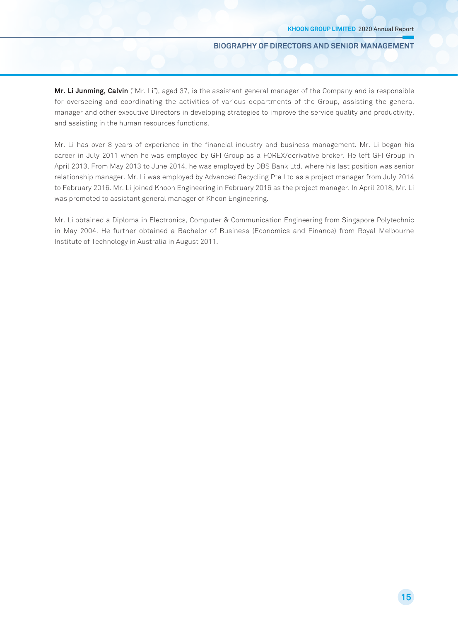**mr. Li Junming, Calvin** ("Mr. Li"), aged 37, is the assistant general manager of the Company and is responsible for overseeing and coordinating the activities of various departments of the Group, assisting the general manager and other executive Directors in developing strategies to improve the service quality and productivity, and assisting in the human resources functions.

Mr. Li has over 8 years of experience in the financial industry and business management. Mr. Li began his career in July 2011 when he was employed by GFI Group as a FOREX/derivative broker. He left GFI Group in April 2013. From May 2013 to June 2014, he was employed by DBS Bank Ltd. where his last position was senior relationship manager. Mr. Li was employed by Advanced Recycling Pte Ltd as a project manager from July 2014 to February 2016. Mr. Li joined Khoon Engineering in February 2016 as the project manager. In April 2018, Mr. Li was promoted to assistant general manager of Khoon Engineering.

Mr. Li obtained a Diploma in Electronics, Computer & Communication Engineering from Singapore Polytechnic in May 2004. He further obtained a Bachelor of Business (Economics and Finance) from Royal Melbourne Institute of Technology in Australia in August 2011.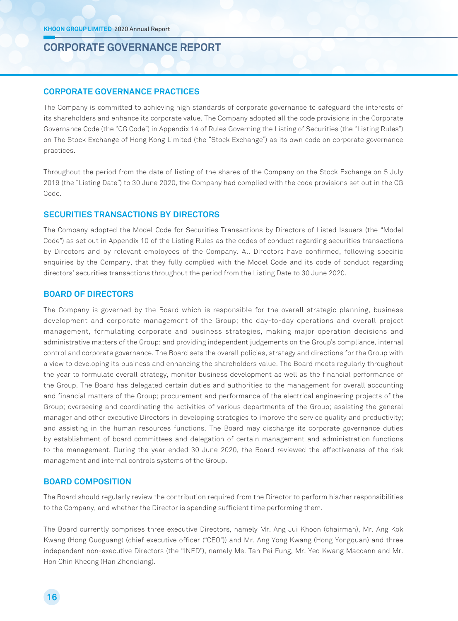#### **COrpOrATE GOVErNANCE prACTiCES**

The Company is committed to achieving high standards of corporate governance to safeguard the interests of its shareholders and enhance its corporate value. The Company adopted all the code provisions in the Corporate Governance Code (the "CG Code") in Appendix 14 of Rules Governing the Listing of Securities (the "Listing Rules") on The Stock Exchange of Hong Kong Limited (the "Stock Exchange") as its own code on corporate governance practices.

Throughout the period from the date of listing of the shares of the Company on the Stock Exchange on 5 July 2019 (the "Listing Date") to 30 June 2020, the Company had complied with the code provisions set out in the CG Code.

## **SECuriTiES TrANSACTiONS BY dirECTOrS**

The Company adopted the Model Code for Securities Transactions by Directors of Listed Issuers (the "Model Code") as set out in Appendix 10 of the Listing Rules as the codes of conduct regarding securities transactions by Directors and by relevant employees of the Company. All Directors have confirmed, following specific enquiries by the Company, that they fully complied with the Model Code and its code of conduct regarding directors' securities transactions throughout the period from the Listing Date to 30 June 2020.

#### **BOArd OF dirECTOrS**

The Company is governed by the Board which is responsible for the overall strategic planning, business development and corporate management of the Group; the day-to-day operations and overall project management, formulating corporate and business strategies, making major operation decisions and administrative matters of the Group; and providing independent judgements on the Group's compliance, internal control and corporate governance. The Board sets the overall policies, strategy and directions for the Group with a view to developing its business and enhancing the shareholders value. The Board meets regularly throughout the year to formulate overall strategy, monitor business development as well as the financial performance of the Group. The Board has delegated certain duties and authorities to the management for overall accounting and financial matters of the Group; procurement and performance of the electrical engineering projects of the Group; overseeing and coordinating the activities of various departments of the Group; assisting the general manager and other executive Directors in developing strategies to improve the service quality and productivity; and assisting in the human resources functions. The Board may discharge its corporate governance duties by establishment of board committees and delegation of certain management and administration functions to the management. During the year ended 30 June 2020, the Board reviewed the effectiveness of the risk management and internal controls systems of the Group.

## **BOArd COmpOSiTiON**

The Board should regularly review the contribution required from the Director to perform his/her responsibilities to the Company, and whether the Director is spending sufficient time performing them.

The Board currently comprises three executive Directors, namely Mr. Ang Jui Khoon (chairman), Mr. Ang Kok Kwang (Hong Guoguang) (chief executive officer ("CEO")) and Mr. Ang Yong Kwang (Hong Yongquan) and three independent non-executive Directors (the "INED"), namely Ms. Tan Pei Fung, Mr. Yeo Kwang Maccann and Mr. Hon Chin Kheong (Han Zhenqiang).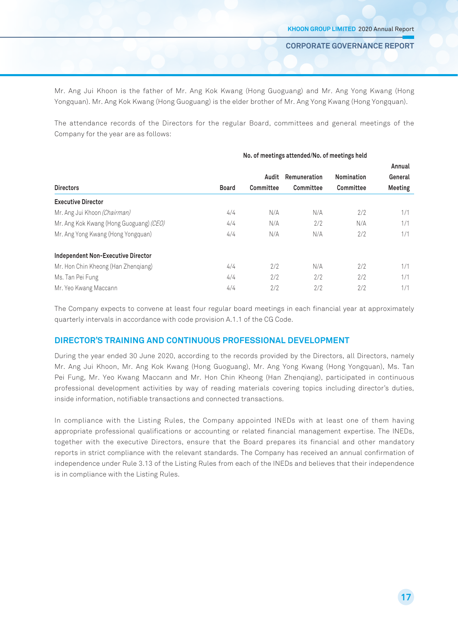**No. of meetings attended/No. of meetings held**

Mr. Ang Jui Khoon is the father of Mr. Ang Kok Kwang (Hong Guoguang) and Mr. Ang Yong Kwang (Hong Yongquan). Mr. Ang Kok Kwang (Hong Guoguang) is the elder brother of Mr. Ang Yong Kwang (Hong Yongquan).

The attendance records of the Directors for the regular Board, committees and general meetings of the Company for the year are as follows:

|                                         |       |           |              |            | Annual  |
|-----------------------------------------|-------|-----------|--------------|------------|---------|
|                                         |       | Audit     | Remuneration | Nomination | General |
| <b>Directors</b>                        | Board | Committee | Committee    | Committee  | Meeting |
| <b>Executive Director</b>               |       |           |              |            |         |
| Mr. Ang Jui Khoon (Chairman)            | 4/4   | N/A       | N/A          | 2/2        | 1/1     |
| Mr. Ang Kok Kwang (Hong Guoguang) (CEO) | 4/4   | N/A       | 2/2          | N/A        | 1/1     |
| Mr. Ang Yong Kwang (Hong Yongquan)      | 4/4   | N/A       | N/A          | 2/2        | 1/1     |
| Independent Non-Executive Director      |       |           |              |            |         |
| Mr. Hon Chin Kheong (Han Zhengiang)     | 4/4   | 2/2       | N/A          | 2/2        | 1/1     |
| Ms. Tan Pei Fung                        | 4/4   | 2/2       | 2/2          | 2/2        | 1/1     |
| Mr. Yeo Kwang Maccann                   | 4/4   | 2/2       | 2/2          | 2/2        | 1/1     |

The Company expects to convene at least four regular board meetings in each financial year at approximately quarterly intervals in accordance with code provision A.1.1 of the CG Code.

## **dirECTOr'S TrAiNiNG ANd CONTiNuOuS prOFESSiONAL dEVELOpmENT**

During the year ended 30 June 2020, according to the records provided by the Directors, all Directors, namely Mr. Ang Jui Khoon, Mr. Ang Kok Kwang (Hong Guoguang), Mr. Ang Yong Kwang (Hong Yongquan), Ms. Tan Pei Fung, Mr. Yeo Kwang Maccann and Mr. Hon Chin Kheong (Han Zhenqiang), participated in continuous professional development activities by way of reading materials covering topics including director's duties, inside information, notifiable transactions and connected transactions.

In compliance with the Listing Rules, the Company appointed INEDs with at least one of them having appropriate professional qualifications or accounting or related financial management expertise. The INEDs, together with the executive Directors, ensure that the Board prepares its financial and other mandatory reports in strict compliance with the relevant standards. The Company has received an annual confirmation of independence under Rule 3.13 of the Listing Rules from each of the INEDs and believes that their independence is in compliance with the Listing Rules.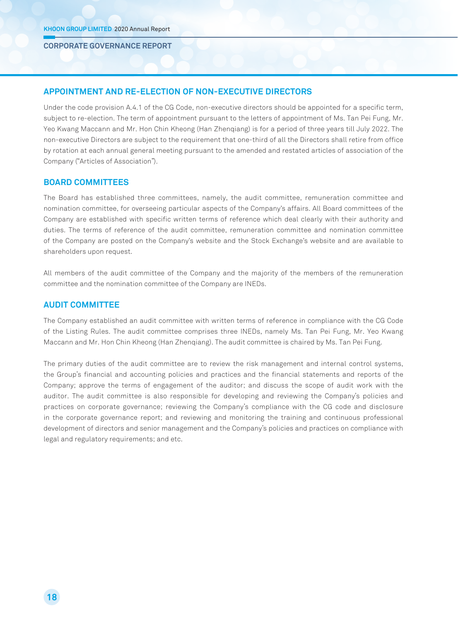#### **AppOiNTmENT ANd rE-ELECTiON OF NON-EXECuTiVE dirECTOrS**

Under the code provision A.4.1 of the CG Code, non-executive directors should be appointed for a specific term, subject to re-election. The term of appointment pursuant to the letters of appointment of Ms. Tan Pei Fung, Mr. Yeo Kwang Maccann and Mr. Hon Chin Kheong (Han Zhenqiang) is for a period of three years till July 2022. The non-executive Directors are subject to the requirement that one-third of all the Directors shall retire from office by rotation at each annual general meeting pursuant to the amended and restated articles of association of the Company ("Articles of Association").

## **BOArd COmmiTTEES**

The Board has established three committees, namely, the audit committee, remuneration committee and nomination committee, for overseeing particular aspects of the Company's affairs. All Board committees of the Company are established with specific written terms of reference which deal clearly with their authority and duties. The terms of reference of the audit committee, remuneration committee and nomination committee of the Company are posted on the Company's website and the Stock Exchange's website and are available to shareholders upon request.

All members of the audit committee of the Company and the majority of the members of the remuneration committee and the nomination committee of the Company are INEDs.

## **AudiT COmmiTTEE**

The Company established an audit committee with written terms of reference in compliance with the CG Code of the Listing Rules. The audit committee comprises three INEDs, namely Ms. Tan Pei Fung, Mr. Yeo Kwang Maccann and Mr. Hon Chin Kheong (Han Zhenqiang). The audit committee is chaired by Ms. Tan Pei Fung.

The primary duties of the audit committee are to review the risk management and internal control systems, the Group's financial and accounting policies and practices and the financial statements and reports of the Company; approve the terms of engagement of the auditor; and discuss the scope of audit work with the auditor. The audit committee is also responsible for developing and reviewing the Company's policies and practices on corporate governance; reviewing the Company's compliance with the CG code and disclosure in the corporate governance report; and reviewing and monitoring the training and continuous professional development of directors and senior management and the Company's policies and practices on compliance with legal and regulatory requirements; and etc.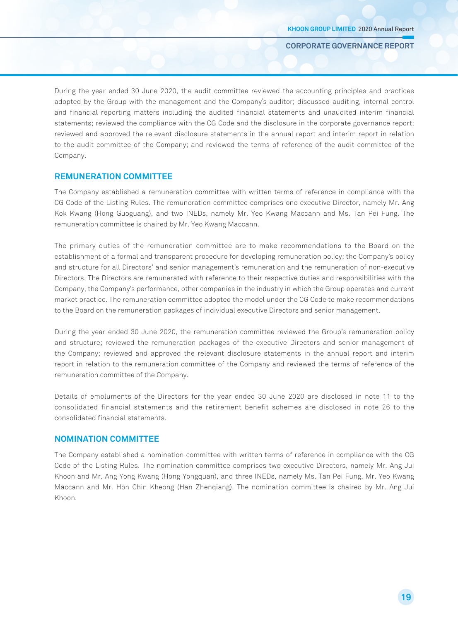During the year ended 30 June 2020, the audit committee reviewed the accounting principles and practices adopted by the Group with the management and the Company's auditor; discussed auditing, internal control and financial reporting matters including the audited financial statements and unaudited interim financial statements; reviewed the compliance with the CG Code and the disclosure in the corporate governance report; reviewed and approved the relevant disclosure statements in the annual report and interim report in relation to the audit committee of the Company; and reviewed the terms of reference of the audit committee of the Company.

#### **rEmuNErATiON COmmiTTEE**

The Company established a remuneration committee with written terms of reference in compliance with the CG Code of the Listing Rules. The remuneration committee comprises one executive Director, namely Mr. Ang Kok Kwang (Hong Guoguang), and two INEDs, namely Mr. Yeo Kwang Maccann and Ms. Tan Pei Fung. The remuneration committee is chaired by Mr. Yeo Kwang Maccann.

The primary duties of the remuneration committee are to make recommendations to the Board on the establishment of a formal and transparent procedure for developing remuneration policy; the Company's policy and structure for all Directors' and senior management's remuneration and the remuneration of non-executive Directors. The Directors are remunerated with reference to their respective duties and responsibilities with the Company, the Company's performance, other companies in the industry in which the Group operates and current market practice. The remuneration committee adopted the model under the CG Code to make recommendations to the Board on the remuneration packages of individual executive Directors and senior management.

During the year ended 30 June 2020, the remuneration committee reviewed the Group's remuneration policy and structure; reviewed the remuneration packages of the executive Directors and senior management of the Company; reviewed and approved the relevant disclosure statements in the annual report and interim report in relation to the remuneration committee of the Company and reviewed the terms of reference of the remuneration committee of the Company.

Details of emoluments of the Directors for the year ended 30 June 2020 are disclosed in note 11 to the consolidated financial statements and the retirement benefit schemes are disclosed in note 26 to the consolidated financial statements.

## **NOmiNATiON COmmiTTEE**

The Company established a nomination committee with written terms of reference in compliance with the CG Code of the Listing Rules. The nomination committee comprises two executive Directors, namely Mr. Ang Jui Khoon and Mr. Ang Yong Kwang (Hong Yongquan), and three INEDs, namely Ms. Tan Pei Fung, Mr. Yeo Kwang Maccann and Mr. Hon Chin Kheong (Han Zhenqiang). The nomination committee is chaired by Mr. Ang Jui Khoon.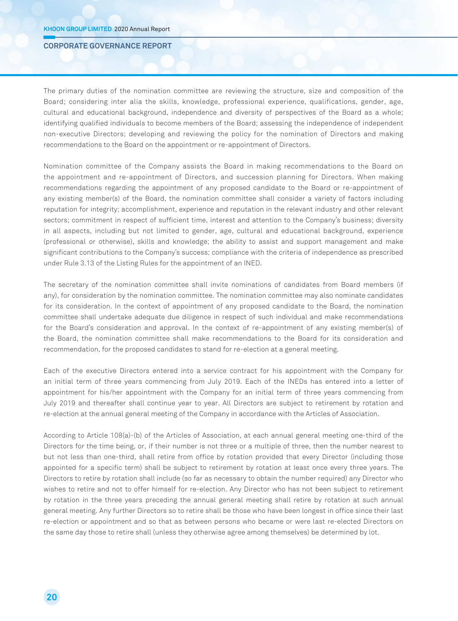The primary duties of the nomination committee are reviewing the structure, size and composition of the Board; considering inter alia the skills, knowledge, professional experience, qualifications, gender, age, cultural and educational background, independence and diversity of perspectives of the Board as a whole; identifying qualified individuals to become members of the Board; assessing the independence of independent non-executive Directors; developing and reviewing the policy for the nomination of Directors and making recommendations to the Board on the appointment or re-appointment of Directors.

Nomination committee of the Company assists the Board in making recommendations to the Board on the appointment and re-appointment of Directors, and succession planning for Directors. When making recommendations regarding the appointment of any proposed candidate to the Board or re-appointment of any existing member(s) of the Board, the nomination committee shall consider a variety of factors including reputation for integrity; accomplishment, experience and reputation in the relevant industry and other relevant sectors; commitment in respect of sufficient time, interest and attention to the Company's business; diversity in all aspects, including but not limited to gender, age, cultural and educational background, experience (professional or otherwise), skills and knowledge; the ability to assist and support management and make significant contributions to the Company's success; compliance with the criteria of independence as prescribed under Rule 3.13 of the Listing Rules for the appointment of an INED.

The secretary of the nomination committee shall invite nominations of candidates from Board members (if any), for consideration by the nomination committee. The nomination committee may also nominate candidates for its consideration. In the context of appointment of any proposed candidate to the Board, the nomination committee shall undertake adequate due diligence in respect of such individual and make recommendations for the Board's consideration and approval. In the context of re-appointment of any existing member(s) of the Board, the nomination committee shall make recommendations to the Board for its consideration and recommendation, for the proposed candidates to stand for re-election at a general meeting.

Each of the executive Directors entered into a service contract for his appointment with the Company for an initial term of three years commencing from July 2019. Each of the INEDs has entered into a letter of appointment for his/her appointment with the Company for an initial term of three years commencing from July 2019 and thereafter shall continue year to year. All Directors are subject to retirement by rotation and re-election at the annual general meeting of the Company in accordance with the Articles of Association.

According to Article 108(a)-(b) of the Articles of Association, at each annual general meeting one-third of the Directors for the time being, or, if their number is not three or a multiple of three, then the number nearest to but not less than one-third, shall retire from office by rotation provided that every Director (including those appointed for a specific term) shall be subject to retirement by rotation at least once every three years. The Directors to retire by rotation shall include (so far as necessary to obtain the number required) any Director who wishes to retire and not to offer himself for re-election. Any Director who has not been subject to retirement by rotation in the three years preceding the annual general meeting shall retire by rotation at such annual general meeting. Any further Directors so to retire shall be those who have been longest in office since their last re-election or appointment and so that as between persons who became or were last re-elected Directors on the same day those to retire shall (unless they otherwise agree among themselves) be determined by lot.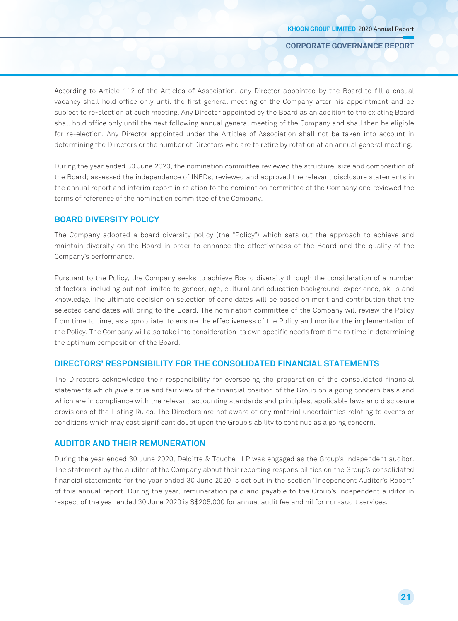According to Article 112 of the Articles of Association, any Director appointed by the Board to fill a casual vacancy shall hold office only until the first general meeting of the Company after his appointment and be subject to re-election at such meeting. Any Director appointed by the Board as an addition to the existing Board shall hold office only until the next following annual general meeting of the Company and shall then be eligible for re-election. Any Director appointed under the Articles of Association shall not be taken into account in determining the Directors or the number of Directors who are to retire by rotation at an annual general meeting.

During the year ended 30 June 2020, the nomination committee reviewed the structure, size and composition of the Board; assessed the independence of INEDs; reviewed and approved the relevant disclosure statements in the annual report and interim report in relation to the nomination committee of the Company and reviewed the terms of reference of the nomination committee of the Company.

## **BOArd diVErSiTY pOLiCY**

The Company adopted a board diversity policy (the "Policy") which sets out the approach to achieve and maintain diversity on the Board in order to enhance the effectiveness of the Board and the quality of the Company's performance.

Pursuant to the Policy, the Company seeks to achieve Board diversity through the consideration of a number of factors, including but not limited to gender, age, cultural and education background, experience, skills and knowledge. The ultimate decision on selection of candidates will be based on merit and contribution that the selected candidates will bring to the Board. The nomination committee of the Company will review the Policy from time to time, as appropriate, to ensure the effectiveness of the Policy and monitor the implementation of the Policy. The Company will also take into consideration its own specific needs from time to time in determining the optimum composition of the Board.

## **dirECTOrS' rESpONSiBiLiTY FOr ThE CONSOLidATEd FiNANCiAL STATEmENTS**

The Directors acknowledge their responsibility for overseeing the preparation of the consolidated financial statements which give a true and fair view of the financial position of the Group on a going concern basis and which are in compliance with the relevant accounting standards and principles, applicable laws and disclosure provisions of the Listing Rules. The Directors are not aware of any material uncertainties relating to events or conditions which may cast significant doubt upon the Group's ability to continue as a going concern.

## **AudiTOr ANd ThEir rEmuNErATiON**

During the year ended 30 June 2020, Deloitte & Touche LLP was engaged as the Group's independent auditor. The statement by the auditor of the Company about their reporting responsibilities on the Group's consolidated financial statements for the year ended 30 June 2020 is set out in the section "Independent Auditor's Report" of this annual report. During the year, remuneration paid and payable to the Group's independent auditor in respect of the year ended 30 June 2020 is S\$205,000 for annual audit fee and nil for non-audit services.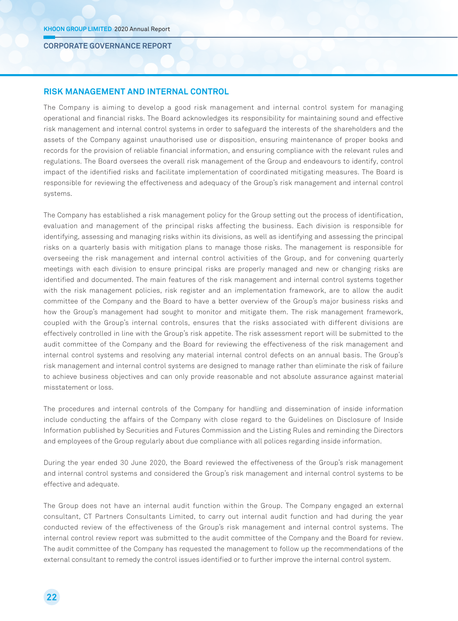## **riSK mANAGEmENT ANd iNTErNAL CONTrOL**

The Company is aiming to develop a good risk management and internal control system for managing operational and financial risks. The Board acknowledges its responsibility for maintaining sound and effective risk management and internal control systems in order to safeguard the interests of the shareholders and the assets of the Company against unauthorised use or disposition, ensuring maintenance of proper books and records for the provision of reliable financial information, and ensuring compliance with the relevant rules and regulations. The Board oversees the overall risk management of the Group and endeavours to identify, control impact of the identified risks and facilitate implementation of coordinated mitigating measures. The Board is responsible for reviewing the effectiveness and adequacy of the Group's risk management and internal control systems.

The Company has established a risk management policy for the Group setting out the process of identification, evaluation and management of the principal risks affecting the business. Each division is responsible for identifying, assessing and managing risks within its divisions, as well as identifying and assessing the principal risks on a quarterly basis with mitigation plans to manage those risks. The management is responsible for overseeing the risk management and internal control activities of the Group, and for convening quarterly meetings with each division to ensure principal risks are properly managed and new or changing risks are identified and documented. The main features of the risk management and internal control systems together with the risk management policies, risk register and an implementation framework, are to allow the audit committee of the Company and the Board to have a better overview of the Group's major business risks and how the Group's management had sought to monitor and mitigate them. The risk management framework, coupled with the Group's internal controls, ensures that the risks associated with different divisions are effectively controlled in line with the Group's risk appetite. The risk assessment report will be submitted to the audit committee of the Company and the Board for reviewing the effectiveness of the risk management and internal control systems and resolving any material internal control defects on an annual basis. The Group's risk management and internal control systems are designed to manage rather than eliminate the risk of failure to achieve business objectives and can only provide reasonable and not absolute assurance against material misstatement or loss.

The procedures and internal controls of the Company for handling and dissemination of inside information include conducting the affairs of the Company with close regard to the Guidelines on Disclosure of Inside Information published by Securities and Futures Commission and the Listing Rules and reminding the Directors and employees of the Group regularly about due compliance with all polices regarding inside information.

During the year ended 30 June 2020, the Board reviewed the effectiveness of the Group's risk management and internal control systems and considered the Group's risk management and internal control systems to be effective and adequate.

The Group does not have an internal audit function within the Group. The Company engaged an external consultant, CT Partners Consultants Limited, to carry out internal audit function and had during the year conducted review of the effectiveness of the Group's risk management and internal control systems. The internal control review report was submitted to the audit committee of the Company and the Board for review. The audit committee of the Company has requested the management to follow up the recommendations of the external consultant to remedy the control issues identified or to further improve the internal control system.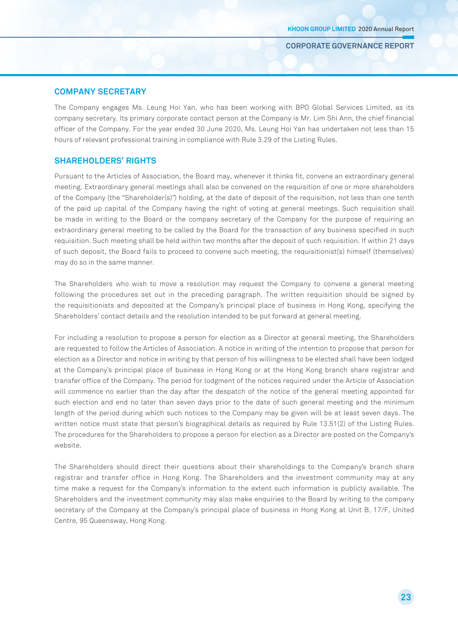#### **COmpANY SECrETArY**

The Company engages Ms. Leung Hoi Yan, who has been working with BPO Global Services Limited, as its company secretary. Its primary corporate contact person at the Company is Mr. Lim Shi Ann, the chief financial officer of the Company. For the year ended 30 June 2020, Ms. Leung Hoi Yan has undertaken not less than 15 hours of relevant professional training in compliance with Rule 3.29 of the Listing Rules.

#### **ShArEhOLdErS' riGhTS**

Pursuant to the Articles of Association, the Board may, whenever it thinks fit, convene an extraordinary general meeting. Extraordinary general meetings shall also be convened on the requisition of one or more shareholders of the Company (the "Shareholder(s)") holding, at the date of deposit of the requisition, not less than one tenth of the paid up capital of the Company having the right of voting at general meetings. Such requisition shall be made in writing to the Board or the company secretary of the Company for the purpose of requiring an extraordinary general meeting to be called by the Board for the transaction of any business specified in such requisition. Such meeting shall be held within two months after the deposit of such requisition. If within 21 days of such deposit, the Board fails to proceed to convene such meeting, the requisitionist(s) himself (themselves) may do so in the same manner.

The Shareholders who wish to move a resolution may request the Company to convene a general meeting following the procedures set out in the preceding paragraph. The written requisition should be signed by the requisitionists and deposited at the Company's principal place of business in Hong Kong, specifying the Shareholders' contact details and the resolution intended to be put forward at general meeting.

For including a resolution to propose a person for election as a Director at general meeting, the Shareholders are requested to follow the Articles of Association. A notice in writing of the intention to propose that person for election as a Director and notice in writing by that person of his willingness to be elected shall have been lodged at the Company's principal place of business in Hong Kong or at the Hong Kong branch share registrar and transfer office of the Company. The period for lodgment of the notices required under the Article of Association will commence no earlier than the day after the despatch of the notice of the general meeting appointed for such election and end no later than seven days prior to the date of such general meeting and the minimum length of the period during which such notices to the Company may be given will be at least seven days. The written notice must state that person's biographical details as required by Rule 13.51(2) of the Listing Rules. The procedures for the Shareholders to propose a person for election as a Director are posted on the Company's website.

The Shareholders should direct their questions about their shareholdings to the Company's branch share registrar and transfer office in Hong Kong. The Shareholders and the investment community may at any time make a request for the Company's information to the extent such information is publicly available. The Shareholders and the investment community may also make enquiries to the Board by writing to the company secretary of the Company at the Company's principal place of business in Hong Kong at Unit B, 17/F, United Centre, 95 Queensway, Hong Kong.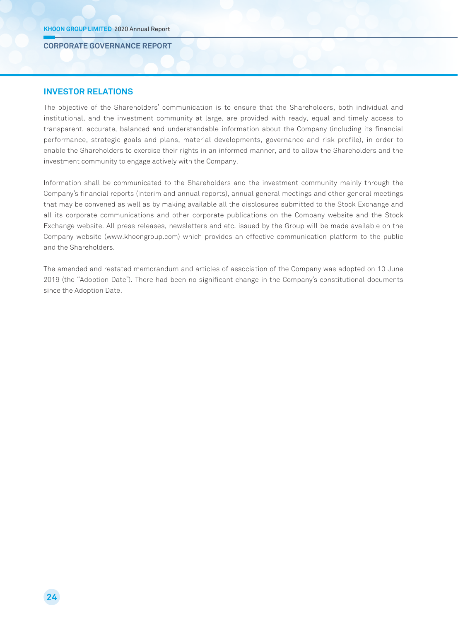## **iNVESTOr rELATiONS**

The objective of the Shareholders' communication is to ensure that the Shareholders, both individual and institutional, and the investment community at large, are provided with ready, equal and timely access to transparent, accurate, balanced and understandable information about the Company (including its financial performance, strategic goals and plans, material developments, governance and risk profile), in order to enable the Shareholders to exercise their rights in an informed manner, and to allow the Shareholders and the investment community to engage actively with the Company.

Information shall be communicated to the Shareholders and the investment community mainly through the Company's financial reports (interim and annual reports), annual general meetings and other general meetings that may be convened as well as by making available all the disclosures submitted to the Stock Exchange and all its corporate communications and other corporate publications on the Company website and the Stock Exchange website. All press releases, newsletters and etc. issued by the Group will be made available on the Company website (www.khoongroup.com) which provides an effective communication platform to the public and the Shareholders.

The amended and restated memorandum and articles of association of the Company was adopted on 10 June 2019 (the "Adoption Date"). There had been no significant change in the Company's constitutional documents since the Adoption Date.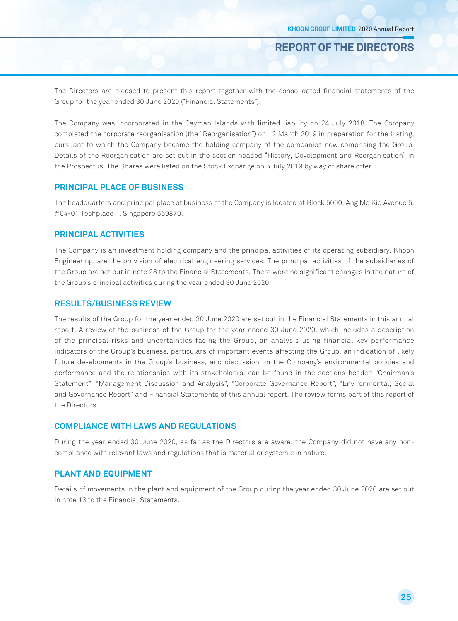The Directors are pleased to present this report together with the consolidated financial statements of the Group for the year ended 30 June 2020 ("Financial Statements").

The Company was incorporated in the Cayman Islands with limited liability on 24 July 2018. The Company completed the corporate reorganisation (the "Reorganisation") on 12 March 2019 in preparation for the Listing, pursuant to which the Company became the holding company of the companies now comprising the Group. Details of the Reorganisation are set out in the section headed "History, Development and Reorganisation" in the Prospectus. The Shares were listed on the Stock Exchange on 5 July 2019 by way of share offer.

## **priNCipAL pLACE OF BuSiNESS**

The headquarters and principal place of business of the Company is located at Block 5000, Ang Mo Kio Avenue 5, #04-01 Techplace II, Singapore 569870.

## **priNCipAL ACTiViTiES**

The Company is an investment holding company and the principal activities of its operating subsidiary, Khoon Engineering, are the provision of electrical engineering services. The principal activities of the subsidiaries of the Group are set out in note 28 to the Financial Statements. There were no significant changes in the nature of the Group's principal activities during the year ended 30 June 2020.

## **rESuLTS/BuSiNESS rEViEW**

The results of the Group for the year ended 30 June 2020 are set out in the Financial Statements in this annual report. A review of the business of the Group for the year ended 30 June 2020, which includes a description of the principal risks and uncertainties facing the Group, an analysis using financial key performance indicators of the Group's business, particulars of important events affecting the Group, an indication of likely future developments in the Group's business, and discussion on the Company's environmental policies and performance and the relationships with its stakeholders, can be found in the sections headed "Chairman's Statement", "Management Discussion and Analysis", "Corporate Governance Report", "Environmental, Social and Governance Report" and Financial Statements of this annual report. The review forms part of this report of the Directors.

## **COmpLiANCE WiTh LAWS ANd rEGuLATiONS**

During the year ended 30 June 2020, as far as the Directors are aware, the Company did not have any noncompliance with relevant laws and regulations that is material or systemic in nature.

#### **pLANT ANd EQuipmENT**

Details of movements in the plant and equipment of the Group during the year ended 30 June 2020 are set out in note 13 to the Financial Statements.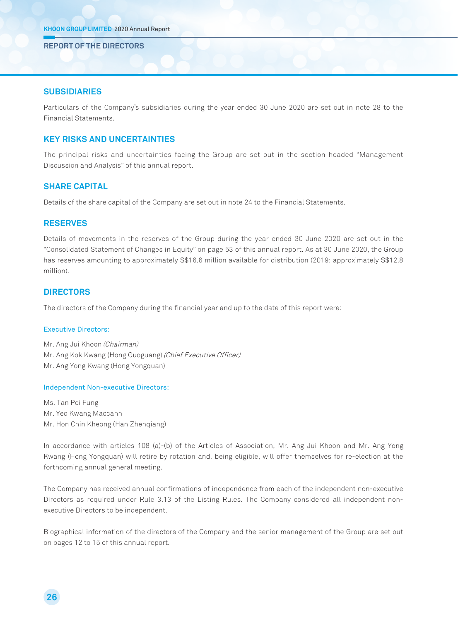#### **SuBSidiAriES**

Particulars of the Company's subsidiaries during the year ended 30 June 2020 are set out in note 28 to the Financial Statements.

## **KEY riSKS ANd uNCErTAiNTiES**

The principal risks and uncertainties facing the Group are set out in the section headed "Management Discussion and Analysis" of this annual report.

#### **ShArE CApiTAL**

Details of the share capital of the Company are set out in note 24 to the Financial Statements.

## **rESErVES**

Details of movements in the reserves of the Group during the year ended 30 June 2020 are set out in the "Consolidated Statement of Changes in Equity" on page 53 of this annual report. As at 30 June 2020, the Group has reserves amounting to approximately S\$16.6 million available for distribution (2019: approximately S\$12.8 million).

#### **dirECTOrS**

The directors of the Company during the financial year and up to the date of this report were:

#### Executive Directors:

Mr. Ang Jui Khoon (Chairman) Mr. Ang Kok Kwang (Hong Guoguang) (Chief Executive Officer) Mr. Ang Yong Kwang (Hong Yongquan)

#### Independent Non-executive Directors:

Ms. Tan Pei Fung Mr. Yeo Kwang Maccann Mr. Hon Chin Kheong (Han Zhenqiang)

In accordance with articles 108 (a)-(b) of the Articles of Association, Mr. Ang Jui Khoon and Mr. Ang Yong Kwang (Hong Yongquan) will retire by rotation and, being eligible, will offer themselves for re-election at the forthcoming annual general meeting.

The Company has received annual confirmations of independence from each of the independent non-executive Directors as required under Rule 3.13 of the Listing Rules. The Company considered all independent nonexecutive Directors to be independent.

Biographical information of the directors of the Company and the senior management of the Group are set out on pages 12 to 15 of this annual report.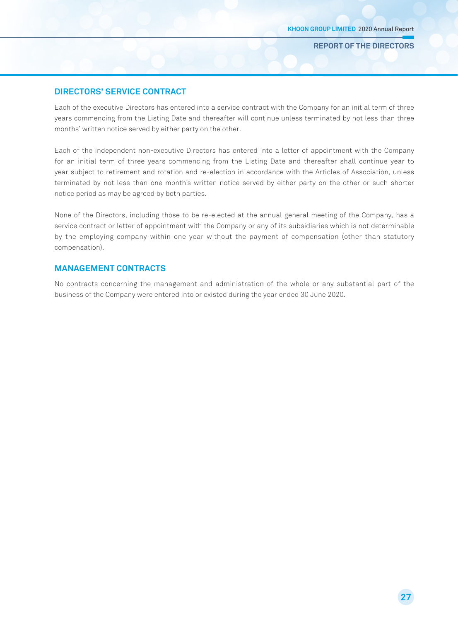#### **dirECTOrS' SErViCE CONTrACT**

Each of the executive Directors has entered into a service contract with the Company for an initial term of three years commencing from the Listing Date and thereafter will continue unless terminated by not less than three months' written notice served by either party on the other.

Each of the independent non-executive Directors has entered into a letter of appointment with the Company for an initial term of three years commencing from the Listing Date and thereafter shall continue year to year subject to retirement and rotation and re-election in accordance with the Articles of Association, unless terminated by not less than one month's written notice served by either party on the other or such shorter notice period as may be agreed by both parties.

None of the Directors, including those to be re-elected at the annual general meeting of the Company, has a service contract or letter of appointment with the Company or any of its subsidiaries which is not determinable by the employing company within one year without the payment of compensation (other than statutory compensation).

## **mANAGEmENT CONTrACTS**

No contracts concerning the management and administration of the whole or any substantial part of the business of the Company were entered into or existed during the year ended 30 June 2020.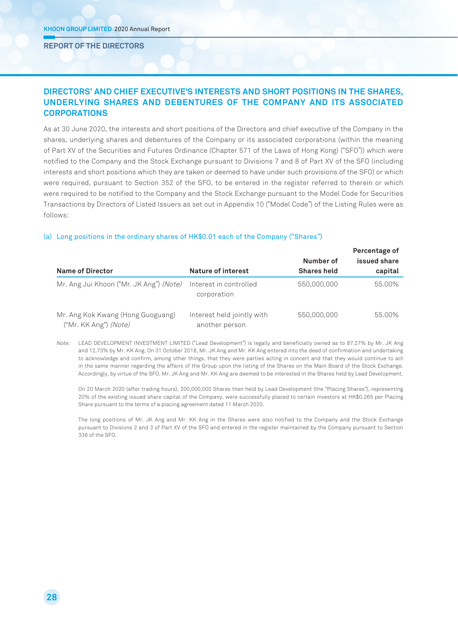## **dirECTOrS' ANd ChiEF EXECuTiVE'S iNTErESTS ANd ShOrT pOSiTiONS iN ThE ShArES, uNdErLYiNG ShArES ANd dEBENTurES OF ThE COmpANY ANd iTS ASSOCiATEd COrpOrATiONS**

As at 30 June 2020, the interests and short positions of the Directors and chief executive of the Company in the shares, underlying shares and debentures of the Company or its associated corporations (within the meaning of Part XV of the Securities and Futures Ordinance (Chapter 571 of the Laws of Hong Kong) ("SFO")) which were notified to the Company and the Stock Exchange pursuant to Divisions 7 and 8 of Part XV of the SFO (including interests and short positions which they are taken or deemed to have under such provisions of the SFO) or which were required, pursuant to Section 352 of the SFO, to be entered in the register referred to therein or which were required to be notified to the Company and the Stock Exchange pursuant to the Model Code for Securities Transactions by Directors of Listed Issuers as set out in Appendix 10 ("Model Code") of the Listing Rules were as follows:

# (a) Long positions in the ordinary shares of HK\$0.01 each of the Company ("Shares")

| Name of Director                                           | <b>Nature of interest</b>                    | Number of<br><b>Shares held</b> | Percentage of<br>issued share<br>capital |
|------------------------------------------------------------|----------------------------------------------|---------------------------------|------------------------------------------|
| Mr. Ang Jui Khoon ("Mr. JK Ang") <i>(Note)</i>             | Interest in controlled<br>corporation        | 550,000,000                     | 55.00%                                   |
| Mr. Ang Kok Kwang (Hong Guoguang)<br>("Mr. KK Ang") (Note) | Interest held jointly with<br>another person | 550,000,000                     | 55.00%                                   |

Note: LEAD DEVELOPMENT INVESTMENT LIMITED ("Lead Development") is legally and beneficially owned as to 87.27% by Mr. JK Ang and 12.73% by Mr. KK Ang. On 31 October 2018, Mr. JK Ang and Mr. KK Ang entered into the deed of confirmation and undertaking to acknowledge and confirm, among other things, that they were parties acting in concert and that they would continue to act in the same manner regarding the affairs of the Group upon the listing of the Shares on the Main Board of the Stock Exchange. Accordingly, by virtue of the SFO, Mr. JK Ang and Mr. KK Ang are deemed to be interested in the Shares held by Lead Development.

On 20 March 2020 (after trading hours), 200,000,000 Shares then held by Lead Development (the "Placing Shares"), representing 20% of the existing issued share capital of the Company, were successfully placed to certain investors at HK\$0.265 per Placing Share pursuant to the terms of a placing agreement dated 11 March 2020.

The long positions of Mr. JK Ang and Mr. KK Ang in the Shares were also notified to the Company and the Stock Exchange pursuant to Divisions 2 and 3 of Part XV of the SFO and entered in the register maintained by the Company pursuant to Section 336 of the SFO.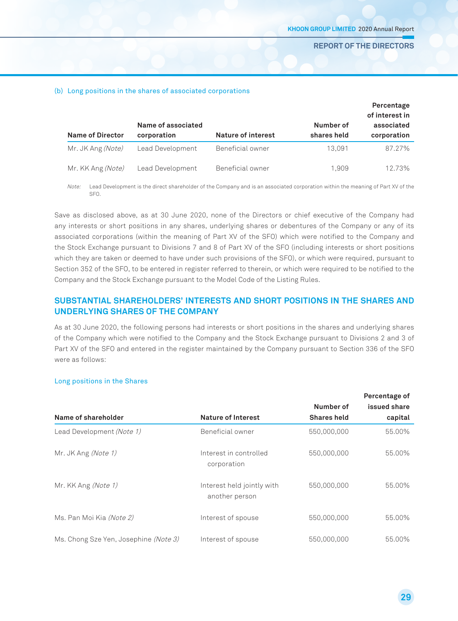#### (b) Long positions in the shares of associated corporations

| Name of Director  | Name of associated<br>corporation | Nature of interest | Number of<br>shares held | Percentage<br>of interest in<br>associated<br>corporation |
|-------------------|-----------------------------------|--------------------|--------------------------|-----------------------------------------------------------|
| Mr. JK Ang (Note) | Lead Development                  | Beneficial owner   | 13.091                   | 87.27%                                                    |
| Mr. KK Ang (Note) | Lead Development                  | Beneficial owner   | 1.909                    | 12.73%                                                    |

Note: Lead Development is the direct shareholder of the Company and is an associated corporation within the meaning of Part XV of the SFO.

Save as disclosed above, as at 30 June 2020, none of the Directors or chief executive of the Company had any interests or short positions in any shares, underlying shares or debentures of the Company or any of its associated corporations (within the meaning of Part XV of the SFO) which were notified to the Company and the Stock Exchange pursuant to Divisions 7 and 8 of Part XV of the SFO (including interests or short positions which they are taken or deemed to have under such provisions of the SFO), or which were required, pursuant to Section 352 of the SFO, to be entered in register referred to therein, or which were required to be notified to the Company and the Stock Exchange pursuant to the Model Code of the Listing Rules.

## **SuBSTANTiAL ShArEhOLdErS' iNTErESTS ANd ShOrT pOSiTiONS iN ThE ShArES ANd uNdErLYiNG ShArES OF ThE COmpANY**

As at 30 June 2020, the following persons had interests or short positions in the shares and underlying shares of the Company which were notified to the Company and the Stock Exchange pursuant to Divisions 2 and 3 of Part XV of the SFO and entered in the register maintained by the Company pursuant to Section 336 of the SFO were as follows:

#### Long positions in the Shares

|                                       |                                              |                    | Percentage of |
|---------------------------------------|----------------------------------------------|--------------------|---------------|
|                                       |                                              | Number of          | issued share  |
| Name of shareholder                   | <b>Nature of Interest</b>                    | <b>Shares held</b> | capital       |
| Lead Development (Note 1)             | Beneficial owner                             | 550,000,000        | 55.00%        |
| Mr. JK Ang (Note 1)                   | Interest in controlled<br>corporation        | 550,000,000        | 55.00%        |
| Mr. KK Ang (Note 1)                   | Interest held jointly with<br>another person | 550,000,000        | 55.00%        |
| Ms. Pan Moi Kia (Note 2)              | Interest of spouse                           | 550,000,000        | 55.00%        |
| Ms. Chong Sze Yen, Josephine (Note 3) | Interest of spouse                           | 550,000,000        | 55.00%        |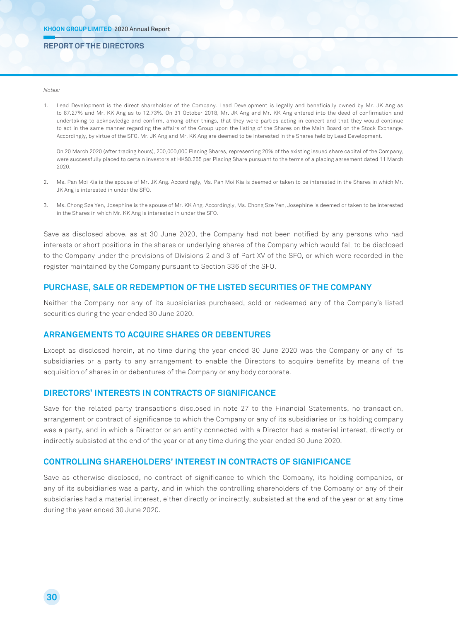#### Notes:

1. Lead Development is the direct shareholder of the Company. Lead Development is legally and beneficially owned by Mr. JK Ang as to 87.27% and Mr. KK Ang as to 12.73%. On 31 October 2018, Mr. JK Ang and Mr. KK Ang entered into the deed of confirmation and undertaking to acknowledge and confirm, among other things, that they were parties acting in concert and that they would continue to act in the same manner regarding the affairs of the Group upon the listing of the Shares on the Main Board on the Stock Exchange. Accordingly, by virtue of the SFO, Mr. JK Ang and Mr. KK Ang are deemed to be interested in the Shares held by Lead Development.

On 20 March 2020 (after trading hours), 200,000,000 Placing Shares, representing 20% of the existing issued share capital of the Company, were successfully placed to certain investors at HK\$0.265 per Placing Share pursuant to the terms of a placing agreement dated 11 March 2020.

- 2. Ms. Pan Moi Kia is the spouse of Mr. JK Ang. Accordingly, Ms. Pan Moi Kia is deemed or taken to be interested in the Shares in which Mr. JK Ang is interested in under the SFO.
- 3. Ms. Chong Sze Yen, Josephine is the spouse of Mr. KK Ang. Accordingly, Ms. Chong Sze Yen, Josephine is deemed or taken to be interested in the Shares in which Mr. KK Ang is interested in under the SFO.

Save as disclosed above, as at 30 June 2020, the Company had not been notified by any persons who had interests or short positions in the shares or underlying shares of the Company which would fall to be disclosed to the Company under the provisions of Divisions 2 and 3 of Part XV of the SFO, or which were recorded in the register maintained by the Company pursuant to Section 336 of the SFO.

## **purChASE, SALE Or rEdEmpTiON OF ThE LiSTEd SECuriTiES OF ThE COmpANY**

Neither the Company nor any of its subsidiaries purchased, sold or redeemed any of the Company's listed securities during the year ended 30 June 2020.

## **ArrANGEmENTS TO ACQuirE ShArES Or dEBENTurES**

Except as disclosed herein, at no time during the year ended 30 June 2020 was the Company or any of its subsidiaries or a party to any arrangement to enable the Directors to acquire benefits by means of the acquisition of shares in or debentures of the Company or any body corporate.

#### **dirECTOrS' iNTErESTS iN CONTrACTS OF SiGNiFiCANCE**

Save for the related party transactions disclosed in note 27 to the Financial Statements, no transaction, arrangement or contract of significance to which the Company or any of its subsidiaries or its holding company was a party, and in which a Director or an entity connected with a Director had a material interest, directly or indirectly subsisted at the end of the year or at any time during the year ended 30 June 2020.

#### **CONTrOLLiNG ShArEhOLdErS' iNTErEST iN CONTrACTS OF SiGNiFiCANCE**

Save as otherwise disclosed, no contract of significance to which the Company, its holding companies, or any of its subsidiaries was a party, and in which the controlling shareholders of the Company or any of their subsidiaries had a material interest, either directly or indirectly, subsisted at the end of the year or at any time during the year ended 30 June 2020.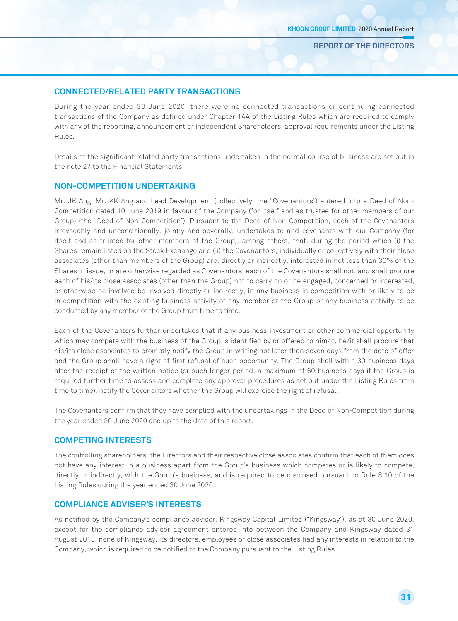## **CONNECTEd/rELATEd pArTY TrANSACTiONS**

During the year ended 30 June 2020, there were no connected transactions or continuing connected transactions of the Company as defined under Chapter 14A of the Listing Rules which are required to comply with any of the reporting, announcement or independent Shareholders' approval requirements under the Listing Rules.

Details of the significant related party transactions undertaken in the normal course of business are set out in the note 27 to the Financial Statements.

## **NON-COmpETiTiON uNdErTAKiNG**

Mr. JK Ang, Mr. KK Ang and Lead Development (collectively, the "Covenantors") entered into a Deed of Non-Competition dated 10 June 2019 in favour of the Company (for itself and as trustee for other members of our Group) (the "Deed of Non-Competition"). Pursuant to the Deed of Non-Competition, each of the Covenantors irrevocably and unconditionally, jointly and severally, undertakes to and covenants with our Company (for itself and as trustee for other members of the Group), among others, that, during the period which (i) the Shares remain listed on the Stock Exchange and (ii) the Covenantors, individually or collectively with their close associates (other than members of the Group) are, directly or indirectly, interested in not less than 30% of the Shares in issue, or are otherwise regarded as Covenantors, each of the Covenantors shall not, and shall procure each of his/its close associates (other than the Group) not to carry on or be engaged, concerned or interested, or otherwise be involved be involved directly or indirectly, in any business in competition with or likely to be in competition with the existing business activity of any member of the Group or any business activity to be conducted by any member of the Group from time to time.

Each of the Covenantors further undertakes that if any business investment or other commercial opportunity which may compete with the business of the Group is identified by or offered to him/it, he/it shall procure that his/its close associates to promptly notify the Group in writing not later than seven days from the date of offer and the Group shall have a right of first refusal of such opportunity. The Group shall within 30 business days after the receipt of the written notice (or such longer period, a maximum of 60 business days if the Group is required further time to assess and complete any approval procedures as set out under the Listing Rules from time to time), notify the Covenantors whether the Group will exercise the right of refusal.

The Covenantors confirm that they have complied with the undertakings in the Deed of Non-Competition during the year ended 30 June 2020 and up to the date of this report.

## **COmpETiNG iNTErESTS**

The controlling shareholders, the Directors and their respective close associates confirm that each of them does not have any interest in a business apart from the Group's business which competes or is likely to compete, directly or indirectly, with the Group's business, and is required to be disclosed pursuant to Rule 8.10 of the Listing Rules during the year ended 30 June 2020.

## **COmpLiANCE AdViSEr'S iNTErESTS**

As notified by the Company's compliance adviser, Kingsway Capital Limited ("Kingsway"), as at 30 June 2020, except for the compliance adviser agreement entered into between the Company and Kingsway dated 31 August 2018, none of Kingsway, its directors, employees or close associates had any interests in relation to the Company, which is required to be notified to the Company pursuant to the Listing Rules.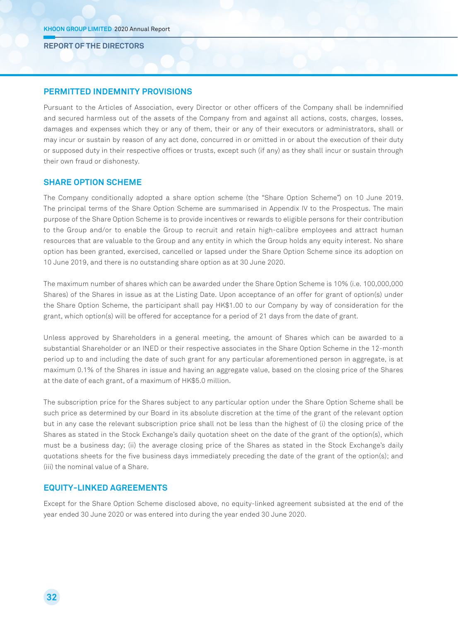#### **pErmiTTEd iNdEmNiTY prOViSiONS**

Pursuant to the Articles of Association, every Director or other officers of the Company shall be indemnified and secured harmless out of the assets of the Company from and against all actions, costs, charges, losses, damages and expenses which they or any of them, their or any of their executors or administrators, shall or may incur or sustain by reason of any act done, concurred in or omitted in or about the execution of their duty or supposed duty in their respective offices or trusts, except such (if any) as they shall incur or sustain through their own fraud or dishonesty.

## **ShArE OpTiON SChEmE**

The Company conditionally adopted a share option scheme (the "Share Option Scheme") on 10 June 2019. The principal terms of the Share Option Scheme are summarised in Appendix IV to the Prospectus. The main purpose of the Share Option Scheme is to provide incentives or rewards to eligible persons for their contribution to the Group and/or to enable the Group to recruit and retain high-calibre employees and attract human resources that are valuable to the Group and any entity in which the Group holds any equity interest. No share option has been granted, exercised, cancelled or lapsed under the Share Option Scheme since its adoption on 10 June 2019, and there is no outstanding share option as at 30 June 2020.

The maximum number of shares which can be awarded under the Share Option Scheme is 10% (i.e. 100,000,000 Shares) of the Shares in issue as at the Listing Date. Upon acceptance of an offer for grant of option(s) under the Share Option Scheme, the participant shall pay HK\$1.00 to our Company by way of consideration for the grant, which option(s) will be offered for acceptance for a period of 21 days from the date of grant.

Unless approved by Shareholders in a general meeting, the amount of Shares which can be awarded to a substantial Shareholder or an INED or their respective associates in the Share Option Scheme in the 12-month period up to and including the date of such grant for any particular aforementioned person in aggregate, is at maximum 0.1% of the Shares in issue and having an aggregate value, based on the closing price of the Shares at the date of each grant, of a maximum of HK\$5.0 million.

The subscription price for the Shares subject to any particular option under the Share Option Scheme shall be such price as determined by our Board in its absolute discretion at the time of the grant of the relevant option but in any case the relevant subscription price shall not be less than the highest of (i) the closing price of the Shares as stated in the Stock Exchange's daily quotation sheet on the date of the grant of the option(s), which must be a business day; (ii) the average closing price of the Shares as stated in the Stock Exchange's daily quotations sheets for the five business days immediately preceding the date of the grant of the option(s); and (iii) the nominal value of a Share.

## **EQuiTY-LiNKEd AGrEEmENTS**

Except for the Share Option Scheme disclosed above, no equity-linked agreement subsisted at the end of the year ended 30 June 2020 or was entered into during the year ended 30 June 2020.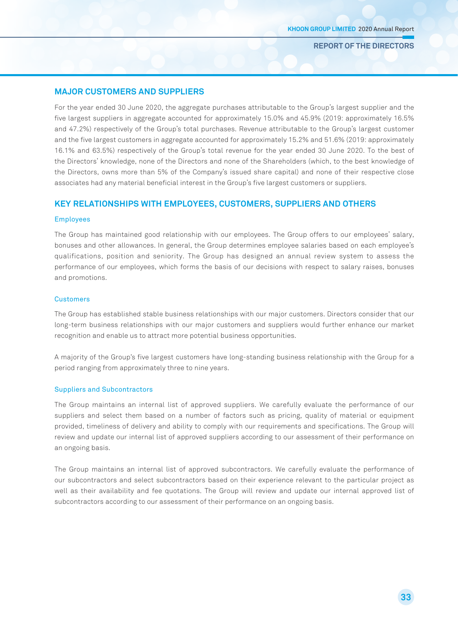#### **MAJOR CUSTOMERS AND SUPPLIERS**

For the year ended 30 June 2020, the aggregate purchases attributable to the Group's largest supplier and the five largest suppliers in aggregate accounted for approximately 15.0% and 45.9% (2019: approximately 16.5% and 47.2%) respectively of the Group's total purchases. Revenue attributable to the Group's largest customer and the five largest customers in aggregate accounted for approximately 15.2% and 51.6% (2019: approximately 16.1% and 63.5%) respectively of the Group's total revenue for the year ended 30 June 2020. To the best of the Directors' knowledge, none of the Directors and none of the Shareholders (which, to the best knowledge of the Directors, owns more than 5% of the Company's issued share capital) and none of their respective close associates had any material beneficial interest in the Group's five largest customers or suppliers.

## **KEY rELATiONShipS WiTh EmpLOYEES, CuSTOmErS, SuppLiErS ANd OThErS**

#### Employees

The Group has maintained good relationship with our employees. The Group offers to our employees' salary, bonuses and other allowances. In general, the Group determines employee salaries based on each employee's qualifications, position and seniority. The Group has designed an annual review system to assess the performance of our employees, which forms the basis of our decisions with respect to salary raises, bonuses and promotions.

#### Customers

The Group has established stable business relationships with our major customers. Directors consider that our long-term business relationships with our major customers and suppliers would further enhance our market recognition and enable us to attract more potential business opportunities.

A majority of the Group's five largest customers have long-standing business relationship with the Group for a period ranging from approximately three to nine years.

#### Suppliers and Subcontractors

The Group maintains an internal list of approved suppliers. We carefully evaluate the performance of our suppliers and select them based on a number of factors such as pricing, quality of material or equipment provided, timeliness of delivery and ability to comply with our requirements and specifications. The Group will review and update our internal list of approved suppliers according to our assessment of their performance on an ongoing basis.

The Group maintains an internal list of approved subcontractors. We carefully evaluate the performance of our subcontractors and select subcontractors based on their experience relevant to the particular project as well as their availability and fee quotations. The Group will review and update our internal approved list of subcontractors according to our assessment of their performance on an ongoing basis.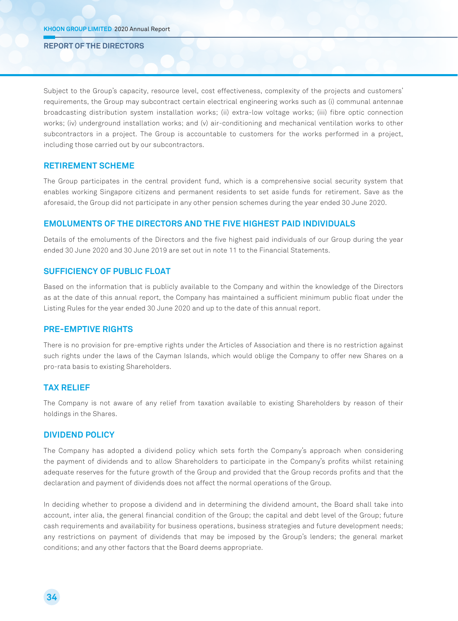Subject to the Group's capacity, resource level, cost effectiveness, complexity of the projects and customers' requirements, the Group may subcontract certain electrical engineering works such as (i) communal antennae broadcasting distribution system installation works; (ii) extra-low voltage works; (iii) fibre optic connection works; (iv) underground installation works; and (v) air-conditioning and mechanical ventilation works to other subcontractors in a project. The Group is accountable to customers for the works performed in a project, including those carried out by our subcontractors.

#### **rETirEmENT SChEmE**

The Group participates in the central provident fund, which is a comprehensive social security system that enables working Singapore citizens and permanent residents to set aside funds for retirement. Save as the aforesaid, the Group did not participate in any other pension schemes during the year ended 30 June 2020.

#### **EmOLumENTS OF ThE dirECTOrS ANd ThE FiVE hiGhEST pAid iNdiViduALS**

Details of the emoluments of the Directors and the five highest paid individuals of our Group during the year ended 30 June 2020 and 30 June 2019 are set out in note 11 to the Financial Statements.

#### **SuFFiCiENCY OF puBLiC FLOAT**

Based on the information that is publicly available to the Company and within the knowledge of the Directors as at the date of this annual report, the Company has maintained a sufficient minimum public float under the Listing Rules for the year ended 30 June 2020 and up to the date of this annual report.

#### **prE-EmpTiVE riGhTS**

There is no provision for pre-emptive rights under the Articles of Association and there is no restriction against such rights under the laws of the Cayman Islands, which would oblige the Company to offer new Shares on a pro-rata basis to existing Shareholders.

#### **TAX rELiEF**

The Company is not aware of any relief from taxation available to existing Shareholders by reason of their holdings in the Shares.

#### **diVidENd pOLiCY**

The Company has adopted a dividend policy which sets forth the Company's approach when considering the payment of dividends and to allow Shareholders to participate in the Company's profits whilst retaining adequate reserves for the future growth of the Group and provided that the Group records profits and that the declaration and payment of dividends does not affect the normal operations of the Group.

In deciding whether to propose a dividend and in determining the dividend amount, the Board shall take into account, inter alia, the general financial condition of the Group; the capital and debt level of the Group; future cash requirements and availability for business operations, business strategies and future development needs; any restrictions on payment of dividends that may be imposed by the Group's lenders; the general market conditions; and any other factors that the Board deems appropriate.

**34**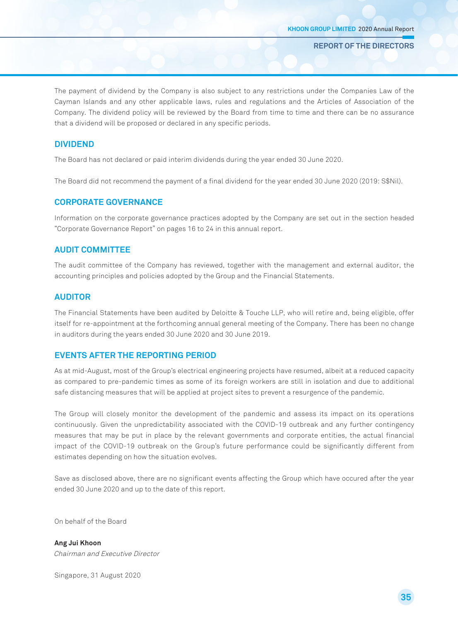The payment of dividend by the Company is also subject to any restrictions under the Companies Law of the Cayman Islands and any other applicable laws, rules and regulations and the Articles of Association of the Company. The dividend policy will be reviewed by the Board from time to time and there can be no assurance that a dividend will be proposed or declared in any specific periods.

## **diVidENd**

The Board has not declared or paid interim dividends during the year ended 30 June 2020.

The Board did not recommend the payment of a final dividend for the year ended 30 June 2020 (2019: S\$Nil).

## **COrpOrATE GOVErNANCE**

Information on the corporate governance practices adopted by the Company are set out in the section headed "Corporate Governance Report" on pages 16 to 24 in this annual report.

## **AudiT COmmiTTEE**

The audit committee of the Company has reviewed, together with the management and external auditor, the accounting principles and policies adopted by the Group and the Financial Statements.

#### **AudiTOr**

The Financial Statements have been audited by Deloitte & Touche LLP, who will retire and, being eligible, offer itself for re-appointment at the forthcoming annual general meeting of the Company. There has been no change in auditors during the years ended 30 June 2020 and 30 June 2019.

## **EVENTS AFTEr ThE rEpOrTiNG pEriOd**

As at mid-August, most of the Group's electrical engineering projects have resumed, albeit at a reduced capacity as compared to pre-pandemic times as some of its foreign workers are still in isolation and due to additional safe distancing measures that will be applied at project sites to prevent a resurgence of the pandemic.

The Group will closely monitor the development of the pandemic and assess its impact on its operations continuously. Given the unpredictability associated with the COVID-19 outbreak and any further contingency measures that may be put in place by the relevant governments and corporate entities, the actual financial impact of the COVID-19 outbreak on the Group's future performance could be significantly different from estimates depending on how the situation evolves.

Save as disclosed above, there are no significant events affecting the Group which have occured after the year ended 30 June 2020 and up to the date of this report.

On behalf of the Board

**Ang Jui Khoon** Chairman and Executive Director

Singapore, 31 August 2020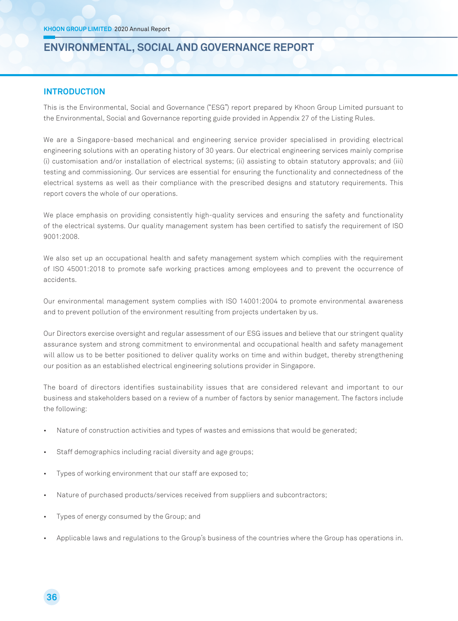# **iNTrOduCTiON**

This is the Environmental, Social and Governance ("ESG") report prepared by Khoon Group Limited pursuant to the Environmental, Social and Governance reporting guide provided in Appendix 27 of the Listing Rules.

We are a Singapore-based mechanical and engineering service provider specialised in providing electrical engineering solutions with an operating history of 30 years. Our electrical engineering services mainly comprise (i) customisation and/or installation of electrical systems; (ii) assisting to obtain statutory approvals; and (iii) testing and commissioning. Our services are essential for ensuring the functionality and connectedness of the electrical systems as well as their compliance with the prescribed designs and statutory requirements. This report covers the whole of our operations.

We place emphasis on providing consistently high-quality services and ensuring the safety and functionality of the electrical systems. Our quality management system has been certified to satisfy the requirement of ISO 9001:2008.

We also set up an occupational health and safety management system which complies with the requirement of ISO 45001:2018 to promote safe working practices among employees and to prevent the occurrence of accidents.

Our environmental management system complies with ISO 14001:2004 to promote environmental awareness and to prevent pollution of the environment resulting from projects undertaken by us.

Our Directors exercise oversight and regular assessment of our ESG issues and believe that our stringent quality assurance system and strong commitment to environmental and occupational health and safety management will allow us to be better positioned to deliver quality works on time and within budget, thereby strengthening our position as an established electrical engineering solutions provider in Singapore.

The board of directors identifies sustainability issues that are considered relevant and important to our business and stakeholders based on a review of a number of factors by senior management. The factors include the following:

- Nature of construction activities and types of wastes and emissions that would be generated;
- Staff demographics including racial diversity and age groups;
- Types of working environment that our staff are exposed to;
- Nature of purchased products/services received from suppliers and subcontractors;
- Types of energy consumed by the Group; and
- Applicable laws and regulations to the Group's business of the countries where the Group has operations in.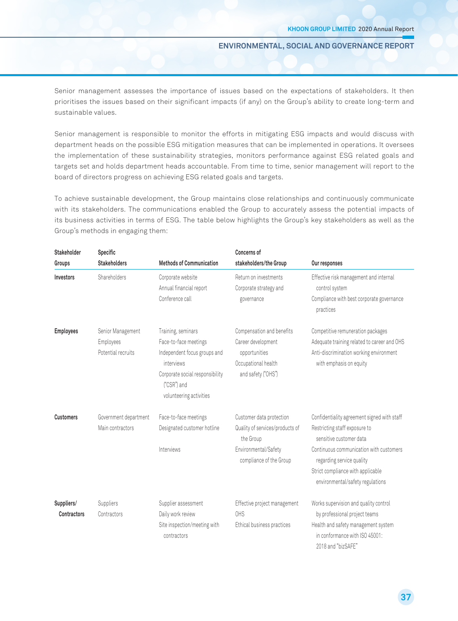Senior management assesses the importance of issues based on the expectations of stakeholders. It then prioritises the issues based on their significant impacts (if any) on the Group's ability to create long-term and sustainable values.

Senior management is responsible to monitor the efforts in mitigating ESG impacts and would discuss with department heads on the possible ESG mitigation measures that can be implemented in operations. It oversees the implementation of these sustainability strategies, monitors performance against ESG related goals and targets set and holds department heads accountable. From time to time, senior management will report to the board of directors progress on achieving ESG related goals and targets.

To achieve sustainable development, the Group maintains close relationships and continuously communicate with its stakeholders. The communications enabled the Group to accurately assess the potential impacts of its business activities in terms of ESG. The table below highlights the Group's key stakeholders as well as the Group's methods in engaging them:

| Stakeholder               | Specific                                             |                                                                                                                                                                        | Concerns of                                                                                                                 |                                                                                                                                                                                                                                                          |
|---------------------------|------------------------------------------------------|------------------------------------------------------------------------------------------------------------------------------------------------------------------------|-----------------------------------------------------------------------------------------------------------------------------|----------------------------------------------------------------------------------------------------------------------------------------------------------------------------------------------------------------------------------------------------------|
| Groups                    | <b>Stakeholders</b>                                  | <b>Methods of Communication</b>                                                                                                                                        | stakeholders/the Group                                                                                                      | Our responses                                                                                                                                                                                                                                            |
| Investors                 | Shareholders                                         | Corporate website<br>Annual financial report<br>Conference call                                                                                                        | Return on investments<br>Corporate strategy and<br>governance                                                               | Effective risk management and internal<br>control system<br>Compliance with best corporate governance<br>practices                                                                                                                                       |
| <b>Employees</b>          | Senior Management<br>Employees<br>Potential recruits | Training, seminars<br>Face-to-face meetings<br>Independent focus groups and<br>interviews<br>Corporate social responsibility<br>("CSR") and<br>volunteering activities | Compensation and benefits<br>Career development<br>opportunities<br>Occupational health<br>and safety ("OHS")               | Competitive remuneration packages<br>Adequate training related to career and OHS<br>Anti-discrimination working environment<br>with emphasis on equity                                                                                                   |
| <b>Customers</b>          | Government department<br>Main contractors            | Face-to-face meetings<br>Designated customer hotline<br>Interviews                                                                                                     | Customer data protection<br>Quality of services/products of<br>the Group<br>Environmental/Safety<br>compliance of the Group | Confidentiality agreement signed with staff<br>Restricting staff exposure to<br>sensitive customer data<br>Continuous communication with customers<br>regarding service quality<br>Strict compliance with applicable<br>environmental/safety regulations |
| Suppliers/<br>Contractors | Suppliers<br>Contractors                             | Supplier assessment<br>Daily work review<br>Site inspection/meeting with<br>contractors                                                                                | Effective project management<br>OHS<br>Ethical business practices                                                           | Works supervision and quality control<br>by professional project teams<br>Health and safety management system<br>in conformance with ISO 45001:<br>2018 and "bizSAFE"                                                                                    |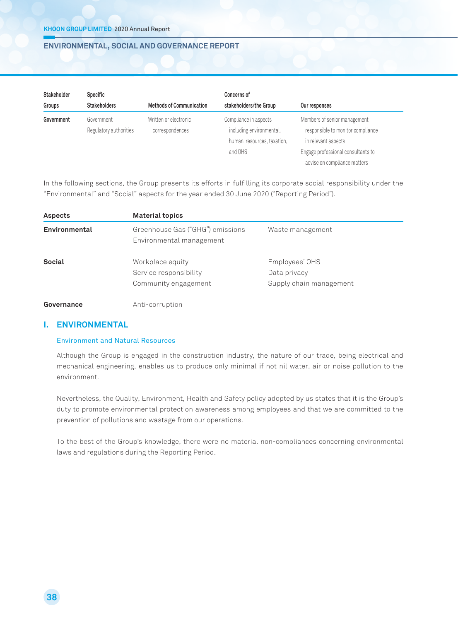| Stakeholder<br>Groups | Specific<br><b>Stakeholders</b>      | <b>Methods of Communication</b>          | Concerns of<br>stakeholders/the Group                                           | Our responses                                                                            |
|-----------------------|--------------------------------------|------------------------------------------|---------------------------------------------------------------------------------|------------------------------------------------------------------------------------------|
| Government            | Government<br>Regulatory authorities | Written or electronic<br>correspondences | Compliance in aspects<br>including environmental,<br>human resources, taxation, | Members of senior management<br>responsible to monitor compliance<br>in relevant aspects |
|                       |                                      |                                          | and OHS                                                                         | Engage professional consultants to<br>advise on compliance matters                       |

In the following sections, the Group presents its efforts in fulfilling its corporate social responsibility under the "Environmental" and "Social" aspects for the year ended 30 June 2020 ("Reporting Period").

| Aspects       | <b>Material topics</b>                                       |                         |
|---------------|--------------------------------------------------------------|-------------------------|
| Environmental | Greenhouse Gas ("GHG") emissions<br>Environmental management | Waste management        |
|               |                                                              |                         |
| Social        | Workplace equity                                             | Employees' OHS          |
|               | Service responsibility                                       | Data privacy            |
|               | Community engagement                                         | Supply chain management |
| Governance    | Anti-corruption                                              |                         |

# **i. ENVirONmENTAL**

# Environment and Natural Resources

Although the Group is engaged in the construction industry, the nature of our trade, being electrical and mechanical engineering, enables us to produce only minimal if not nil water, air or noise pollution to the environment.

Nevertheless, the Quality, Environment, Health and Safety policy adopted by us states that it is the Group's duty to promote environmental protection awareness among employees and that we are committed to the prevention of pollutions and wastage from our operations.

To the best of the Group's knowledge, there were no material non-compliances concerning environmental laws and regulations during the Reporting Period.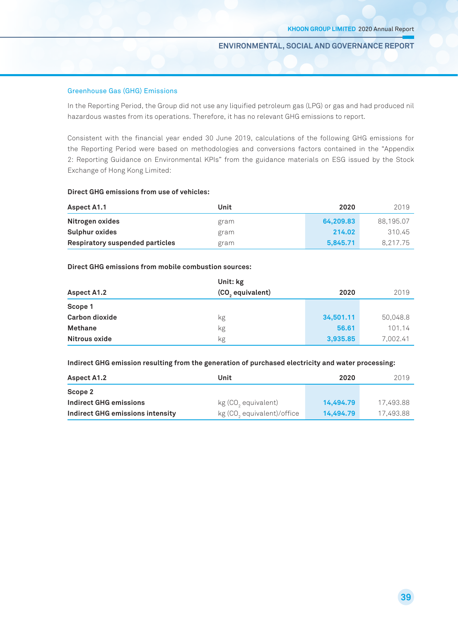# Greenhouse Gas (GHG) Emissions

In the Reporting Period, the Group did not use any liquified petroleum gas (LPG) or gas and had produced nil hazardous wastes from its operations. Therefore, it has no relevant GHG emissions to report.

Consistent with the financial year ended 30 June 2019, calculations of the following GHG emissions for the Reporting Period were based on methodologies and conversions factors contained in the "Appendix 2: Reporting Guidance on Environmental KPIs" from the guidance materials on ESG issued by the Stock Exchange of Hong Kong Limited:

# **direct GhG emissions from use of vehicles:**

| Aspect A1.1                     | Unit | 2020      | 2019      |
|---------------------------------|------|-----------|-----------|
| Nitrogen oxides                 | gram | 64.209.83 | 88,195.07 |
| <b>Sulphur oxides</b>           | gram | 214.02    | 310.45    |
| Respiratory suspended particles | gram | 5.845.71  | 8.217.75  |

## **direct GhG emissions from mobile combustion sources:**

|                | Unit: kg                     |           |          |
|----------------|------------------------------|-----------|----------|
| Aspect A1.2    | (CO <sub>2</sub> equivalent) | 2020      | 2019     |
| Scope 1        |                              |           |          |
| Carbon dioxide | kg                           | 34,501.11 | 50,048.8 |
| <b>Methane</b> | kg                           | 56.61     | 101.14   |
| Nitrous oxide  | kg                           | 3,935.85  | 7,002.41 |

# **indirect GhG emission resulting from the generation of purchased electricity and water processing:**

| Aspect A1.2                      | Unit                                   | 2020      | 2019      |
|----------------------------------|----------------------------------------|-----------|-----------|
| Scope 2                          |                                        |           |           |
| <b>Indirect GHG emissions</b>    | kg (CO <sub>2</sub> equivalent)        | 14.494.79 | 17.493.88 |
| Indirect GHG emissions intensity | kg (CO <sub>2</sub> equivalent)/office | 14.494.79 | 17.493.88 |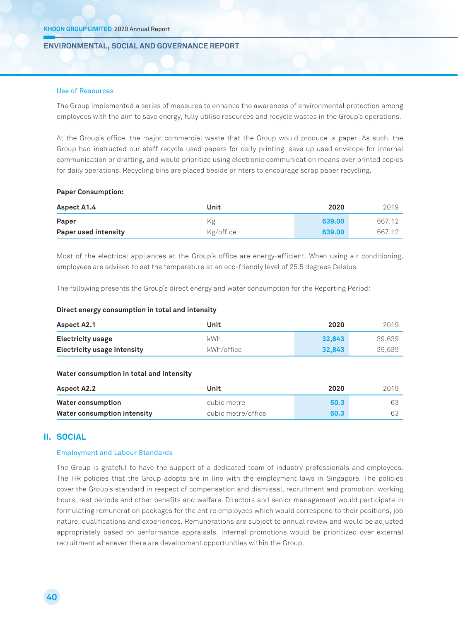#### Use of Resources

The Group implemented a series of measures to enhance the awareness of environmental protection among employees with the aim to save energy, fully utilise resources and recycle wastes in the Group's operations.

At the Group's office, the major commercial waste that the Group would produce is paper. As such, the Group had instructed our staff recycle used papers for daily printing, save up used envelope for internal communication or drafting, and would prioritize using electronic communication means over printed copies for daily operations. Recycling bins are placed beside printers to encourage scrap paper recycling.

#### **paper Consumption:**

| Aspect A1.4          | Unit      | 2020   | 2019   |
|----------------------|-----------|--------|--------|
| Paper                | Κg        | 639.00 | 667.12 |
| Paper used intensity | Kg/office | 639.00 | 667.12 |

Most of the electrical appliances at the Group's office are energy-efficient. When using air conditioning, employees are advised to set the temperature at an eco-friendly level of 25.5 degrees Celsius.

The following presents the Group's direct energy and water consumption for the Reporting Period:

#### **direct energy consumption in total and intensity**

| <b>Aspect A2.1</b>                 | Unit       | 2020   | 2019   |
|------------------------------------|------------|--------|--------|
| Electricity usage                  | kWh        | 32.843 | 39,639 |
| <b>Electricity usage intensity</b> | kWh/office | 32.843 | 39,639 |

#### **Water consumption in total and intensity**

| <b>Aspect A2.2</b>          | Unit               | 2020 | 2019 |
|-----------------------------|--------------------|------|------|
| Water consumption           | cubic metre        | 50.3 | 63   |
| Water consumption intensity | cubic metre/office | 50.3 | 63   |

# **ii. SOCiAL**

#### Employment and Labour Standards

The Group is grateful to have the support of a dedicated team of industry professionals and employees. The HR policies that the Group adopts are in line with the employment laws in Singapore. The policies cover the Group's standard in respect of compensation and dismissal, recruitment and promotion, working hours, rest periods and other benefits and welfare. Directors and senior management would participate in formulating remuneration packages for the entire employees which would correspond to their positions, job nature, qualifications and experiences. Remunerations are subject to annual review and would be adjusted appropriately based on performance appraisals. Internal promotions would be prioritized over external recruitment whenever there are development opportunities within the Group.

**40**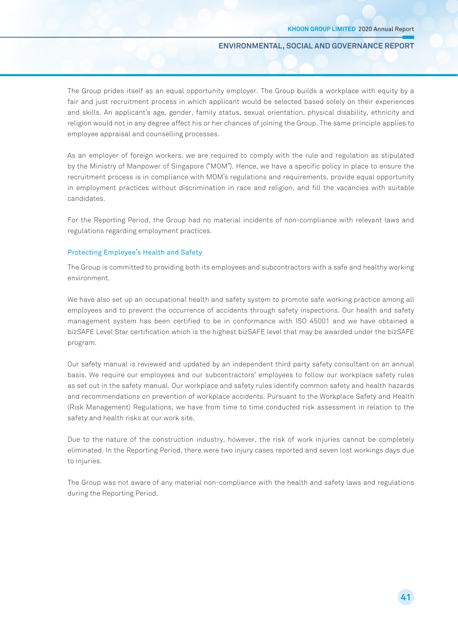The Group prides itself as an equal opportunity employer. The Group builds a workplace with equity by a fair and just recruitment process in which applicant would be selected based solely on their experiences and skills. An applicant's age, gender, family status, sexual orientation, physical disability, ethnicity and religion would not in any degree affect his or her chances of joining the Group. The same principle applies to employee appraisal and counselling processes.

As an employer of foreign workers, we are required to comply with the rule and regulation as stipulated by the Ministry of Manpower of Singapore ("MOM"). Hence, we have a specific policy in place to ensure the recruitment process is in compliance with MOM's regulations and requirements, provide equal opportunity in employment practices without discrimination in race and religion, and fill the vacancies with suitable candidates.

For the Reporting Period, the Group had no material incidents of non-compliance with relevant laws and regulations regarding employment practices.

#### Protecting Employee's Health and Safety

The Group is committed to providing both its employees and subcontractors with a safe and healthy working environment.

We have also set up an occupational health and safety system to promote safe working practice among all employees and to prevent the occurrence of accidents through safety inspections. Our health and safety management system has been certified to be in conformance with ISO 45001 and we have obtained a bizSAFE Level Star certification which is the highest bizSAFE level that may be awarded under the bizSAFE program.

Our safety manual is reviewed and updated by an independent third party safety consultant on an annual basis. We require our employees and our subcontractors' employees to follow our workplace safety rules as set out in the safety manual. Our workplace and safety rules identify common safety and health hazards and recommendations on prevention of workplace accidents. Pursuant to the Workplace Safety and Health (Risk Management) Regulations, we have from time to time conducted risk assessment in relation to the safety and health risks at our work site.

Due to the nature of the construction industry, however, the risk of work injuries cannot be completely eliminated. In the Reporting Period, there were two injury cases reported and seven lost workings days due to injuries.

The Group was not aware of any material non-compliance with the health and safety laws and regulations during the Reporting Period.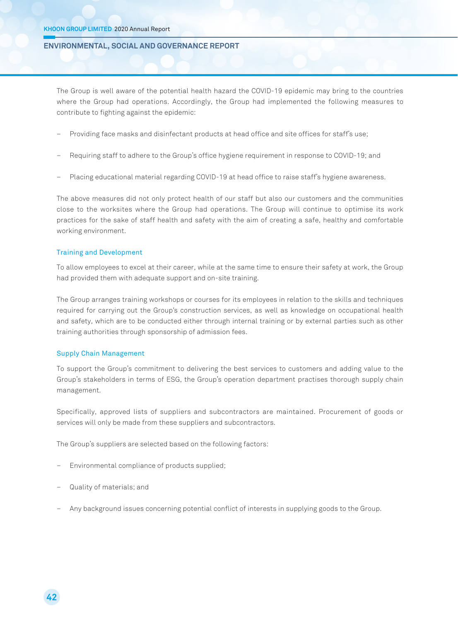The Group is well aware of the potential health hazard the COVID-19 epidemic may bring to the countries where the Group had operations. Accordingly, the Group had implemented the following measures to contribute to fighting against the epidemic:

- Providing face masks and disinfectant products at head office and site offices for staff's use;
- Requiring staff to adhere to the Group's office hygiene requirement in response to COVID-19; and
- Placing educational material regarding COVID-19 at head office to raise staff's hygiene awareness.

The above measures did not only protect health of our staff but also our customers and the communities close to the worksites where the Group had operations. The Group will continue to optimise its work practices for the sake of staff health and safety with the aim of creating a safe, healthy and comfortable working environment.

#### Training and Development

To allow employees to excel at their career, while at the same time to ensure their safety at work, the Group had provided them with adequate support and on-site training.

The Group arranges training workshops or courses for its employees in relation to the skills and techniques required for carrying out the Group's construction services, as well as knowledge on occupational health and safety, which are to be conducted either through internal training or by external parties such as other training authorities through sponsorship of admission fees.

#### Supply Chain Management

To support the Group's commitment to delivering the best services to customers and adding value to the Group's stakeholders in terms of ESG, the Group's operation department practises thorough supply chain management.

Specifically, approved lists of suppliers and subcontractors are maintained. Procurement of goods or services will only be made from these suppliers and subcontractors.

The Group's suppliers are selected based on the following factors:

- Environmental compliance of products supplied;
- Quality of materials; and
- Any background issues concerning potential conflict of interests in supplying goods to the Group.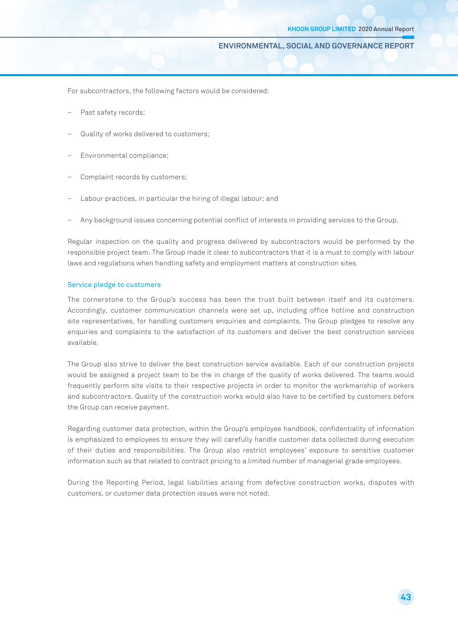For subcontractors, the following factors would be considered:

- Past safety records;
- Quality of works delivered to customers;
- Environmental compliance;
- Complaint records by customers;
- Labour practices, in particular the hiring of illegal labour; and
- Any background issues concerning potential conflict of interests in providing services to the Group.

Regular inspection on the quality and progress delivered by subcontractors would be performed by the responsible project team. The Group made it clear to subcontractors that it is a must to comply with labour laws and regulations when handling safety and employment matters at construction sites.

#### Service pledge to customers

The cornerstone to the Group's success has been the trust built between itself and its customers. Accordingly, customer communication channels were set up, including office hotline and construction site representatives, for handling customers enquiries and complaints. The Group pledges to resolve any enquiries and complaints to the satisfaction of its customers and deliver the best construction services available.

The Group also strive to deliver the best construction service available. Each of our construction projects would be assigned a project team to be the in charge of the quality of works delivered. The teams would frequently perform site visits to their respective projects in order to monitor the workmanship of workers and subcontractors. Quality of the construction works would also have to be certified by customers before the Group can receive payment.

Regarding customer data protection, within the Group's employee handbook, confidentiality of information is emphasized to employees to ensure they will carefully handle customer data collected during execution of their duties and responsibilities. The Group also restrict employees' exposure to sensitive customer information such as that related to contract pricing to a limited number of managerial grade employees.

During the Reporting Period, legal liabilities arising from defective construction works, disputes with customers, or customer data protection issues were not noted.

**43**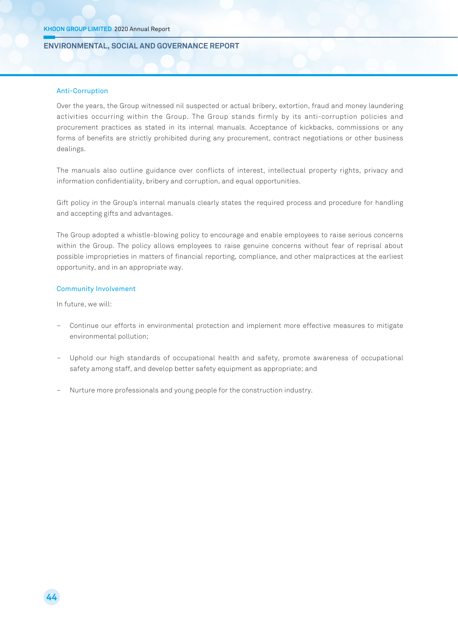#### Anti-Corruption

Over the years, the Group witnessed nil suspected or actual bribery, extortion, fraud and money laundering activities occurring within the Group. The Group stands firmly by its anti-corruption policies and procurement practices as stated in its internal manuals. Acceptance of kickbacks, commissions or any forms of benefits are strictly prohibited during any procurement, contract negotiations or other business dealings.

The manuals also outline guidance over conflicts of interest, intellectual property rights, privacy and information confidentiality, bribery and corruption, and equal opportunities.

Gift policy in the Group's internal manuals clearly states the required process and procedure for handling and accepting gifts and advantages.

The Group adopted a whistle-blowing policy to encourage and enable employees to raise serious concerns within the Group. The policy allows employees to raise genuine concerns without fear of reprisal about possible improprieties in matters of financial reporting, compliance, and other malpractices at the earliest opportunity, and in an appropriate way.

## Community Involvement

In future, we will:

- Continue our efforts in environmental protection and implement more effective measures to mitigate environmental pollution;
- Uphold our high standards of occupational health and safety, promote awareness of occupational safety among staff, and develop better safety equipment as appropriate; and
- Nurture more professionals and young people for the construction industry.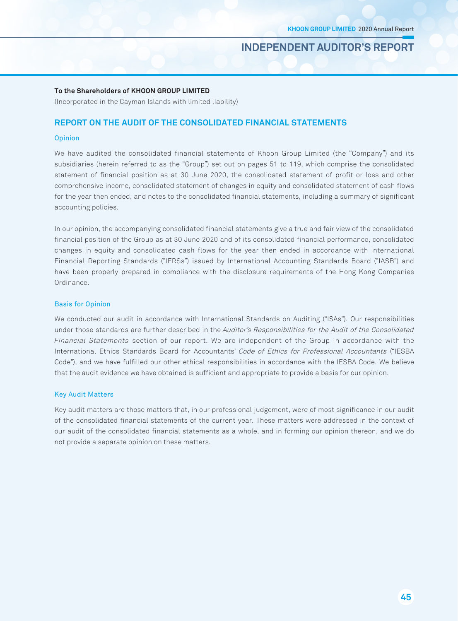# **INDEPENDENT AUDITOR'S REPORT**

### **To the Shareholders of KhOON GrOup LimiTEd**

(Incorporated in the Cayman Islands with limited liability)

# **rEpOrT ON ThE AudiT OF ThE CONSOLidATEd FiNANCiAL STATEmENTS**

#### **Opinion**

We have audited the consolidated financial statements of Khoon Group Limited (the "Company") and its subsidiaries (herein referred to as the "Group") set out on pages 51 to 119, which comprise the consolidated statement of financial position as at 30 June 2020, the consolidated statement of profit or loss and other comprehensive income, consolidated statement of changes in equity and consolidated statement of cash flows for the year then ended, and notes to the consolidated financial statements, including a summary of significant accounting policies.

In our opinion, the accompanying consolidated financial statements give a true and fair view of the consolidated financial position of the Group as at 30 June 2020 and of its consolidated financial performance, consolidated changes in equity and consolidated cash flows for the year then ended in accordance with International Financial Reporting Standards ("IFRSs") issued by International Accounting Standards Board ("IASB") and have been properly prepared in compliance with the disclosure requirements of the Hong Kong Companies Ordinance.

#### Basis for Opinion

We conducted our audit in accordance with International Standards on Auditing ("ISAs"). Our responsibilities under those standards are further described in the Auditor's Responsibilities for the Audit of the Consolidated Financial Statements section of our report. We are independent of the Group in accordance with the International Ethics Standards Board for Accountants' Code of Ethics for Professional Accountants ("IESBA Code"), and we have fulfilled our other ethical responsibilities in accordance with the IESBA Code. We believe that the audit evidence we have obtained is sufficient and appropriate to provide a basis for our opinion.

#### Key Audit Matters

Key audit matters are those matters that, in our professional judgement, were of most significance in our audit of the consolidated financial statements of the current year. These matters were addressed in the context of our audit of the consolidated financial statements as a whole, and in forming our opinion thereon, and we do not provide a separate opinion on these matters.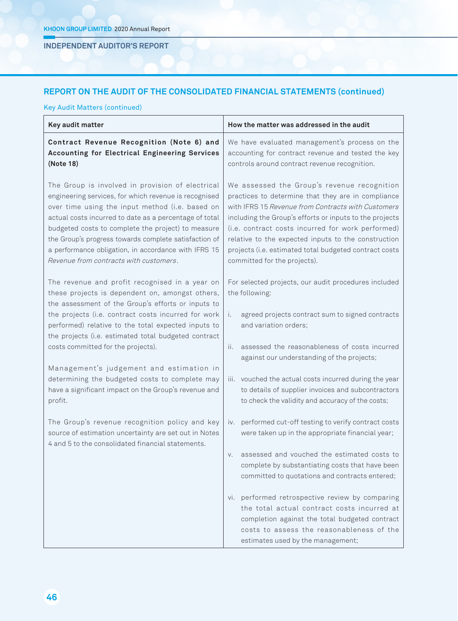**INDEPENDENT AUDITOR'S REPORT**

# **rEpOrT ON ThE AudiT OF ThE CONSOLidATEd FiNANCiAL STATEmENTS (continued)**

# Key Audit Matters (continued)

| Key audit matter                                                                                                                                                                                                                                                                                                                                                                                                                        | How the matter was addressed in the audit                                                                                                                                                                                                                                                                                                                                                                                |
|-----------------------------------------------------------------------------------------------------------------------------------------------------------------------------------------------------------------------------------------------------------------------------------------------------------------------------------------------------------------------------------------------------------------------------------------|--------------------------------------------------------------------------------------------------------------------------------------------------------------------------------------------------------------------------------------------------------------------------------------------------------------------------------------------------------------------------------------------------------------------------|
| Contract Revenue Recognition (Note 6) and<br><b>Accounting for Electrical Engineering Services</b><br>(Note 18)                                                                                                                                                                                                                                                                                                                         | We have evaluated management's process on the<br>accounting for contract revenue and tested the key<br>controls around contract revenue recognition.                                                                                                                                                                                                                                                                     |
| The Group is involved in provision of electrical<br>engineering services, for which revenue is recognised<br>over time using the input method (i.e. based on<br>actual costs incurred to date as a percentage of total<br>budgeted costs to complete the project) to measure<br>the Group's progress towards complete satisfaction of<br>a performance obligation, in accordance with IFRS 15<br>Revenue from contracts with customers. | We assessed the Group's revenue recognition<br>practices to determine that they are in compliance<br>with IFRS 15 Revenue from Contracts with Customers<br>including the Group's efforts or inputs to the projects<br>(i.e. contract costs incurred for work performed)<br>relative to the expected inputs to the construction<br>projects (i.e. estimated total budgeted contract costs<br>committed for the projects). |
| The revenue and profit recognised in a year on<br>these projects is dependent on, amongst others,<br>the assessment of the Group's efforts or inputs to                                                                                                                                                                                                                                                                                 | For selected projects, our audit procedures included<br>the following:                                                                                                                                                                                                                                                                                                                                                   |
| the projects (i.e. contract costs incurred for work<br>performed) relative to the total expected inputs to<br>the projects (i.e. estimated total budgeted contract                                                                                                                                                                                                                                                                      | agreed projects contract sum to signed contracts<br>Ť.<br>and variation orders;                                                                                                                                                                                                                                                                                                                                          |
| costs committed for the projects).                                                                                                                                                                                                                                                                                                                                                                                                      | assessed the reasonableness of costs incurred<br>ii.<br>against our understanding of the projects;                                                                                                                                                                                                                                                                                                                       |
| Management's judgement and estimation in<br>determining the budgeted costs to complete may<br>have a significant impact on the Group's revenue and<br>profit.                                                                                                                                                                                                                                                                           | iii. vouched the actual costs incurred during the year<br>to details of supplier invoices and subcontractors<br>to check the validity and accuracy of the costs;                                                                                                                                                                                                                                                         |
| The Group's revenue recognition policy and key<br>source of estimation uncertainty are set out in Notes<br>4 and 5 to the consolidated financial statements.                                                                                                                                                                                                                                                                            | performed cut-off testing to verify contract costs<br>IV.<br>were taken up in the appropriate financial year;                                                                                                                                                                                                                                                                                                            |
|                                                                                                                                                                                                                                                                                                                                                                                                                                         | assessed and vouched the estimated costs to<br>V.<br>complete by substantiating costs that have been<br>committed to quotations and contracts entered;                                                                                                                                                                                                                                                                   |
|                                                                                                                                                                                                                                                                                                                                                                                                                                         | performed retrospective review by comparing<br>VI.<br>the total actual contract costs incurred at<br>completion against the total budgeted contract<br>costs to assess the reasonableness of the<br>estimates used by the management;                                                                                                                                                                                    |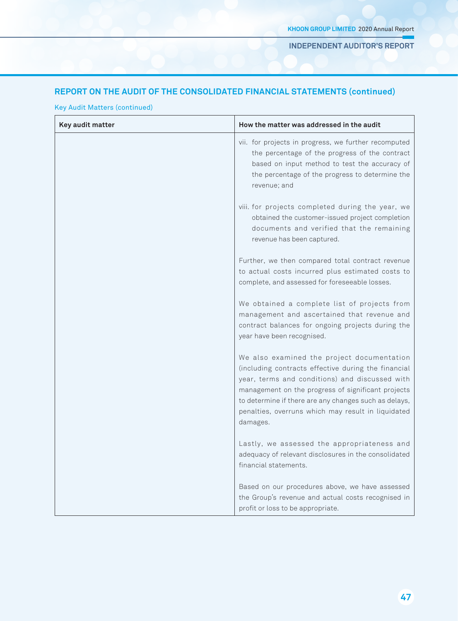# **rEpOrT ON ThE AudiT OF ThE CONSOLidATEd FiNANCiAL STATEmENTS (continued)**

# Key Audit Matters (continued)

| Key audit matter | How the matter was addressed in the audit                                                                                                                                                                                                                                                                                            |
|------------------|--------------------------------------------------------------------------------------------------------------------------------------------------------------------------------------------------------------------------------------------------------------------------------------------------------------------------------------|
|                  | vii. for projects in progress, we further recomputed<br>the percentage of the progress of the contract<br>based on input method to test the accuracy of<br>the percentage of the progress to determine the<br>revenue; and                                                                                                           |
|                  | viii. for projects completed during the year, we<br>obtained the customer-issued project completion<br>documents and verified that the remaining<br>revenue has been captured.                                                                                                                                                       |
|                  | Further, we then compared total contract revenue<br>to actual costs incurred plus estimated costs to<br>complete, and assessed for foreseeable losses.                                                                                                                                                                               |
|                  | We obtained a complete list of projects from<br>management and ascertained that revenue and<br>contract balances for ongoing projects during the<br>year have been recognised.                                                                                                                                                       |
|                  | We also examined the project documentation<br>(including contracts effective during the financial<br>year, terms and conditions) and discussed with<br>management on the progress of significant projects<br>to determine if there are any changes such as delays,<br>penalties, overruns which may result in liquidated<br>damages. |
|                  | Lastly, we assessed the appropriateness and<br>adequacy of relevant disclosures in the consolidated<br>financial statements.                                                                                                                                                                                                         |
|                  | Based on our procedures above, we have assessed<br>the Group's revenue and actual costs recognised in<br>profit or loss to be appropriate.                                                                                                                                                                                           |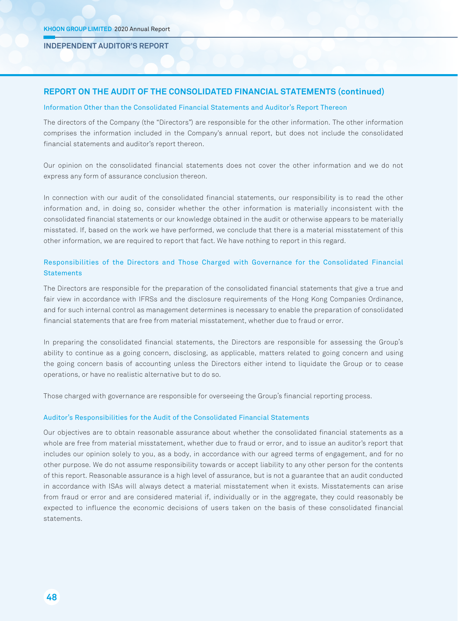#### **INDEPENDENT AUDITOR'S REPORT**

# **rEpOrT ON ThE AudiT OF ThE CONSOLidATEd FiNANCiAL STATEmENTS (continued)**

#### Information Other than the Consolidated Financial Statements and Auditor's Report Thereon

The directors of the Company (the "Directors") are responsible for the other information. The other information comprises the information included in the Company's annual report, but does not include the consolidated financial statements and auditor's report thereon.

Our opinion on the consolidated financial statements does not cover the other information and we do not express any form of assurance conclusion thereon.

In connection with our audit of the consolidated financial statements, our responsibility is to read the other information and, in doing so, consider whether the other information is materially inconsistent with the consolidated financial statements or our knowledge obtained in the audit or otherwise appears to be materially misstated. If, based on the work we have performed, we conclude that there is a material misstatement of this other information, we are required to report that fact. We have nothing to report in this regard.

# Responsibilities of the Directors and Those Charged with Governance for the Consolidated Financial **Statements**

The Directors are responsible for the preparation of the consolidated financial statements that give a true and fair view in accordance with IFRSs and the disclosure requirements of the Hong Kong Companies Ordinance, and for such internal control as management determines is necessary to enable the preparation of consolidated financial statements that are free from material misstatement, whether due to fraud or error.

In preparing the consolidated financial statements, the Directors are responsible for assessing the Group's ability to continue as a going concern, disclosing, as applicable, matters related to going concern and using the going concern basis of accounting unless the Directors either intend to liquidate the Group or to cease operations, or have no realistic alternative but to do so.

Those charged with governance are responsible for overseeing the Group's financial reporting process.

#### Auditor's Responsibilities for the Audit of the Consolidated Financial Statements

Our objectives are to obtain reasonable assurance about whether the consolidated financial statements as a whole are free from material misstatement, whether due to fraud or error, and to issue an auditor's report that includes our opinion solely to you, as a body, in accordance with our agreed terms of engagement, and for no other purpose. We do not assume responsibility towards or accept liability to any other person for the contents of this report. Reasonable assurance is a high level of assurance, but is not a guarantee that an audit conducted in accordance with ISAs will always detect a material misstatement when it exists. Misstatements can arise from fraud or error and are considered material if, individually or in the aggregate, they could reasonably be expected to influence the economic decisions of users taken on the basis of these consolidated financial statements.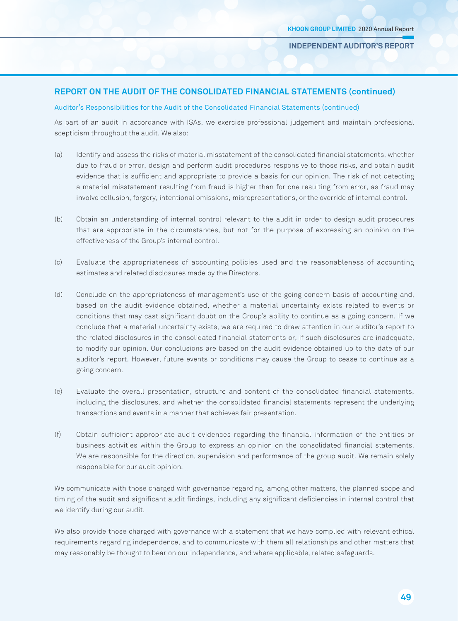# **rEpOrT ON ThE AudiT OF ThE CONSOLidATEd FiNANCiAL STATEmENTS (continued)**

#### Auditor's Responsibilities for the Audit of the Consolidated Financial Statements (continued)

As part of an audit in accordance with ISAs, we exercise professional judgement and maintain professional scepticism throughout the audit. We also:

- (a) Identify and assess the risks of material misstatement of the consolidated financial statements, whether due to fraud or error, design and perform audit procedures responsive to those risks, and obtain audit evidence that is sufficient and appropriate to provide a basis for our opinion. The risk of not detecting a material misstatement resulting from fraud is higher than for one resulting from error, as fraud may involve collusion, forgery, intentional omissions, misrepresentations, or the override of internal control.
- (b) Obtain an understanding of internal control relevant to the audit in order to design audit procedures that are appropriate in the circumstances, but not for the purpose of expressing an opinion on the effectiveness of the Group's internal control.
- (c) Evaluate the appropriateness of accounting policies used and the reasonableness of accounting estimates and related disclosures made by the Directors.
- (d) Conclude on the appropriateness of management's use of the going concern basis of accounting and, based on the audit evidence obtained, whether a material uncertainty exists related to events or conditions that may cast significant doubt on the Group's ability to continue as a going concern. If we conclude that a material uncertainty exists, we are required to draw attention in our auditor's report to the related disclosures in the consolidated financial statements or, if such disclosures are inadequate, to modify our opinion. Our conclusions are based on the audit evidence obtained up to the date of our auditor's report. However, future events or conditions may cause the Group to cease to continue as a going concern.
- (e) Evaluate the overall presentation, structure and content of the consolidated financial statements, including the disclosures, and whether the consolidated financial statements represent the underlying transactions and events in a manner that achieves fair presentation.
- (f) Obtain sufficient appropriate audit evidences regarding the financial information of the entities or business activities within the Group to express an opinion on the consolidated financial statements. We are responsible for the direction, supervision and performance of the group audit. We remain solely responsible for our audit opinion.

We communicate with those charged with governance regarding, among other matters, the planned scope and timing of the audit and significant audit findings, including any significant deficiencies in internal control that we identify during our audit.

We also provide those charged with governance with a statement that we have complied with relevant ethical requirements regarding independence, and to communicate with them all relationships and other matters that may reasonably be thought to bear on our independence, and where applicable, related safeguards.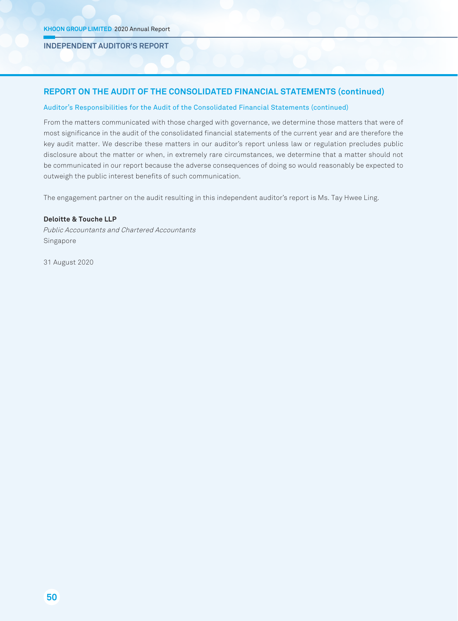**INDEPENDENT AUDITOR'S REPORT**

# **rEpOrT ON ThE AudiT OF ThE CONSOLidATEd FiNANCiAL STATEmENTS (continued)**

### Auditor's Responsibilities for the Audit of the Consolidated Financial Statements (continued)

From the matters communicated with those charged with governance, we determine those matters that were of most significance in the audit of the consolidated financial statements of the current year and are therefore the key audit matter. We describe these matters in our auditor's report unless law or regulation precludes public disclosure about the matter or when, in extremely rare circumstances, we determine that a matter should not be communicated in our report because the adverse consequences of doing so would reasonably be expected to outweigh the public interest benefits of such communication.

The engagement partner on the audit resulting in this independent auditor's report is Ms. Tay Hwee Ling.

## **deloitte & Touche LLp**

Public Accountants and Chartered Accountants Singapore

31 August 2020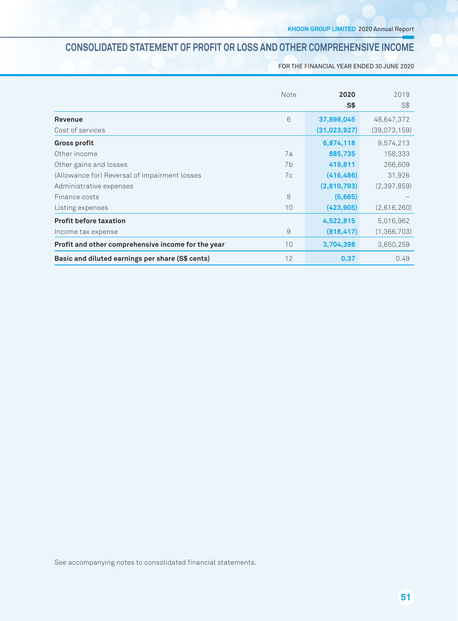# **CONSOLIDATED STATEMENT OF PROFIT OR LOSS AND OTHER COMPREHENSIVE INCOME**

FOR THE FINANCIAL YEAR ENDED 30 JUNE 2020

|                                                    | Note | 2020           | 2019         |
|----------------------------------------------------|------|----------------|--------------|
|                                                    |      | S\$            | S\$          |
| <b>Revenue</b>                                     | 6    | 37,898,045     | 48,647,372   |
| Cost of services                                   |      | (31, 023, 927) | (39,073,159) |
| <b>Gross profit</b>                                |      | 6,874,118      | 9,574,213    |
| Other income                                       | 7a   | 885,735        | 158,333      |
| Other gains and losses                             | 7b   | 419,811        | 266,609      |
| (Allowance for) Reversal of impairment losses      | 7c   | (416, 486)     | 31,926       |
| Administrative expenses                            |      | (2,810,793)    | (2,397,859)  |
| Finance costs                                      | 8    | (5,665)        |              |
| Listing expenses                                   | 10   | (423, 905)     | (2,616,260)  |
| <b>Profit before taxation</b>                      |      | 4,522,815      | 5,016,962    |
| Income tax expense                                 | 9    | (818, 417)     | (1,366,703)  |
| Profit and other comprehensive income for the year | 10   | 3,704,398      | 3,650,259    |
| Basic and diluted earnings per share (S\$ cents)   | 12   | 0.37           | 0.49         |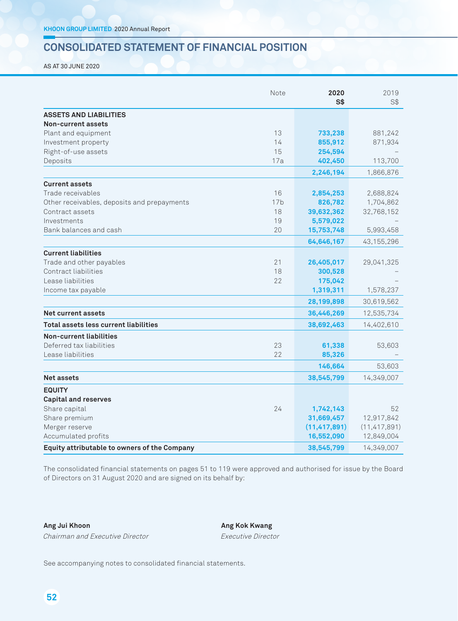# **CONSOLIDATED STATEMENT OF FINANCIAL POSITION**

AS AT 30 JUNE 2020

|                                              | Note            | 2020<br><b>S\$</b> | 2019<br>S\$    |
|----------------------------------------------|-----------------|--------------------|----------------|
| <b>ASSETS AND LIABILITIES</b>                |                 |                    |                |
| Non-current assets                           |                 |                    |                |
| Plant and equipment                          | 13              | 733,238            | 881,242        |
| Investment property                          | 14              | 855,912            | 871,934        |
| Right-of-use assets                          | 15              | 254,594            |                |
| Deposits                                     | 17a             | 402,450            | 113,700        |
|                                              |                 | 2,246,194          | 1,866,876      |
| <b>Current assets</b>                        |                 |                    |                |
| Trade receivables                            | 16              | 2,854,253          | 2,688,824      |
| Other receivables, deposits and prepayments  | 17 <sub>b</sub> | 826,782            | 1,704,862      |
| Contract assets                              | 18              | 39,632,362         | 32,768,152     |
| Investments                                  | 19              | 5,579,022          |                |
| Bank balances and cash                       | 20              | 15,753,748         | 5,993,458      |
|                                              |                 | 64,646,167         | 43, 155, 296   |
| <b>Current liabilities</b>                   |                 |                    |                |
| Trade and other payables                     | 21              | 26,405,017         | 29,041,325     |
| Contract liabilities                         | 18              | 300,528            |                |
| Lease liabilities                            | 22              | 175,042            |                |
| Income tax payable                           |                 | 1,319,311          | 1,578,237      |
|                                              |                 | 28,199,898         | 30,619,562     |
| Net current assets                           |                 | 36,446,269         | 12,535,734     |
| Total assets less current liabilities        |                 | 38,692,463         | 14,402,610     |
| <b>Non-current liabilities</b>               |                 |                    |                |
| Deferred tax liabilities                     | 23              | 61,338             | 53,603         |
| Lease liabilities                            | 22              | 85,326             |                |
|                                              |                 | 146,664            | 53,603         |
| Net assets                                   |                 | 38,545,799         | 14,349,007     |
| <b>EQUITY</b>                                |                 |                    |                |
| <b>Capital and reserves</b>                  |                 |                    |                |
| Share capital                                | 24              | 1,742,143          | 52             |
| Share premium                                |                 | 31,669,457         | 12,917,842     |
| Merger reserve                               |                 | (11, 417, 891)     | (11, 417, 891) |
| Accumulated profits                          |                 | 16,552,090         | 12,849,004     |
| Equity attributable to owners of the Company |                 | 38,545,799         | 14,349,007     |

The consolidated financial statements on pages 51 to 119 were approved and authorised for issue by the Board of Directors on 31 August 2020 and are signed on its behalf by:

**Ang Jui Khoon Ang Kok Kwang** Chairman and Executive Director Executive Director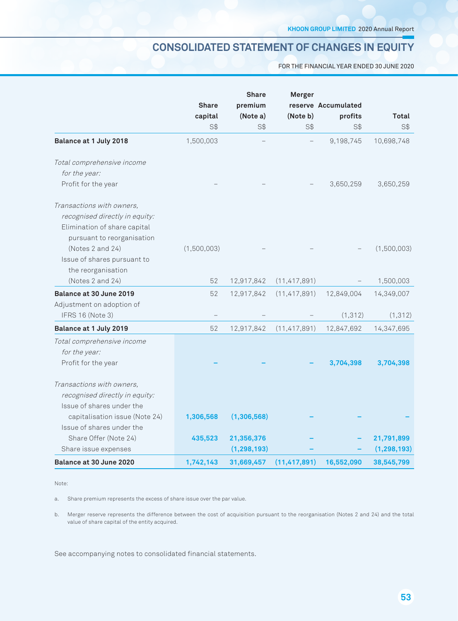# **CONSOLIDATED STATEMENT OF CHANGES IN EQUITY**

FOR THE FINANCIAL YEAR ENDED 30 JUNE 2020

|                                |              | <b>Share</b>  | Merger         |                     |               |
|--------------------------------|--------------|---------------|----------------|---------------------|---------------|
|                                | <b>Share</b> | premium       |                | reserve Accumulated |               |
|                                | capital      | (Note a)      | (Note b)       | profits             | <b>Total</b>  |
|                                | S\$          | S\$           | S\$            | S\$                 | S\$           |
| Balance at 1 July 2018         | 1,500,003    |               |                | 9,198,745           | 10,698,748    |
| Total comprehensive income     |              |               |                |                     |               |
| for the year:                  |              |               |                |                     |               |
| Profit for the year            |              |               |                | 3,650,259           | 3,650,259     |
| Transactions with owners,      |              |               |                |                     |               |
| recognised directly in equity: |              |               |                |                     |               |
| Elimination of share capital   |              |               |                |                     |               |
| pursuant to reorganisation     |              |               |                |                     |               |
| (Notes 2 and 24)               | (1,500,003)  |               |                |                     | (1,500,003)   |
| Issue of shares pursuant to    |              |               |                |                     |               |
| the reorganisation             |              |               |                |                     |               |
| (Notes 2 and 24)               | 52           | 12,917,842    | (11, 417, 891) |                     | 1,500,003     |
| Balance at 30 June 2019        | 52           | 12,917,842    | (11, 417, 891) | 12,849,004          | 14,349,007    |
| Adjustment on adoption of      |              |               |                |                     |               |
| IFRS 16 (Note 3)               |              |               |                | (1, 312)            | (1, 312)      |
| Balance at 1 July 2019         | 52           | 12,917,842    | (11, 417, 891) | 12,847,692          | 14,347,695    |
| Total comprehensive income     |              |               |                |                     |               |
| for the year:                  |              |               |                |                     |               |
| Profit for the year            |              |               |                | 3,704,398           | 3,704,398     |
| Transactions with owners,      |              |               |                |                     |               |
| recognised directly in equity: |              |               |                |                     |               |
| Issue of shares under the      |              |               |                |                     |               |
| capitalisation issue (Note 24) | 1,306,568    | (1,306,568)   |                |                     |               |
| Issue of shares under the      |              |               |                |                     |               |
| Share Offer (Note 24)          | 435,523      | 21,356,376    |                |                     | 21,791,899    |
| Share issue expenses           |              | (1, 298, 193) |                |                     | (1, 298, 193) |
| Balance at 30 June 2020        | 1,742,143    | 31,669,457    | (11, 417, 891) | 16,552,090          | 38,545,799    |

Note:

a. Share premium represents the excess of share issue over the par value.

b. Merger reserve represents the difference between the cost of acquisition pursuant to the reorganisation (Notes 2 and 24) and the total value of share capital of the entity acquired.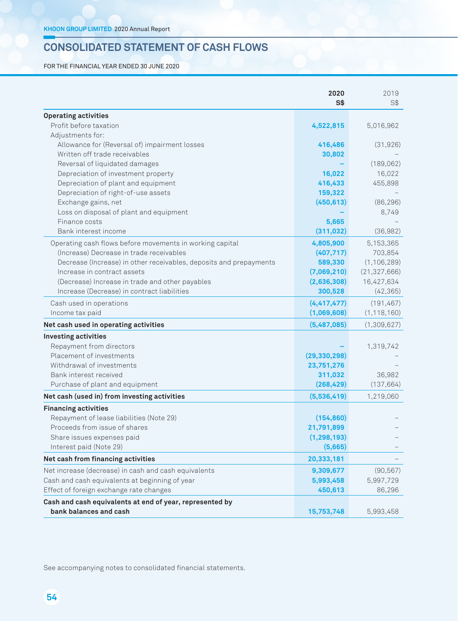# **CONSOLIDATED STATEMENT OF CASH FLOWS**

FOR THE FINANCIAL YEAR ENDED 30 JUNE 2020

|                                                                    | 2020<br>S <sub>3</sub> | 2019<br>S\$    |
|--------------------------------------------------------------------|------------------------|----------------|
| <b>Operating activities</b>                                        |                        |                |
| Profit before taxation                                             | 4,522,815              | 5,016,962      |
| Adjustments for:                                                   |                        |                |
| Allowance for (Reversal of) impairment losses                      | 416,486                | (31, 926)      |
| Written off trade receivables                                      | 30,802                 |                |
| Reversal of liquidated damages                                     |                        | (189, 062)     |
| Depreciation of investment property                                | 16,022                 | 16,022         |
| Depreciation of plant and equipment                                | 416,433                | 455,898        |
| Depreciation of right-of-use assets                                | 159,322                |                |
| Exchange gains, net                                                | (450, 613)             | (86, 296)      |
| Loss on disposal of plant and equipment                            |                        | 8,749          |
| Finance costs                                                      | 5,665                  |                |
| Bank interest income                                               | (311, 032)             | (36, 982)      |
| Operating cash flows before movements in working capital           | 4,805,900              | 5,153,365      |
| (Increase) Decrease in trade receivables                           | (407, 717)             | 703,854        |
| Decrease (Increase) in other receivables, deposits and prepayments | 589,330                | (1, 106, 289)  |
| Increase in contract assets                                        | (7,069,210)            | (21, 327, 666) |
| (Decrease) Increase in trade and other payables                    | (2,636,308)            | 16,427,634     |
| Increase (Decrease) in contract liabilities                        | 300,528                | (42, 365)      |
| Cash used in operations                                            | (4, 417, 477)          | (191, 467)     |
| Income tax paid                                                    | (1,069,608)            | (1, 118, 160)  |
| Net cash used in operating activities                              | (5,487,085)            | (1,309,627)    |
| <b>Investing activities</b>                                        |                        |                |
| Repayment from directors                                           |                        | 1,319,742      |
| Placement of investments                                           | (29, 330, 298)         |                |
| Withdrawal of investments                                          | 23,751,276             |                |
| Bank interest received                                             | 311,032                | 36,982         |
| Purchase of plant and equipment                                    | (268, 429)             | (137, 664)     |
| Net cash (used in) from investing activities                       | (5,536,419)            | 1,219,060      |
| <b>Financing activities</b>                                        |                        |                |
| Repayment of lease liabilities (Note 29)                           | (154, 860)             |                |
| Proceeds from issue of shares                                      | 21,791,899             |                |
| Share issues expenses paid                                         | (1, 298, 193)          |                |
| Interest paid (Note 29)                                            | (5,665)                |                |
| Net cash from financing activities                                 | 20,333,181             |                |
| Net increase (decrease) in cash and cash equivalents               | 9,309,677              | (90, 567)      |
| Cash and cash equivalents at beginning of year                     | 5,993,458              | 5,997,729      |
| Effect of foreign exchange rate changes                            | 450,613                | 86,296         |
| Cash and cash equivalents at end of year, represented by           |                        |                |
| bank balances and cash                                             | 15,753,748             | 5,993,458      |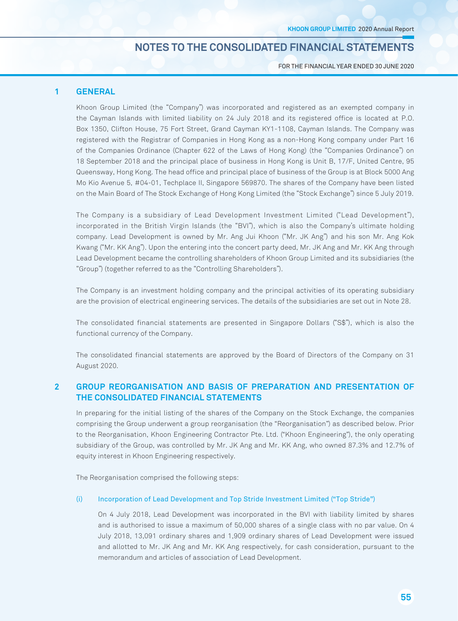FOR THE FINANCIAL YEAR ENDED 30 JUNE 2020

# **1 GENErAL**

Khoon Group Limited (the "Company") was incorporated and registered as an exempted company in the Cayman Islands with limited liability on 24 July 2018 and its registered office is located at P.O. Box 1350, Clifton House, 75 Fort Street, Grand Cayman KY1-1108, Cayman Islands. The Company was registered with the Registrar of Companies in Hong Kong as a non-Hong Kong company under Part 16 of the Companies Ordinance (Chapter 622 of the Laws of Hong Kong) (the "Companies Ordinance") on 18 September 2018 and the principal place of business in Hong Kong is Unit B, 17/F, United Centre, 95 Queensway, Hong Kong. The head office and principal place of business of the Group is at Block 5000 Ang Mo Kio Avenue 5, #04-01, Techplace II, Singapore 569870. The shares of the Company have been listed on the Main Board of The Stock Exchange of Hong Kong Limited (the "Stock Exchange") since 5 July 2019.

The Company is a subsidiary of Lead Development Investment Limited ("Lead Development"), incorporated in the British Virgin Islands (the "BVI"), which is also the Company's ultimate holding company. Lead Development is owned by Mr. Ang Jui Khoon ("Mr. JK Ang") and his son Mr. Ang Kok Kwang ("Mr. KK Ang"). Upon the entering into the concert party deed, Mr. JK Ang and Mr. KK Ang through Lead Development became the controlling shareholders of Khoon Group Limited and its subsidiaries (the "Group") (together referred to as the "Controlling Shareholders").

The Company is an investment holding company and the principal activities of its operating subsidiary are the provision of electrical engineering services. The details of the subsidiaries are set out in Note 28.

The consolidated financial statements are presented in Singapore Dollars ("S\$"), which is also the functional currency of the Company.

The consolidated financial statements are approved by the Board of Directors of the Company on 31 August 2020.

# **2 GrOup rEOrGANiSATiON ANd BASiS OF prEpArATiON ANd prESENTATiON OF ThE CONSOLidATEd FiNANCiAL STATEmENTS**

In preparing for the initial listing of the shares of the Company on the Stock Exchange, the companies comprising the Group underwent a group reorganisation (the "Reorganisation") as described below. Prior to the Reorganisation, Khoon Engineering Contractor Pte. Ltd. ("Khoon Engineering"), the only operating subsidiary of the Group, was controlled by Mr. JK Ang and Mr. KK Ang, who owned 87.3% and 12.7% of equity interest in Khoon Engineering respectively.

The Reorganisation comprised the following steps:

# (i) Incorporation of Lead Development and Top Stride Investment Limited ("Top Stride")

On 4 July 2018, Lead Development was incorporated in the BVI with liability limited by shares and is authorised to issue a maximum of 50,000 shares of a single class with no par value. On 4 July 2018, 13,091 ordinary shares and 1,909 ordinary shares of Lead Development were issued and allotted to Mr. JK Ang and Mr. KK Ang respectively, for cash consideration, pursuant to the memorandum and articles of association of Lead Development.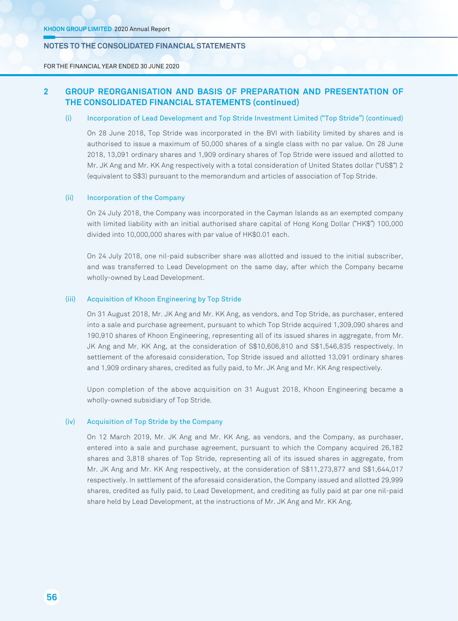FOR THE FINANCIAL YEAR ENDED 30 JUNE 2020

# **2 GrOup rEOrGANiSATiON ANd BASiS OF prEpArATiON ANd prESENTATiON OF ThE CONSOLidATEd FiNANCiAL STATEmENTS (continued)**

## (i) Incorporation of Lead Development and Top Stride Investment Limited ("Top Stride") (continued)

On 28 June 2018, Top Stride was incorporated in the BVI with liability limited by shares and is authorised to issue a maximum of 50,000 shares of a single class with no par value. On 28 June 2018, 13,091 ordinary shares and 1,909 ordinary shares of Top Stride were issued and allotted to Mr. JK Ang and Mr. KK Ang respectively with a total consideration of United States dollar ("US\$") 2 (equivalent to S\$3) pursuant to the memorandum and articles of association of Top Stride.

#### (ii) Incorporation of the Company

On 24 July 2018, the Company was incorporated in the Cayman Islands as an exempted company with limited liability with an initial authorised share capital of Hong Kong Dollar ("HK\$") 100,000 divided into 10,000,000 shares with par value of HK\$0.01 each.

On 24 July 2018, one nil-paid subscriber share was allotted and issued to the initial subscriber, and was transferred to Lead Development on the same day, after which the Company became wholly-owned by Lead Development.

# (iii) Acquisition of Khoon Engineering by Top Stride

On 31 August 2018, Mr. JK Ang and Mr. KK Ang, as vendors, and Top Stride, as purchaser, entered into a sale and purchase agreement, pursuant to which Top Stride acquired 1,309,090 shares and 190,910 shares of Khoon Engineering, representing all of its issued shares in aggregate, from Mr. JK Ang and Mr. KK Ang, at the consideration of S\$10,606,810 and S\$1,546,835 respectively. In settlement of the aforesaid consideration, Top Stride issued and allotted 13,091 ordinary shares and 1,909 ordinary shares, credited as fully paid, to Mr. JK Ang and Mr. KK Ang respectively.

Upon completion of the above acquisition on 31 August 2018, Khoon Engineering became a wholly-owned subsidiary of Top Stride.

### (iv) Acquisition of Top Stride by the Company

On 12 March 2019, Mr. JK Ang and Mr. KK Ang, as vendors, and the Company, as purchaser, entered into a sale and purchase agreement, pursuant to which the Company acquired 26,182 shares and 3,818 shares of Top Stride, representing all of its issued shares in aggregate, from Mr. JK Ang and Mr. KK Ang respectively, at the consideration of S\$11,273,877 and S\$1,644,017 respectively. In settlement of the aforesaid consideration, the Company issued and allotted 29,999 shares, credited as fully paid, to Lead Development, and crediting as fully paid at par one nil-paid share held by Lead Development, at the instructions of Mr. JK Ang and Mr. KK Ang.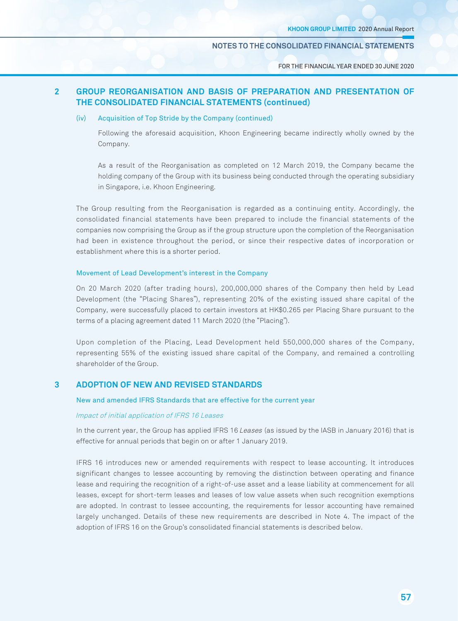FOR THE FINANCIAL YEAR ENDED 30 JUNE 2020

# **2 GrOup rEOrGANiSATiON ANd BASiS OF prEpArATiON ANd prESENTATiON OF ThE CONSOLidATEd FiNANCiAL STATEmENTS (continued)**

### (iv) Acquisition of Top Stride by the Company (continued)

Following the aforesaid acquisition, Khoon Engineering became indirectly wholly owned by the Company.

As a result of the Reorganisation as completed on 12 March 2019, the Company became the holding company of the Group with its business being conducted through the operating subsidiary in Singapore, i.e. Khoon Engineering.

The Group resulting from the Reorganisation is regarded as a continuing entity. Accordingly, the consolidated financial statements have been prepared to include the financial statements of the companies now comprising the Group as if the group structure upon the completion of the Reorganisation had been in existence throughout the period, or since their respective dates of incorporation or establishment where this is a shorter period.

#### Movement of Lead Development's interest in the Company

On 20 March 2020 (after trading hours), 200,000,000 shares of the Company then held by Lead Development (the "Placing Shares"), representing 20% of the existing issued share capital of the Company, were successfully placed to certain investors at HK\$0.265 per Placing Share pursuant to the terms of a placing agreement dated 11 March 2020 (the "Placing").

Upon completion of the Placing, Lead Development held 550,000,000 shares of the Company, representing 55% of the existing issued share capital of the Company, and remained a controlling shareholder of the Group.

# **3 AdOpTiON OF NEW ANd rEViSEd STANdArdS**

#### New and amended IFRS Standards that are effective for the current year

#### Impact of initial application of IFRS 16 Leases

In the current year, the Group has applied IFRS 16 Leases (as issued by the IASB in January 2016) that is effective for annual periods that begin on or after 1 January 2019.

IFRS 16 introduces new or amended requirements with respect to lease accounting. It introduces significant changes to lessee accounting by removing the distinction between operating and finance lease and requiring the recognition of a right-of-use asset and a lease liability at commencement for all leases, except for short-term leases and leases of low value assets when such recognition exemptions are adopted. In contrast to lessee accounting, the requirements for lessor accounting have remained largely unchanged. Details of these new requirements are described in Note 4. The impact of the adoption of IFRS 16 on the Group's consolidated financial statements is described below.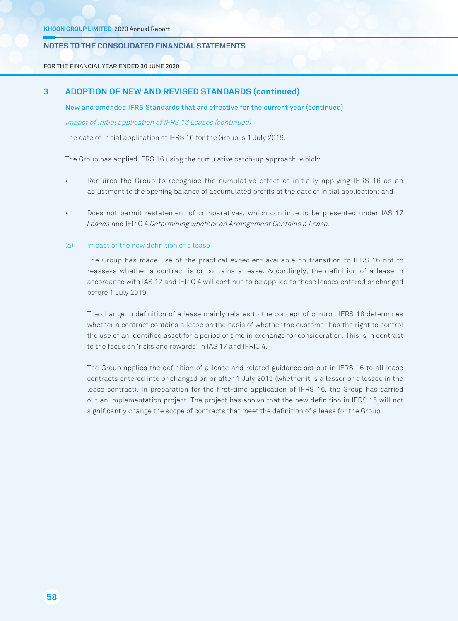FOR THE FINANCIAL YEAR ENDED 30 JUNE 2020

# **3 AdOpTiON OF NEW ANd rEViSEd STANdArdS (continued)**

New and amended IFRS Standards that are effective for the current year (continued)

Impact of initial application of IFRS 16 Leases (continued)

The date of initial application of IFRS 16 for the Group is 1 July 2019.

The Group has applied IFRS 16 using the cumulative catch-up approach, which:

- Requires the Group to recognise the cumulative effect of initially applying IFRS 16 as an adjustment to the opening balance of accumulated profits at the date of initial application; and
- Does not permit restatement of comparatives, which continue to be presented under IAS 17 Leases and IFRIC 4 Determining whether an Arrangement Contains a Lease.

#### (a) Impact of the new definition of a lease

The Group has made use of the practical expedient available on transition to IFRS 16 not to reassess whether a contract is or contains a lease. Accordingly, the definition of a lease in accordance with IAS 17 and IFRIC 4 will continue to be applied to those leases entered or changed before 1 July 2019.

The change in definition of a lease mainly relates to the concept of control. IFRS 16 determines whether a contract contains a lease on the basis of whether the customer has the right to control the use of an identified asset for a period of time in exchange for consideration. This is in contrast to the focus on 'risks and rewards' in IAS 17 and IFRIC 4.

The Group applies the definition of a lease and related guidance set out in IFRS 16 to all lease contracts entered into or changed on or after 1 July 2019 (whether it is a lessor or a lessee in the lease contract). In preparation for the first-time application of IFRS 16, the Group has carried out an implementation project. The project has shown that the new definition in IFRS 16 will not significantly change the scope of contracts that meet the definition of a lease for the Group.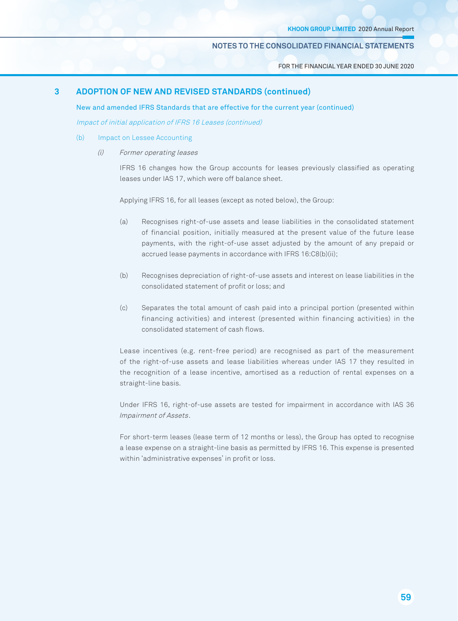FOR THE FINANCIAL YEAR ENDED 30 JUNE 2020

# **3 AdOpTiON OF NEW ANd rEViSEd STANdArdS (continued)**

New and amended IFRS Standards that are effective for the current year (continued)

Impact of initial application of IFRS 16 Leases (continued)

- (b) Impact on Lessee Accounting
	- (i) Former operating leases

IFRS 16 changes how the Group accounts for leases previously classified as operating leases under IAS 17, which were off balance sheet.

Applying IFRS 16, for all leases (except as noted below), the Group:

- (a) Recognises right-of-use assets and lease liabilities in the consolidated statement of financial position, initially measured at the present value of the future lease payments, with the right-of-use asset adjusted by the amount of any prepaid or accrued lease payments in accordance with IFRS 16:C8(b)(ii);
- (b) Recognises depreciation of right-of-use assets and interest on lease liabilities in the consolidated statement of profit or loss; and
- (c) Separates the total amount of cash paid into a principal portion (presented within financing activities) and interest (presented within financing activities) in the consolidated statement of cash flows.

Lease incentives (e.g. rent-free period) are recognised as part of the measurement of the right-of-use assets and lease liabilities whereas under IAS 17 they resulted in the recognition of a lease incentive, amortised as a reduction of rental expenses on a straight-line basis.

Under IFRS 16, right-of-use assets are tested for impairment in accordance with IAS 36 Impairment of Assets.

For short-term leases (lease term of 12 months or less), the Group has opted to recognise a lease expense on a straight-line basis as permitted by IFRS 16. This expense is presented within 'administrative expenses' in profit or loss.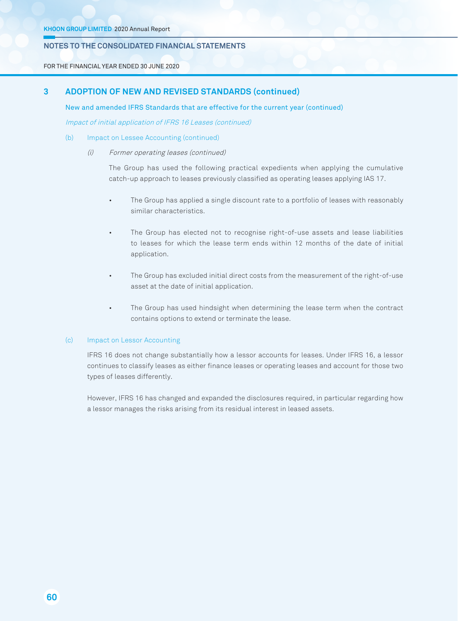FOR THE FINANCIAL YEAR ENDED 30 JUNE 2020

# **3 AdOpTiON OF NEW ANd rEViSEd STANdArdS (continued)**

New and amended IFRS Standards that are effective for the current year (continued)

Impact of initial application of IFRS 16 Leases (continued)

- (b) Impact on Lessee Accounting (continued)
	- (i) Former operating leases (continued)

The Group has used the following practical expedients when applying the cumulative catch-up approach to leases previously classified as operating leases applying IAS 17.

- The Group has applied a single discount rate to a portfolio of leases with reasonably similar characteristics.
- The Group has elected not to recognise right-of-use assets and lease liabilities to leases for which the lease term ends within 12 months of the date of initial application.
- The Group has excluded initial direct costs from the measurement of the right-of-use asset at the date of initial application.
- The Group has used hindsight when determining the lease term when the contract contains options to extend or terminate the lease.

# (c) Impact on Lessor Accounting

IFRS 16 does not change substantially how a lessor accounts for leases. Under IFRS 16, a lessor continues to classify leases as either finance leases or operating leases and account for those two types of leases differently.

However, IFRS 16 has changed and expanded the disclosures required, in particular regarding how a lessor manages the risks arising from its residual interest in leased assets.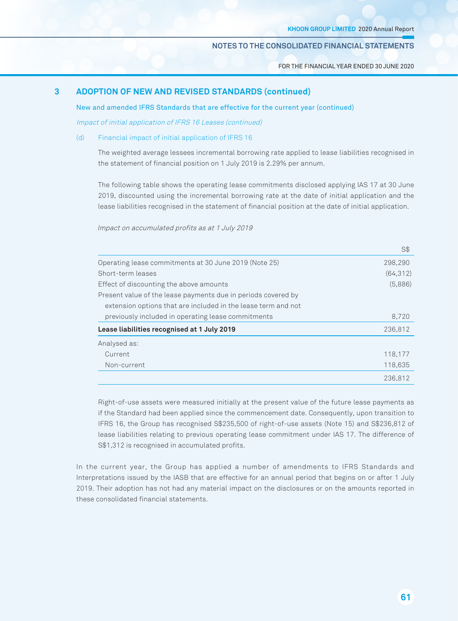FOR THE FINANCIAL YEAR ENDED 30 JUNE 2020

# **3 AdOpTiON OF NEW ANd rEViSEd STANdArdS (continued)**

New and amended IFRS Standards that are effective for the current year (continued)

Impact of initial application of IFRS 16 Leases (continued)

# (d) Financial impact of initial application of IFRS 16

The weighted average lessees incremental borrowing rate applied to lease liabilities recognised in the statement of financial position on 1 July 2019 is 2.29% per annum.

The following table shows the operating lease commitments disclosed applying IAS 17 at 30 June 2019, discounted using the incremental borrowing rate at the date of initial application and the lease liabilities recognised in the statement of financial position at the date of initial application.

Impact on accumulated profits as at 1 July 2019

|                                                               | S\$       |
|---------------------------------------------------------------|-----------|
| Operating lease commitments at 30 June 2019 (Note 25)         | 298,290   |
| Short-term leases                                             | (64, 312) |
| Effect of discounting the above amounts                       | (5,886)   |
| Present value of the lease payments due in periods covered by |           |
| extension options that are included in the lease term and not |           |
| previously included in operating lease commitments            | 8,720     |
| Lease liabilities recognised at 1 July 2019                   | 236,812   |
| Analysed as:                                                  |           |
| Current                                                       | 118,177   |
| Non-current                                                   | 118,635   |
|                                                               | 236.812   |

Right-of-use assets were measured initially at the present value of the future lease payments as if the Standard had been applied since the commencement date. Consequently, upon transition to IFRS 16, the Group has recognised S\$235,500 of right-of-use assets (Note 15) and S\$236,812 of lease liabilities relating to previous operating lease commitment under IAS 17. The difference of S\$1,312 is recognised in accumulated profits.

In the current year, the Group has applied a number of amendments to IFRS Standards and Interpretations issued by the IASB that are effective for an annual period that begins on or after 1 July 2019. Their adoption has not had any material impact on the disclosures or on the amounts reported in these consolidated financial statements.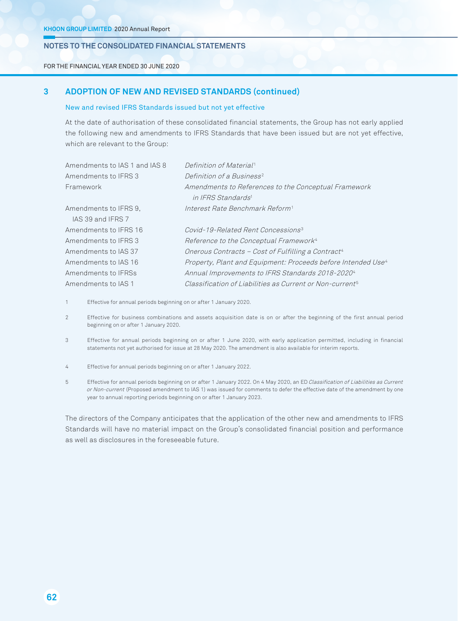FOR THE FINANCIAL YEAR ENDED 30 JUNE 2020

# **3 AdOpTiON OF NEW ANd rEViSEd STANdArdS (continued)**

### New and revised IFRS Standards issued but not yet effective

At the date of authorisation of these consolidated financial statements, the Group has not early applied the following new and amendments to IFRS Standards that have been issued but are not yet effective, which are relevant to the Group:

| Amendments to IAS 1 and IAS 8 | Definition of Material <sup>1</sup>                                                    |
|-------------------------------|----------------------------------------------------------------------------------------|
| Amendments to IFRS 3          | Definition of a Business <sup>2</sup>                                                  |
| Framework                     | Amendments to References to the Conceptual Framework<br>in IFRS Standards <sup>1</sup> |
| Amendments to IFRS 9.         | Interest Rate Benchmark Reform <sup>1</sup>                                            |
| IAS 39 and IFRS 7             |                                                                                        |
| Amendments to IFRS 16         | Covid-19-Related Rent Concessions <sup>3</sup>                                         |
| Amendments to IFRS 3          | Reference to the Conceptual Framework <sup>4</sup>                                     |
| Amendments to IAS 37          | Onerous Contracts - Cost of Fulfilling a Contract <sup>4</sup>                         |
| Amendments to IAS 16          | Property, Plant and Equipment: Proceeds before Intended Use <sup>4</sup>               |
| Amendments to IFRSs           | Annual Improvements to IFRS Standards 2018-2020 <sup>4</sup>                           |
| Amendments to IAS 1           | Classification of Liabilities as Current or Non-current <sup>5</sup>                   |

1 Effective for annual periods beginning on or after 1 January 2020.

- 2 Effective for business combinations and assets acquisition date is on or after the beginning of the first annual period beginning on or after 1 January 2020.
- 3 Effective for annual periods beginning on or after 1 June 2020, with early application permitted, including in financial statements not yet authorised for issue at 28 May 2020. The amendment is also available for interim reports.
- 4 Effective for annual periods beginning on or after 1 January 2022.
- 5 Effective for annual periods beginning on or after 1 January 2022. On 4 May 2020, an ED Classification of Liabilities as Current or Non-current (Proposed amendment to IAS 1) was issued for comments to defer the effective date of the amendment by one year to annual reporting periods beginning on or after 1 January 2023.

The directors of the Company anticipates that the application of the other new and amendments to IFRS Standards will have no material impact on the Group's consolidated financial position and performance as well as disclosures in the foreseeable future.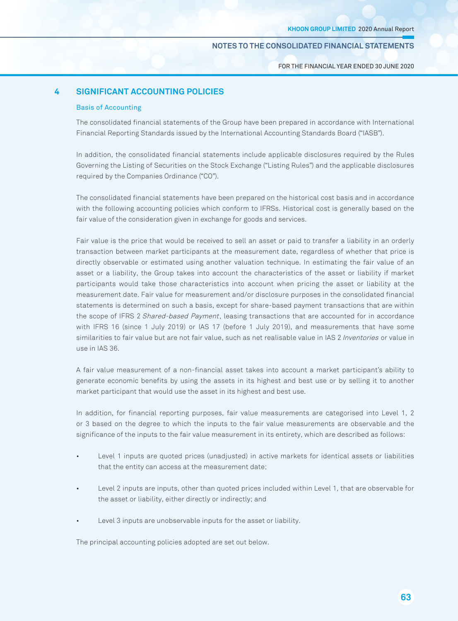FOR THE FINANCIAL YEAR ENDED 30 JUNE 2020

# **4 SiGNiFiCANT ACCOuNTiNG pOLiCiES**

#### Basis of Accounting

The consolidated financial statements of the Group have been prepared in accordance with International Financial Reporting Standards issued by the International Accounting Standards Board ("IASB").

In addition, the consolidated financial statements include applicable disclosures required by the Rules Governing the Listing of Securities on the Stock Exchange ("Listing Rules") and the applicable disclosures required by the Companies Ordinance ("CO").

The consolidated financial statements have been prepared on the historical cost basis and in accordance with the following accounting policies which conform to IFRSs. Historical cost is generally based on the fair value of the consideration given in exchange for goods and services.

Fair value is the price that would be received to sell an asset or paid to transfer a liability in an orderly transaction between market participants at the measurement date, regardless of whether that price is directly observable or estimated using another valuation technique. In estimating the fair value of an asset or a liability, the Group takes into account the characteristics of the asset or liability if market participants would take those characteristics into account when pricing the asset or liability at the measurement date. Fair value for measurement and/or disclosure purposes in the consolidated financial statements is determined on such a basis, except for share-based payment transactions that are within the scope of IFRS 2 Shared-based Payment, leasing transactions that are accounted for in accordance with IFRS 16 (since 1 July 2019) or IAS 17 (before 1 July 2019), and measurements that have some similarities to fair value but are not fair value, such as net realisable value in IAS 2 Inventories or value in use in IAS 36.

A fair value measurement of a non-financial asset takes into account a market participant's ability to generate economic benefits by using the assets in its highest and best use or by selling it to another market participant that would use the asset in its highest and best use.

In addition, for financial reporting purposes, fair value measurements are categorised into Level 1, 2 or 3 based on the degree to which the inputs to the fair value measurements are observable and the significance of the inputs to the fair value measurement in its entirety, which are described as follows:

- Level 1 inputs are quoted prices (unadjusted) in active markets for identical assets or liabilities that the entity can access at the measurement date;
- Level 2 inputs are inputs, other than quoted prices included within Level 1, that are observable for the asset or liability, either directly or indirectly; and
- Level 3 inputs are unobservable inputs for the asset or liability.

The principal accounting policies adopted are set out below.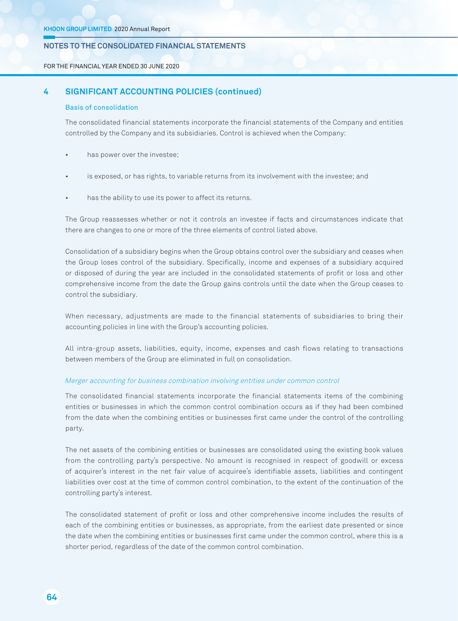FOR THE FINANCIAL YEAR ENDED 30 JUNE 2020

# **4 SiGNiFiCANT ACCOuNTiNG pOLiCiES (continued)**

#### Basis of consolidation

The consolidated financial statements incorporate the financial statements of the Company and entities controlled by the Company and its subsidiaries. Control is achieved when the Company:

- has power over the investee;
- is exposed, or has rights, to variable returns from its involvement with the investee; and
- has the ability to use its power to affect its returns.

The Group reassesses whether or not it controls an investee if facts and circumstances indicate that there are changes to one or more of the three elements of control listed above.

Consolidation of a subsidiary begins when the Group obtains control over the subsidiary and ceases when the Group loses control of the subsidiary. Specifically, income and expenses of a subsidiary acquired or disposed of during the year are included in the consolidated statements of profit or loss and other comprehensive income from the date the Group gains controls until the date when the Group ceases to control the subsidiary.

When necessary, adjustments are made to the financial statements of subsidiaries to bring their accounting policies in line with the Group's accounting policies.

All intra-group assets, liabilities, equity, income, expenses and cash flows relating to transactions between members of the Group are eliminated in full on consolidation.

#### Merger accounting for business combination involving entities under common control

The consolidated financial statements incorporate the financial statements items of the combining entities or businesses in which the common control combination occurs as if they had been combined from the date when the combining entities or businesses first came under the control of the controlling party.

The net assets of the combining entities or businesses are consolidated using the existing book values from the controlling party's perspective. No amount is recognised in respect of goodwill or excess of acquirer's interest in the net fair value of acquiree's identifiable assets, liabilities and contingent liabilities over cost at the time of common control combination, to the extent of the continuation of the controlling party's interest.

The consolidated statement of profit or loss and other comprehensive income includes the results of each of the combining entities or businesses, as appropriate, from the earliest date presented or since the date when the combining entities or businesses first came under the common control, where this is a shorter period, regardless of the date of the common control combination.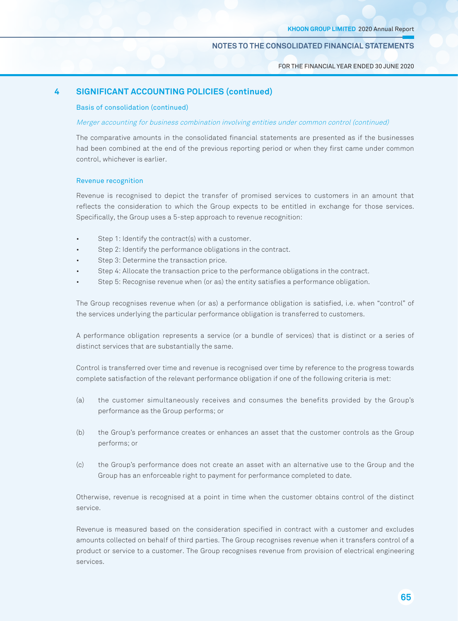FOR THE FINANCIAL YEAR ENDED 30 JUNE 2020

# **4 SiGNiFiCANT ACCOuNTiNG pOLiCiES (continued)**

#### Basis of consolidation (continued)

### Merger accounting for business combination involving entities under common control (continued)

The comparative amounts in the consolidated financial statements are presented as if the businesses had been combined at the end of the previous reporting period or when they first came under common control, whichever is earlier.

#### Revenue recognition

Revenue is recognised to depict the transfer of promised services to customers in an amount that reflects the consideration to which the Group expects to be entitled in exchange for those services. Specifically, the Group uses a 5-step approach to revenue recognition:

- Step 1: Identify the contract(s) with a customer.
- Step 2: Identify the performance obligations in the contract.
- Step 3: Determine the transaction price.
- Step 4: Allocate the transaction price to the performance obligations in the contract.
- Step 5: Recognise revenue when (or as) the entity satisfies a performance obligation.

The Group recognises revenue when (or as) a performance obligation is satisfied, i.e. when "control" of the services underlying the particular performance obligation is transferred to customers.

A performance obligation represents a service (or a bundle of services) that is distinct or a series of distinct services that are substantially the same.

Control is transferred over time and revenue is recognised over time by reference to the progress towards complete satisfaction of the relevant performance obligation if one of the following criteria is met:

- (a) the customer simultaneously receives and consumes the benefits provided by the Group's performance as the Group performs; or
- (b) the Group's performance creates or enhances an asset that the customer controls as the Group performs; or
- (c) the Group's performance does not create an asset with an alternative use to the Group and the Group has an enforceable right to payment for performance completed to date.

Otherwise, revenue is recognised at a point in time when the customer obtains control of the distinct service.

Revenue is measured based on the consideration specified in contract with a customer and excludes amounts collected on behalf of third parties. The Group recognises revenue when it transfers control of a product or service to a customer. The Group recognises revenue from provision of electrical engineering services.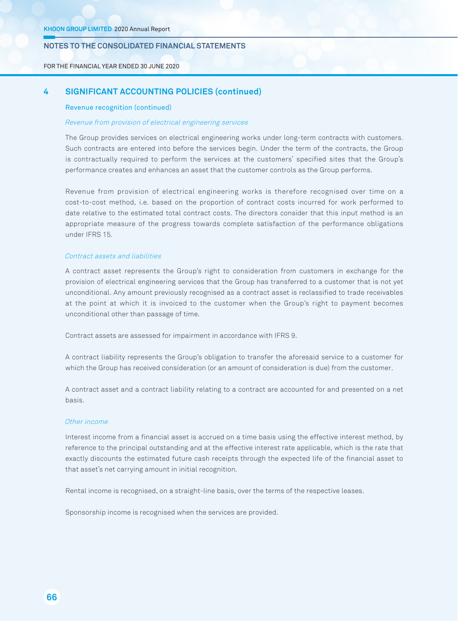FOR THE FINANCIAL YEAR ENDED 30 JUNE 2020

# **4 SiGNiFiCANT ACCOuNTiNG pOLiCiES (continued)**

#### Revenue recognition (continued)

#### Revenue from provision of electrical engineering services

The Group provides services on electrical engineering works under long-term contracts with customers. Such contracts are entered into before the services begin. Under the term of the contracts, the Group is contractually required to perform the services at the customers' specified sites that the Group's performance creates and enhances an asset that the customer controls as the Group performs.

Revenue from provision of electrical engineering works is therefore recognised over time on a cost-to-cost method, i.e. based on the proportion of contract costs incurred for work performed to date relative to the estimated total contract costs. The directors consider that this input method is an appropriate measure of the progress towards complete satisfaction of the performance obligations under IFRS 15.

#### Contract assets and liabilities

A contract asset represents the Group's right to consideration from customers in exchange for the provision of electrical engineering services that the Group has transferred to a customer that is not yet unconditional. Any amount previously recognised as a contract asset is reclassified to trade receivables at the point at which it is invoiced to the customer when the Group's right to payment becomes unconditional other than passage of time.

Contract assets are assessed for impairment in accordance with IFRS 9.

A contract liability represents the Group's obligation to transfer the aforesaid service to a customer for which the Group has received consideration (or an amount of consideration is due) from the customer.

A contract asset and a contract liability relating to a contract are accounted for and presented on a net basis.

#### Other income

Interest income from a financial asset is accrued on a time basis using the effective interest method, by reference to the principal outstanding and at the effective interest rate applicable, which is the rate that exactly discounts the estimated future cash receipts through the expected life of the financial asset to that asset's net carrying amount in initial recognition.

Rental income is recognised, on a straight-line basis, over the terms of the respective leases.

Sponsorship income is recognised when the services are provided.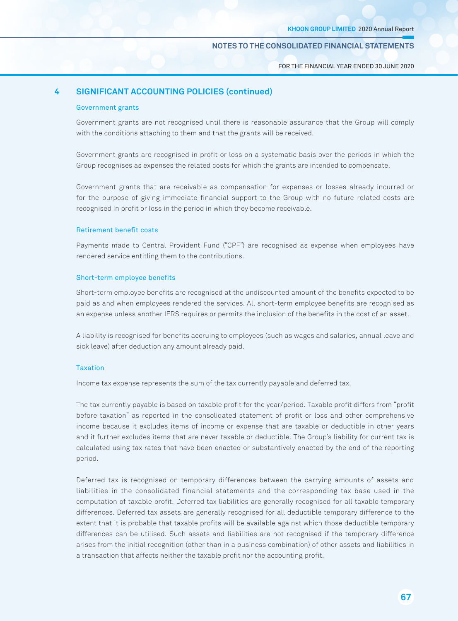FOR THE FINANCIAL YEAR ENDED 30 JUNE 2020

# **4 SiGNiFiCANT ACCOuNTiNG pOLiCiES (continued)**

#### Government grants

Government grants are not recognised until there is reasonable assurance that the Group will comply with the conditions attaching to them and that the grants will be received.

Government grants are recognised in profit or loss on a systematic basis over the periods in which the Group recognises as expenses the related costs for which the grants are intended to compensate.

Government grants that are receivable as compensation for expenses or losses already incurred or for the purpose of giving immediate financial support to the Group with no future related costs are recognised in profit or loss in the period in which they become receivable.

#### Retirement benefit costs

Payments made to Central Provident Fund ("CPF") are recognised as expense when employees have rendered service entitling them to the contributions.

#### Short-term employee benefits

Short-term employee benefits are recognised at the undiscounted amount of the benefits expected to be paid as and when employees rendered the services. All short-term employee benefits are recognised as an expense unless another IFRS requires or permits the inclusion of the benefits in the cost of an asset.

A liability is recognised for benefits accruing to employees (such as wages and salaries, annual leave and sick leave) after deduction any amount already paid.

## **Taxation**

Income tax expense represents the sum of the tax currently payable and deferred tax.

The tax currently payable is based on taxable profit for the year/period. Taxable profit differs from "profit before taxation" as reported in the consolidated statement of profit or loss and other comprehensive income because it excludes items of income or expense that are taxable or deductible in other years and it further excludes items that are never taxable or deductible. The Group's liability for current tax is calculated using tax rates that have been enacted or substantively enacted by the end of the reporting period.

Deferred tax is recognised on temporary differences between the carrying amounts of assets and liabilities in the consolidated financial statements and the corresponding tax base used in the computation of taxable profit. Deferred tax liabilities are generally recognised for all taxable temporary differences. Deferred tax assets are generally recognised for all deductible temporary difference to the extent that it is probable that taxable profits will be available against which those deductible temporary differences can be utilised. Such assets and liabilities are not recognised if the temporary difference arises from the initial recognition (other than in a business combination) of other assets and liabilities in a transaction that affects neither the taxable profit nor the accounting profit.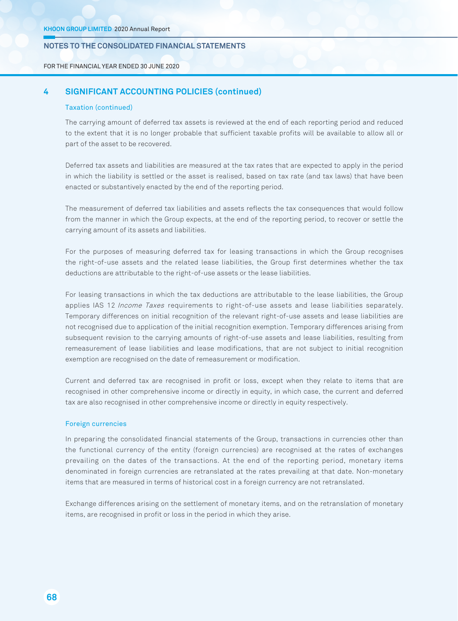FOR THE FINANCIAL YEAR ENDED 30 JUNE 2020

# **4 SiGNiFiCANT ACCOuNTiNG pOLiCiES (continued)**

#### Taxation (continued)

The carrying amount of deferred tax assets is reviewed at the end of each reporting period and reduced to the extent that it is no longer probable that sufficient taxable profits will be available to allow all or part of the asset to be recovered.

Deferred tax assets and liabilities are measured at the tax rates that are expected to apply in the period in which the liability is settled or the asset is realised, based on tax rate (and tax laws) that have been enacted or substantively enacted by the end of the reporting period.

The measurement of deferred tax liabilities and assets reflects the tax consequences that would follow from the manner in which the Group expects, at the end of the reporting period, to recover or settle the carrying amount of its assets and liabilities.

For the purposes of measuring deferred tax for leasing transactions in which the Group recognises the right-of-use assets and the related lease liabilities, the Group first determines whether the tax deductions are attributable to the right-of-use assets or the lease liabilities.

For leasing transactions in which the tax deductions are attributable to the lease liabilities, the Group applies IAS 12 Income Taxes requirements to right-of-use assets and lease liabilities separately. Temporary differences on initial recognition of the relevant right-of-use assets and lease liabilities are not recognised due to application of the initial recognition exemption. Temporary differences arising from subsequent revision to the carrying amounts of right-of-use assets and lease liabilities, resulting from remeasurement of lease liabilities and lease modifications, that are not subject to initial recognition exemption are recognised on the date of remeasurement or modification.

Current and deferred tax are recognised in profit or loss, except when they relate to items that are recognised in other comprehensive income or directly in equity, in which case, the current and deferred tax are also recognised in other comprehensive income or directly in equity respectively.

#### Foreign currencies

In preparing the consolidated financial statements of the Group, transactions in currencies other than the functional currency of the entity (foreign currencies) are recognised at the rates of exchanges prevailing on the dates of the transactions. At the end of the reporting period, monetary items denominated in foreign currencies are retranslated at the rates prevailing at that date. Non-monetary items that are measured in terms of historical cost in a foreign currency are not retranslated.

Exchange differences arising on the settlement of monetary items, and on the retranslation of monetary items, are recognised in profit or loss in the period in which they arise.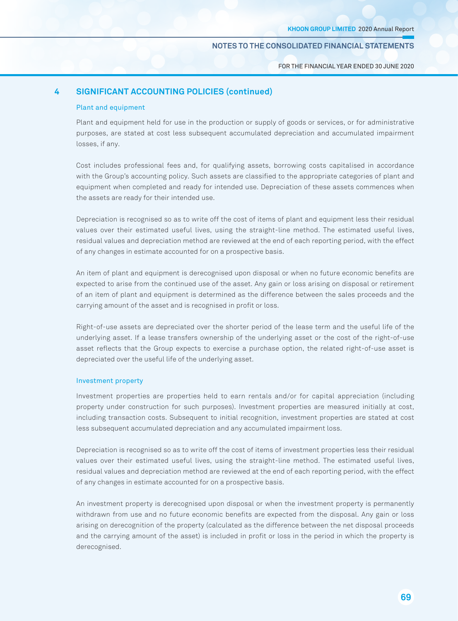FOR THE FINANCIAL YEAR ENDED 30 JUNE 2020

# **4 SiGNiFiCANT ACCOuNTiNG pOLiCiES (continued)**

#### Plant and equipment

Plant and equipment held for use in the production or supply of goods or services, or for administrative purposes, are stated at cost less subsequent accumulated depreciation and accumulated impairment losses, if any.

Cost includes professional fees and, for qualifying assets, borrowing costs capitalised in accordance with the Group's accounting policy. Such assets are classified to the appropriate categories of plant and equipment when completed and ready for intended use. Depreciation of these assets commences when the assets are ready for their intended use.

Depreciation is recognised so as to write off the cost of items of plant and equipment less their residual values over their estimated useful lives, using the straight-line method. The estimated useful lives, residual values and depreciation method are reviewed at the end of each reporting period, with the effect of any changes in estimate accounted for on a prospective basis.

An item of plant and equipment is derecognised upon disposal or when no future economic benefits are expected to arise from the continued use of the asset. Any gain or loss arising on disposal or retirement of an item of plant and equipment is determined as the difference between the sales proceeds and the carrying amount of the asset and is recognised in profit or loss.

Right-of-use assets are depreciated over the shorter period of the lease term and the useful life of the underlying asset. If a lease transfers ownership of the underlying asset or the cost of the right-of-use asset reflects that the Group expects to exercise a purchase option, the related right-of-use asset is depreciated over the useful life of the underlying asset.

### Investment property

Investment properties are properties held to earn rentals and/or for capital appreciation (including property under construction for such purposes). Investment properties are measured initially at cost, including transaction costs. Subsequent to initial recognition, investment properties are stated at cost less subsequent accumulated depreciation and any accumulated impairment loss.

Depreciation is recognised so as to write off the cost of items of investment properties less their residual values over their estimated useful lives, using the straight-line method. The estimated useful lives, residual values and depreciation method are reviewed at the end of each reporting period, with the effect of any changes in estimate accounted for on a prospective basis.

An investment property is derecognised upon disposal or when the investment property is permanently withdrawn from use and no future economic benefits are expected from the disposal. Any gain or loss arising on derecognition of the property (calculated as the difference between the net disposal proceeds and the carrying amount of the asset) is included in profit or loss in the period in which the property is derecognised.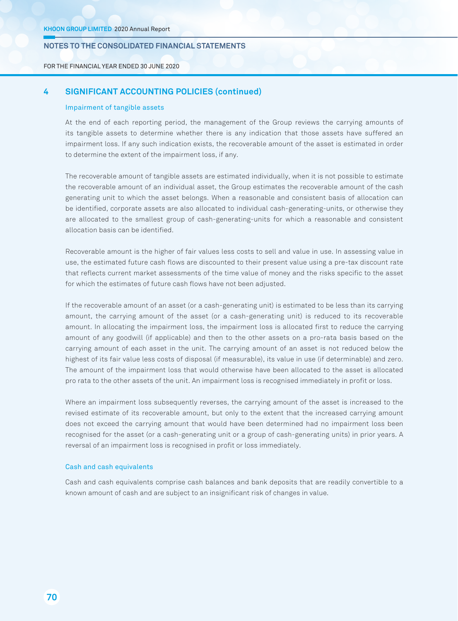FOR THE FINANCIAL YEAR ENDED 30 JUNE 2020

# **4 SiGNiFiCANT ACCOuNTiNG pOLiCiES (continued)**

#### Impairment of tangible assets

At the end of each reporting period, the management of the Group reviews the carrying amounts of its tangible assets to determine whether there is any indication that those assets have suffered an impairment loss. If any such indication exists, the recoverable amount of the asset is estimated in order to determine the extent of the impairment loss, if any.

The recoverable amount of tangible assets are estimated individually, when it is not possible to estimate the recoverable amount of an individual asset, the Group estimates the recoverable amount of the cash generating unit to which the asset belongs. When a reasonable and consistent basis of allocation can be identified, corporate assets are also allocated to individual cash-generating-units, or otherwise they are allocated to the smallest group of cash-generating-units for which a reasonable and consistent allocation basis can be identified.

Recoverable amount is the higher of fair values less costs to sell and value in use. In assessing value in use, the estimated future cash flows are discounted to their present value using a pre-tax discount rate that reflects current market assessments of the time value of money and the risks specific to the asset for which the estimates of future cash flows have not been adjusted.

If the recoverable amount of an asset (or a cash-generating unit) is estimated to be less than its carrying amount, the carrying amount of the asset (or a cash-generating unit) is reduced to its recoverable amount. In allocating the impairment loss, the impairment loss is allocated first to reduce the carrying amount of any goodwill (if applicable) and then to the other assets on a pro-rata basis based on the carrying amount of each asset in the unit. The carrying amount of an asset is not reduced below the highest of its fair value less costs of disposal (if measurable), its value in use (if determinable) and zero. The amount of the impairment loss that would otherwise have been allocated to the asset is allocated pro rata to the other assets of the unit. An impairment loss is recognised immediately in profit or loss.

Where an impairment loss subsequently reverses, the carrying amount of the asset is increased to the revised estimate of its recoverable amount, but only to the extent that the increased carrying amount does not exceed the carrying amount that would have been determined had no impairment loss been recognised for the asset (or a cash-generating unit or a group of cash-generating units) in prior years. A reversal of an impairment loss is recognised in profit or loss immediately.

### Cash and cash equivalents

Cash and cash equivalents comprise cash balances and bank deposits that are readily convertible to a known amount of cash and are subject to an insignificant risk of changes in value.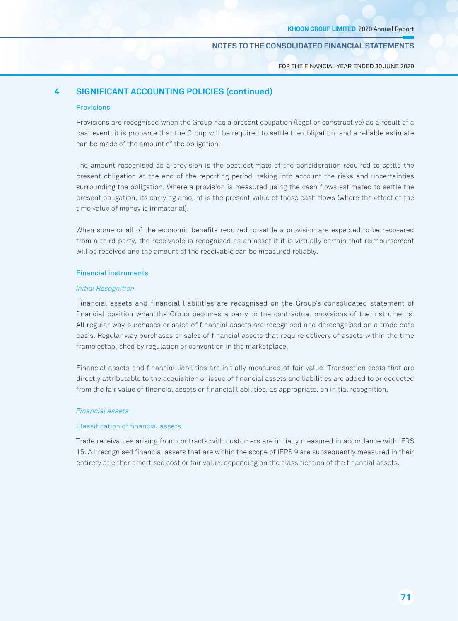FOR THE FINANCIAL YEAR ENDED 30 JUNE 2020

# **4 SiGNiFiCANT ACCOuNTiNG pOLiCiES (continued)**

### Provisions

Provisions are recognised when the Group has a present obligation (legal or constructive) as a result of a past event, it is probable that the Group will be required to settle the obligation, and a reliable estimate can be made of the amount of the obligation.

The amount recognised as a provision is the best estimate of the consideration required to settle the present obligation at the end of the reporting period, taking into account the risks and uncertainties surrounding the obligation. Where a provision is measured using the cash flows estimated to settle the present obligation, its carrying amount is the present value of those cash flows (where the effect of the time value of money is immaterial).

When some or all of the economic benefits required to settle a provision are expected to be recovered from a third party, the receivable is recognised as an asset if it is virtually certain that reimbursement will be received and the amount of the receivable can be measured reliably.

## Financial instruments

#### Initial Recognition

Financial assets and financial liabilities are recognised on the Group's consolidated statement of financial position when the Group becomes a party to the contractual provisions of the instruments. All regular way purchases or sales of financial assets are recognised and derecognised on a trade date basis. Regular way purchases or sales of financial assets that require delivery of assets within the time frame established by regulation or convention in the marketplace.

Financial assets and financial liabilities are initially measured at fair value. Transaction costs that are directly attributable to the acquisition or issue of financial assets and liabilities are added to or deducted from the fair value of financial assets or financial liabilities, as appropriate, on initial recognition.

## Financial assets

## Classification of financial assets

Trade receivables arising from contracts with customers are initially measured in accordance with IFRS 15. All recognised financial assets that are within the scope of IFRS 9 are subsequently measured in their entirety at either amortised cost or fair value, depending on the classification of the financial assets.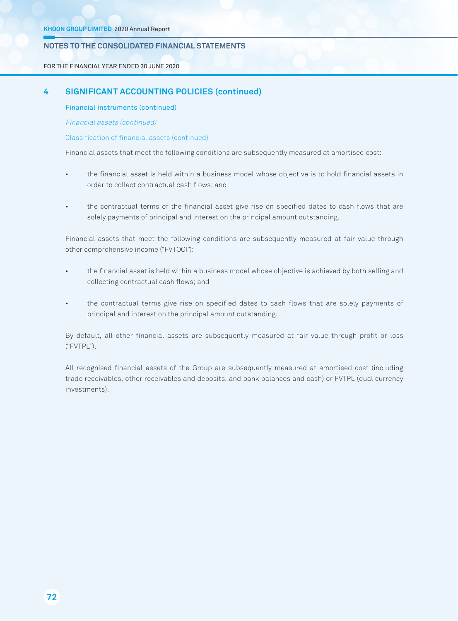FOR THE FINANCIAL YEAR ENDED 30 JUNE 2020

# **4 SiGNiFiCANT ACCOuNTiNG pOLiCiES (continued)**

Financial instruments (continued)

Financial assets (continued)

Classification of financial assets (continued)

Financial assets that meet the following conditions are subsequently measured at amortised cost:

- the financial asset is held within a business model whose objective is to hold financial assets in order to collect contractual cash flows; and
- the contractual terms of the financial asset give rise on specified dates to cash flows that are solely payments of principal and interest on the principal amount outstanding.

Financial assets that meet the following conditions are subsequently measured at fair value through other comprehensive income ("FVTOCI"):

- the financial asset is held within a business model whose objective is achieved by both selling and collecting contractual cash flows; and
- the contractual terms give rise on specified dates to cash flows that are solely payments of principal and interest on the principal amount outstanding.

By default, all other financial assets are subsequently measured at fair value through profit or loss ("FVTPL").

All recognised financial assets of the Group are subsequently measured at amortised cost (including trade receivables, other receivables and deposits, and bank balances and cash) or FVTPL (dual currency investments).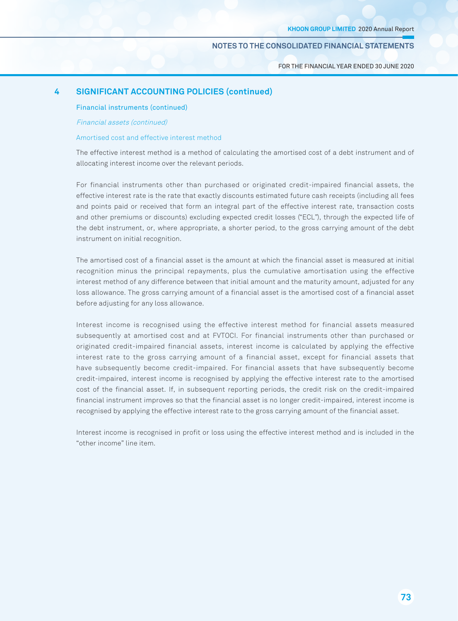FOR THE FINANCIAL YEAR ENDED 30 JUNE 2020

## **4 SiGNiFiCANT ACCOuNTiNG pOLiCiES (continued)**

Financial instruments (continued)

Financial assets (continued)

## Amortised cost and effective interest method

The effective interest method is a method of calculating the amortised cost of a debt instrument and of allocating interest income over the relevant periods.

For financial instruments other than purchased or originated credit-impaired financial assets, the effective interest rate is the rate that exactly discounts estimated future cash receipts (including all fees and points paid or received that form an integral part of the effective interest rate, transaction costs and other premiums or discounts) excluding expected credit losses ("ECL"), through the expected life of the debt instrument, or, where appropriate, a shorter period, to the gross carrying amount of the debt instrument on initial recognition.

The amortised cost of a financial asset is the amount at which the financial asset is measured at initial recognition minus the principal repayments, plus the cumulative amortisation using the effective interest method of any difference between that initial amount and the maturity amount, adjusted for any loss allowance. The gross carrying amount of a financial asset is the amortised cost of a financial asset before adjusting for any loss allowance.

Interest income is recognised using the effective interest method for financial assets measured subsequently at amortised cost and at FVTOCI. For financial instruments other than purchased or originated credit-impaired financial assets, interest income is calculated by applying the effective interest rate to the gross carrying amount of a financial asset, except for financial assets that have subsequently become credit-impaired. For financial assets that have subsequently become credit-impaired, interest income is recognised by applying the effective interest rate to the amortised cost of the financial asset. If, in subsequent reporting periods, the credit risk on the credit-impaired financial instrument improves so that the financial asset is no longer credit-impaired, interest income is recognised by applying the effective interest rate to the gross carrying amount of the financial asset.

Interest income is recognised in profit or loss using the effective interest method and is included in the "other income" line item.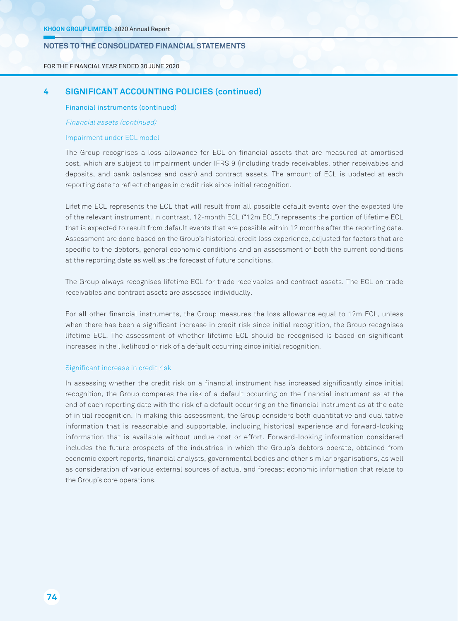FOR THE FINANCIAL YEAR ENDED 30 JUNE 2020

## **4 SiGNiFiCANT ACCOuNTiNG pOLiCiES (continued)**

## Financial instruments (continued)

### Financial assets (continued)

### Impairment under ECL model

The Group recognises a loss allowance for ECL on financial assets that are measured at amortised cost, which are subject to impairment under IFRS 9 (including trade receivables, other receivables and deposits, and bank balances and cash) and contract assets. The amount of ECL is updated at each reporting date to reflect changes in credit risk since initial recognition.

Lifetime ECL represents the ECL that will result from all possible default events over the expected life of the relevant instrument. In contrast, 12-month ECL ("12m ECL") represents the portion of lifetime ECL that is expected to result from default events that are possible within 12 months after the reporting date. Assessment are done based on the Group's historical credit loss experience, adjusted for factors that are specific to the debtors, general economic conditions and an assessment of both the current conditions at the reporting date as well as the forecast of future conditions.

The Group always recognises lifetime ECL for trade receivables and contract assets. The ECL on trade receivables and contract assets are assessed individually.

For all other financial instruments, the Group measures the loss allowance equal to 12m ECL, unless when there has been a significant increase in credit risk since initial recognition, the Group recognises lifetime ECL. The assessment of whether lifetime ECL should be recognised is based on significant increases in the likelihood or risk of a default occurring since initial recognition.

#### Significant increase in credit risk

In assessing whether the credit risk on a financial instrument has increased significantly since initial recognition, the Group compares the risk of a default occurring on the financial instrument as at the end of each reporting date with the risk of a default occurring on the financial instrument as at the date of initial recognition. In making this assessment, the Group considers both quantitative and qualitative information that is reasonable and supportable, including historical experience and forward-looking information that is available without undue cost or effort. Forward-looking information considered includes the future prospects of the industries in which the Group's debtors operate, obtained from economic expert reports, financial analysts, governmental bodies and other similar organisations, as well as consideration of various external sources of actual and forecast economic information that relate to the Group's core operations.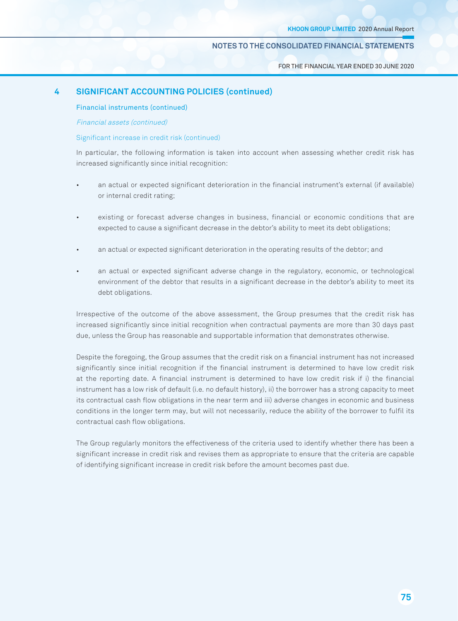FOR THE FINANCIAL YEAR ENDED 30 JUNE 2020

# **4 SiGNiFiCANT ACCOuNTiNG pOLiCiES (continued)**

### Financial instruments (continued)

Financial assets (continued)

### Significant increase in credit risk (continued)

In particular, the following information is taken into account when assessing whether credit risk has increased significantly since initial recognition:

- an actual or expected significant deterioration in the financial instrument's external (if available) or internal credit rating;
- existing or forecast adverse changes in business, financial or economic conditions that are expected to cause a significant decrease in the debtor's ability to meet its debt obligations;
- an actual or expected significant deterioration in the operating results of the debtor; and
- an actual or expected significant adverse change in the regulatory, economic, or technological environment of the debtor that results in a significant decrease in the debtor's ability to meet its debt obligations.

Irrespective of the outcome of the above assessment, the Group presumes that the credit risk has increased significantly since initial recognition when contractual payments are more than 30 days past due, unless the Group has reasonable and supportable information that demonstrates otherwise.

Despite the foregoing, the Group assumes that the credit risk on a financial instrument has not increased significantly since initial recognition if the financial instrument is determined to have low credit risk at the reporting date. A financial instrument is determined to have low credit risk if i) the financial instrument has a low risk of default (i.e. no default history), ii) the borrower has a strong capacity to meet its contractual cash flow obligations in the near term and iii) adverse changes in economic and business conditions in the longer term may, but will not necessarily, reduce the ability of the borrower to fulfil its contractual cash flow obligations.

The Group regularly monitors the effectiveness of the criteria used to identify whether there has been a significant increase in credit risk and revises them as appropriate to ensure that the criteria are capable of identifying significant increase in credit risk before the amount becomes past due.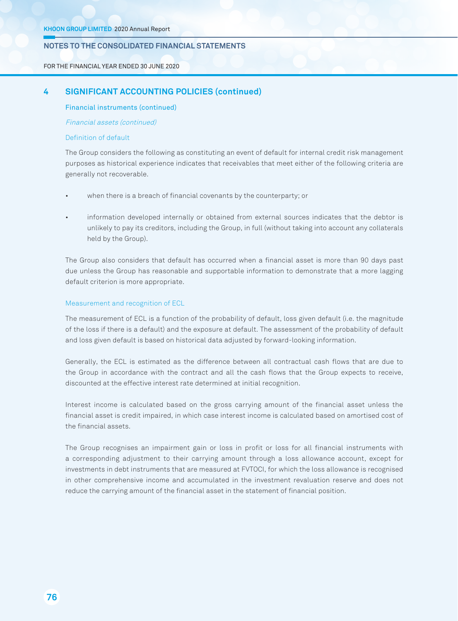### FOR THE FINANCIAL YEAR ENDED 30 JUNE 2020

## **4 SiGNiFiCANT ACCOuNTiNG pOLiCiES (continued)**

## Financial instruments (continued)

## Financial assets (continued)

### Definition of default

The Group considers the following as constituting an event of default for internal credit risk management purposes as historical experience indicates that receivables that meet either of the following criteria are generally not recoverable.

- when there is a breach of financial covenants by the counterparty; or
- information developed internally or obtained from external sources indicates that the debtor is unlikely to pay its creditors, including the Group, in full (without taking into account any collaterals held by the Group).

The Group also considers that default has occurred when a financial asset is more than 90 days past due unless the Group has reasonable and supportable information to demonstrate that a more lagging default criterion is more appropriate.

### Measurement and recognition of ECL

The measurement of ECL is a function of the probability of default, loss given default (i.e. the magnitude of the loss if there is a default) and the exposure at default. The assessment of the probability of default and loss given default is based on historical data adjusted by forward-looking information.

Generally, the ECL is estimated as the difference between all contractual cash flows that are due to the Group in accordance with the contract and all the cash flows that the Group expects to receive, discounted at the effective interest rate determined at initial recognition.

Interest income is calculated based on the gross carrying amount of the financial asset unless the financial asset is credit impaired, in which case interest income is calculated based on amortised cost of the financial assets.

The Group recognises an impairment gain or loss in profit or loss for all financial instruments with a corresponding adjustment to their carrying amount through a loss allowance account, except for investments in debt instruments that are measured at FVTOCI, for which the loss allowance is recognised in other comprehensive income and accumulated in the investment revaluation reserve and does not reduce the carrying amount of the financial asset in the statement of financial position.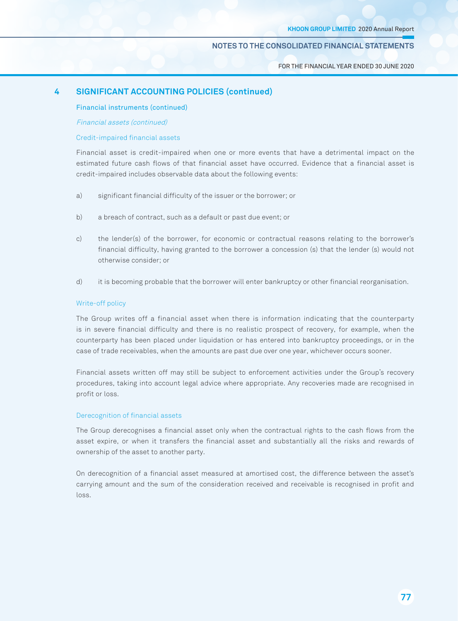FOR THE FINANCIAL YEAR ENDED 30 JUNE 2020

## **4 SiGNiFiCANT ACCOuNTiNG pOLiCiES (continued)**

Financial instruments (continued)

Financial assets (continued)

## Credit-impaired financial assets

Financial asset is credit-impaired when one or more events that have a detrimental impact on the estimated future cash flows of that financial asset have occurred. Evidence that a financial asset is credit-impaired includes observable data about the following events:

- a) significant financial difficulty of the issuer or the borrower; or
- b) a breach of contract, such as a default or past due event; or
- c) the lender(s) of the borrower, for economic or contractual reasons relating to the borrower's financial difficulty, having granted to the borrower a concession (s) that the lender (s) would not otherwise consider; or
- d) it is becoming probable that the borrower will enter bankruptcy or other financial reorganisation.

### Write-off policy

The Group writes off a financial asset when there is information indicating that the counterparty is in severe financial difficulty and there is no realistic prospect of recovery, for example, when the counterparty has been placed under liquidation or has entered into bankruptcy proceedings, or in the case of trade receivables, when the amounts are past due over one year, whichever occurs sooner.

Financial assets written off may still be subject to enforcement activities under the Group's recovery procedures, taking into account legal advice where appropriate. Any recoveries made are recognised in profit or loss.

### Derecognition of financial assets

The Group derecognises a financial asset only when the contractual rights to the cash flows from the asset expire, or when it transfers the financial asset and substantially all the risks and rewards of ownership of the asset to another party.

On derecognition of a financial asset measured at amortised cost, the difference between the asset's carrying amount and the sum of the consideration received and receivable is recognised in profit and loss.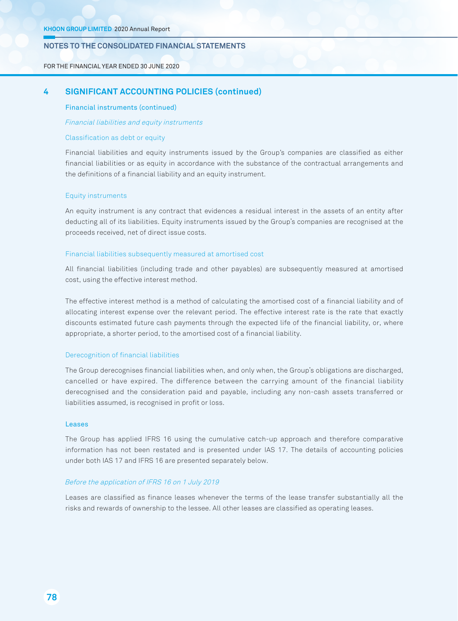FOR THE FINANCIAL YEAR ENDED 30 JUNE 2020

## **4 SiGNiFiCANT ACCOuNTiNG pOLiCiES (continued)**

### Financial instruments (continued)

Financial liabilities and equity instruments

### Classification as debt or equity

Financial liabilities and equity instruments issued by the Group's companies are classified as either financial liabilities or as equity in accordance with the substance of the contractual arrangements and the definitions of a financial liability and an equity instrument.

#### Equity instruments

An equity instrument is any contract that evidences a residual interest in the assets of an entity after deducting all of its liabilities. Equity instruments issued by the Group's companies are recognised at the proceeds received, net of direct issue costs.

#### Financial liabilities subsequently measured at amortised cost

All financial liabilities (including trade and other payables) are subsequently measured at amortised cost, using the effective interest method.

The effective interest method is a method of calculating the amortised cost of a financial liability and of allocating interest expense over the relevant period. The effective interest rate is the rate that exactly discounts estimated future cash payments through the expected life of the financial liability, or, where appropriate, a shorter period, to the amortised cost of a financial liability.

### Derecognition of financial liabilities

The Group derecognises financial liabilities when, and only when, the Group's obligations are discharged, cancelled or have expired. The difference between the carrying amount of the financial liability derecognised and the consideration paid and payable, including any non-cash assets transferred or liabilities assumed, is recognised in profit or loss.

#### Leases

The Group has applied IFRS 16 using the cumulative catch-up approach and therefore comparative information has not been restated and is presented under IAS 17. The details of accounting policies under both IAS 17 and IFRS 16 are presented separately below.

### Before the application of IFRS 16 on 1 July 2019

Leases are classified as finance leases whenever the terms of the lease transfer substantially all the risks and rewards of ownership to the lessee. All other leases are classified as operating leases.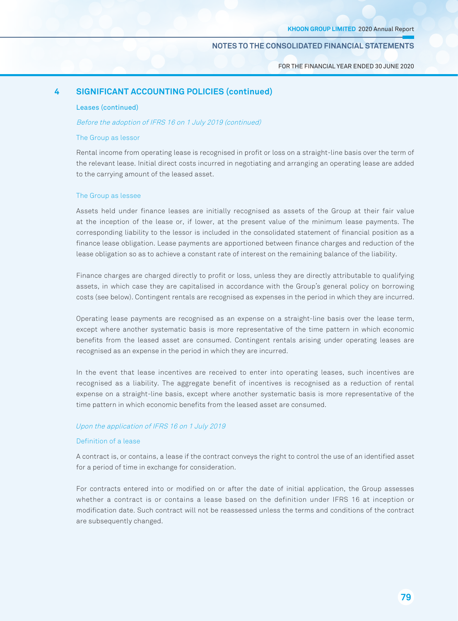FOR THE FINANCIAL YEAR ENDED 30 JUNE 2020

# **4 SiGNiFiCANT ACCOuNTiNG pOLiCiES (continued)**

### Leases (continued)

### Before the adoption of IFRS 16 on 1 July 2019 (continued)

### The Group as lessor

Rental income from operating lease is recognised in profit or loss on a straight-line basis over the term of the relevant lease. Initial direct costs incurred in negotiating and arranging an operating lease are added to the carrying amount of the leased asset.

### The Group as lessee

Assets held under finance leases are initially recognised as assets of the Group at their fair value at the inception of the lease or, if lower, at the present value of the minimum lease payments. The corresponding liability to the lessor is included in the consolidated statement of financial position as a finance lease obligation. Lease payments are apportioned between finance charges and reduction of the lease obligation so as to achieve a constant rate of interest on the remaining balance of the liability.

Finance charges are charged directly to profit or loss, unless they are directly attributable to qualifying assets, in which case they are capitalised in accordance with the Group's general policy on borrowing costs (see below). Contingent rentals are recognised as expenses in the period in which they are incurred.

Operating lease payments are recognised as an expense on a straight-line basis over the lease term, except where another systematic basis is more representative of the time pattern in which economic benefits from the leased asset are consumed. Contingent rentals arising under operating leases are recognised as an expense in the period in which they are incurred.

In the event that lease incentives are received to enter into operating leases, such incentives are recognised as a liability. The aggregate benefit of incentives is recognised as a reduction of rental expense on a straight-line basis, except where another systematic basis is more representative of the time pattern in which economic benefits from the leased asset are consumed.

## Upon the application of IFRS 16 on 1 July 2019

## Definition of a lease

A contract is, or contains, a lease if the contract conveys the right to control the use of an identified asset for a period of time in exchange for consideration.

For contracts entered into or modified on or after the date of initial application, the Group assesses whether a contract is or contains a lease based on the definition under IFRS 16 at inception or modification date. Such contract will not be reassessed unless the terms and conditions of the contract are subsequently changed.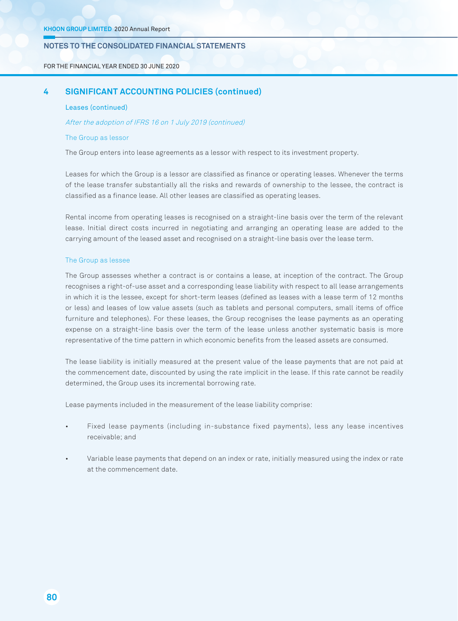#### FOR THE FINANCIAL YEAR ENDED 30 JUNE 2020

## **4 SiGNiFiCANT ACCOuNTiNG pOLiCiES (continued)**

### Leases (continued)

### After the adoption of IFRS 16 on 1 July 2019 (continued)

#### The Group as lessor

The Group enters into lease agreements as a lessor with respect to its investment property.

Leases for which the Group is a lessor are classified as finance or operating leases. Whenever the terms of the lease transfer substantially all the risks and rewards of ownership to the lessee, the contract is classified as a finance lease. All other leases are classified as operating leases.

Rental income from operating leases is recognised on a straight-line basis over the term of the relevant lease. Initial direct costs incurred in negotiating and arranging an operating lease are added to the carrying amount of the leased asset and recognised on a straight-line basis over the lease term.

### The Group as lessee

The Group assesses whether a contract is or contains a lease, at inception of the contract. The Group recognises a right-of-use asset and a corresponding lease liability with respect to all lease arrangements in which it is the lessee, except for short-term leases (defined as leases with a lease term of 12 months or less) and leases of low value assets (such as tablets and personal computers, small items of office furniture and telephones). For these leases, the Group recognises the lease payments as an operating expense on a straight-line basis over the term of the lease unless another systematic basis is more representative of the time pattern in which economic benefits from the leased assets are consumed.

The lease liability is initially measured at the present value of the lease payments that are not paid at the commencement date, discounted by using the rate implicit in the lease. If this rate cannot be readily determined, the Group uses its incremental borrowing rate.

Lease payments included in the measurement of the lease liability comprise:

- Fixed lease payments (including in-substance fixed payments), less any lease incentives receivable; and
- Variable lease payments that depend on an index or rate, initially measured using the index or rate at the commencement date.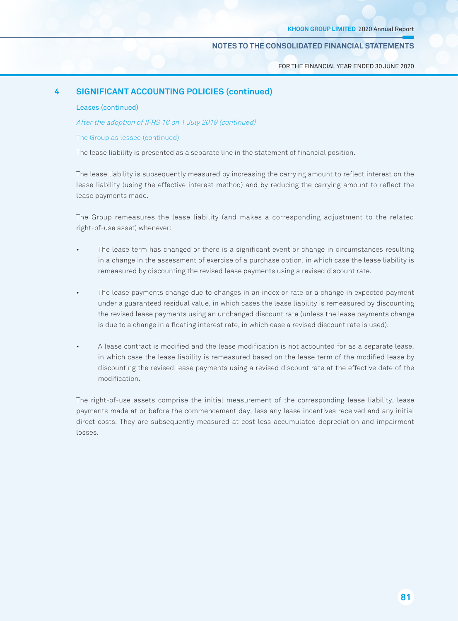FOR THE FINANCIAL YEAR ENDED 30 JUNE 2020

# **4 SiGNiFiCANT ACCOuNTiNG pOLiCiES (continued)**

### Leases (continued)

After the adoption of IFRS 16 on 1 July 2019 (continued)

## The Group as lessee (continued)

The lease liability is presented as a separate line in the statement of financial position.

The lease liability is subsequently measured by increasing the carrying amount to reflect interest on the lease liability (using the effective interest method) and by reducing the carrying amount to reflect the lease payments made.

The Group remeasures the lease liability (and makes a corresponding adjustment to the related right-of-use asset) whenever:

- The lease term has changed or there is a significant event or change in circumstances resulting in a change in the assessment of exercise of a purchase option, in which case the lease liability is remeasured by discounting the revised lease payments using a revised discount rate.
- The lease payments change due to changes in an index or rate or a change in expected payment under a guaranteed residual value, in which cases the lease liability is remeasured by discounting the revised lease payments using an unchanged discount rate (unless the lease payments change is due to a change in a floating interest rate, in which case a revised discount rate is used).
- A lease contract is modified and the lease modification is not accounted for as a separate lease, in which case the lease liability is remeasured based on the lease term of the modified lease by discounting the revised lease payments using a revised discount rate at the effective date of the modification.

The right-of-use assets comprise the initial measurement of the corresponding lease liability, lease payments made at or before the commencement day, less any lease incentives received and any initial direct costs. They are subsequently measured at cost less accumulated depreciation and impairment losses.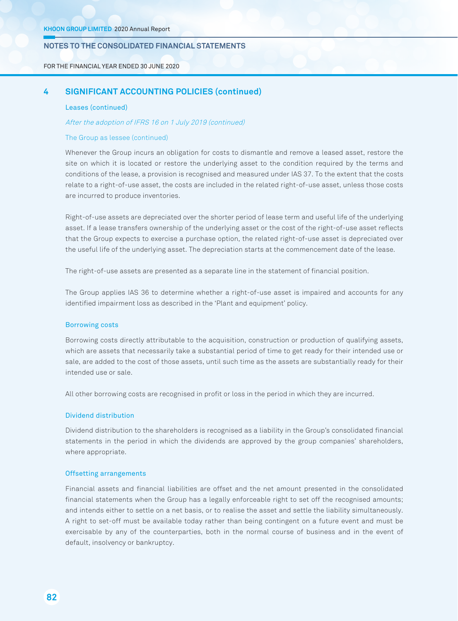#### FOR THE FINANCIAL YEAR ENDED 30 JUNE 2020

## **4 SiGNiFiCANT ACCOuNTiNG pOLiCiES (continued)**

#### Leases (continued)

### After the adoption of IFRS 16 on 1 July 2019 (continued)

### The Group as lessee (continued)

Whenever the Group incurs an obligation for costs to dismantle and remove a leased asset, restore the site on which it is located or restore the underlying asset to the condition required by the terms and conditions of the lease, a provision is recognised and measured under IAS 37. To the extent that the costs relate to a right-of-use asset, the costs are included in the related right-of-use asset, unless those costs are incurred to produce inventories.

Right-of-use assets are depreciated over the shorter period of lease term and useful life of the underlying asset. If a lease transfers ownership of the underlying asset or the cost of the right-of-use asset reflects that the Group expects to exercise a purchase option, the related right-of-use asset is depreciated over the useful life of the underlying asset. The depreciation starts at the commencement date of the lease.

The right-of-use assets are presented as a separate line in the statement of financial position.

The Group applies IAS 36 to determine whether a right-of-use asset is impaired and accounts for any identified impairment loss as described in the 'Plant and equipment' policy.

### Borrowing costs

Borrowing costs directly attributable to the acquisition, construction or production of qualifying assets, which are assets that necessarily take a substantial period of time to get ready for their intended use or sale, are added to the cost of those assets, until such time as the assets are substantially ready for their intended use or sale.

All other borrowing costs are recognised in profit or loss in the period in which they are incurred.

### Dividend distribution

Dividend distribution to the shareholders is recognised as a liability in the Group's consolidated financial statements in the period in which the dividends are approved by the group companies' shareholders, where appropriate.

### Offsetting arrangements

Financial assets and financial liabilities are offset and the net amount presented in the consolidated financial statements when the Group has a legally enforceable right to set off the recognised amounts; and intends either to settle on a net basis, or to realise the asset and settle the liability simultaneously. A right to set-off must be available today rather than being contingent on a future event and must be exercisable by any of the counterparties, both in the normal course of business and in the event of default, insolvency or bankruptcy.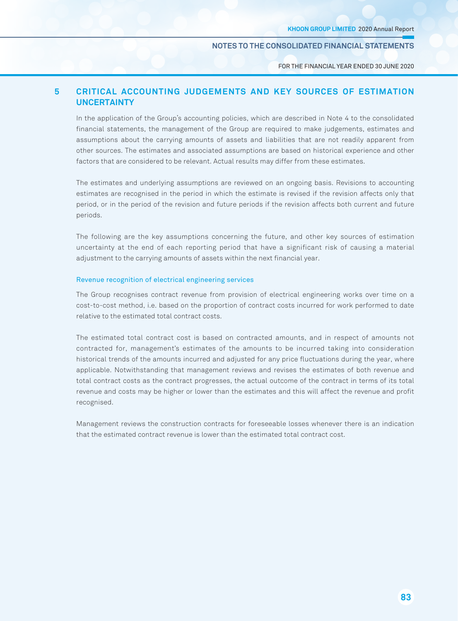FOR THE FINANCIAL YEAR ENDED 30 JUNE 2020

# **5 CriTiCAL ACCOuNTiNG JudGEmENTS ANd KEY SOurCES OF ESTimATiON uNCErTAiNTY**

In the application of the Group's accounting policies, which are described in Note 4 to the consolidated financial statements, the management of the Group are required to make judgements, estimates and assumptions about the carrying amounts of assets and liabilities that are not readily apparent from other sources. The estimates and associated assumptions are based on historical experience and other factors that are considered to be relevant. Actual results may differ from these estimates.

The estimates and underlying assumptions are reviewed on an ongoing basis. Revisions to accounting estimates are recognised in the period in which the estimate is revised if the revision affects only that period, or in the period of the revision and future periods if the revision affects both current and future periods.

The following are the key assumptions concerning the future, and other key sources of estimation uncertainty at the end of each reporting period that have a significant risk of causing a material adjustment to the carrying amounts of assets within the next financial year.

### Revenue recognition of electrical engineering services

The Group recognises contract revenue from provision of electrical engineering works over time on a cost-to-cost method, i.e. based on the proportion of contract costs incurred for work performed to date relative to the estimated total contract costs.

The estimated total contract cost is based on contracted amounts, and in respect of amounts not contracted for, management's estimates of the amounts to be incurred taking into consideration historical trends of the amounts incurred and adjusted for any price fluctuations during the year, where applicable. Notwithstanding that management reviews and revises the estimates of both revenue and total contract costs as the contract progresses, the actual outcome of the contract in terms of its total revenue and costs may be higher or lower than the estimates and this will affect the revenue and profit recognised.

Management reviews the construction contracts for foreseeable losses whenever there is an indication that the estimated contract revenue is lower than the estimated total contract cost.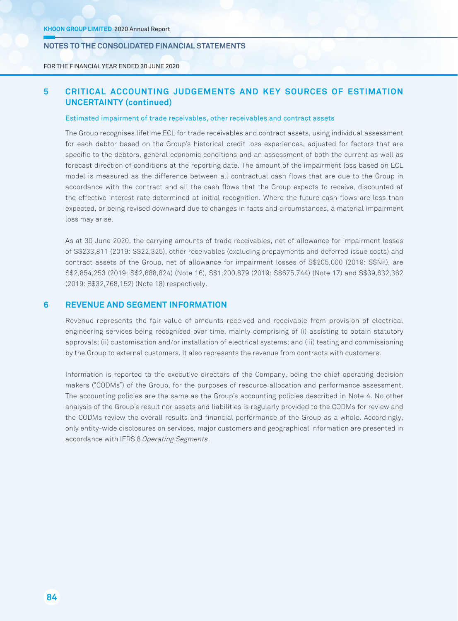FOR THE FINANCIAL YEAR ENDED 30 JUNE 2020

# **5 CriTiCAL ACCOuNTiNG JudGEmENTS ANd KEY SOurCES OF ESTimATiON uNCErTAiNTY (continued)**

### Estimated impairment of trade receivables, other receivables and contract assets

The Group recognises lifetime ECL for trade receivables and contract assets, using individual assessment for each debtor based on the Group's historical credit loss experiences, adjusted for factors that are specific to the debtors, general economic conditions and an assessment of both the current as well as forecast direction of conditions at the reporting date. The amount of the impairment loss based on ECL model is measured as the difference between all contractual cash flows that are due to the Group in accordance with the contract and all the cash flows that the Group expects to receive, discounted at the effective interest rate determined at initial recognition. Where the future cash flows are less than expected, or being revised downward due to changes in facts and circumstances, a material impairment loss may arise.

As at 30 June 2020, the carrying amounts of trade receivables, net of allowance for impairment losses of S\$233,811 (2019: S\$22,325), other receivables (excluding prepayments and deferred issue costs) and contract assets of the Group, net of allowance for impairment losses of S\$205,000 (2019: S\$Nil), are S\$2,854,253 (2019: S\$2,688,824) (Note 16), S\$1,200,879 (2019: S\$675,744) (Note 17) and S\$39,632,362 (2019: S\$32,768,152) (Note 18) respectively.

# **6 rEVENuE ANd SEGmENT iNFOrmATiON**

Revenue represents the fair value of amounts received and receivable from provision of electrical engineering services being recognised over time, mainly comprising of (i) assisting to obtain statutory approvals; (ii) customisation and/or installation of electrical systems; and (iii) testing and commissioning by the Group to external customers. It also represents the revenue from contracts with customers.

Information is reported to the executive directors of the Company, being the chief operating decision makers ("CODMs") of the Group, for the purposes of resource allocation and performance assessment. The accounting policies are the same as the Group's accounting policies described in Note 4. No other analysis of the Group's result nor assets and liabilities is regularly provided to the CODMs for review and the CODMs review the overall results and financial performance of the Group as a whole. Accordingly, only entity-wide disclosures on services, major customers and geographical information are presented in accordance with IFRS 8 Operating Segments.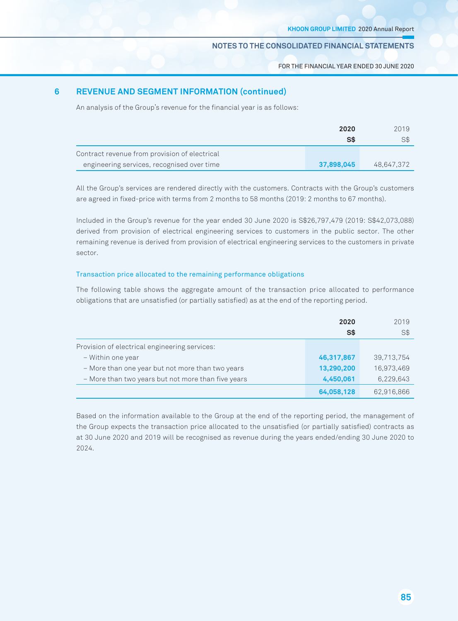FOR THE FINANCIAL YEAR ENDED 30 JUNE 2020

# **6 rEVENuE ANd SEGmENT iNFOrmATiON (continued)**

An analysis of the Group's revenue for the financial year is as follows:

|                                               | 2020<br>S\$ | 2019<br>S\$ |
|-----------------------------------------------|-------------|-------------|
| Contract revenue from provision of electrical | 37,898,045  | 48.647.372  |
| engineering services, recognised over time    |             |             |

All the Group's services are rendered directly with the customers. Contracts with the Group's customers are agreed in fixed-price with terms from 2 months to 58 months (2019: 2 months to 67 months).

Included in the Group's revenue for the year ended 30 June 2020 is S\$26,797,479 (2019: S\$42,073,088) derived from provision of electrical engineering services to customers in the public sector. The other remaining revenue is derived from provision of electrical engineering services to the customers in private sector.

## Transaction price allocated to the remaining performance obligations

The following table shows the aggregate amount of the transaction price allocated to performance obligations that are unsatisfied (or partially satisfied) as at the end of the reporting period.

|                                                    | 2020       | 2019       |
|----------------------------------------------------|------------|------------|
|                                                    | S\$        | S\$        |
| Provision of electrical engineering services:      |            |            |
| - Within one year                                  | 46,317,867 | 39,713,754 |
| - More than one year but not more than two years   | 13,290,200 | 16,973,469 |
| - More than two years but not more than five years | 4,450,061  | 6,229,643  |
|                                                    | 64,058,128 | 62,916,866 |

Based on the information available to the Group at the end of the reporting period, the management of the Group expects the transaction price allocated to the unsatisfied (or partially satisfied) contracts as at 30 June 2020 and 2019 will be recognised as revenue during the years ended/ending 30 June 2020 to 2024.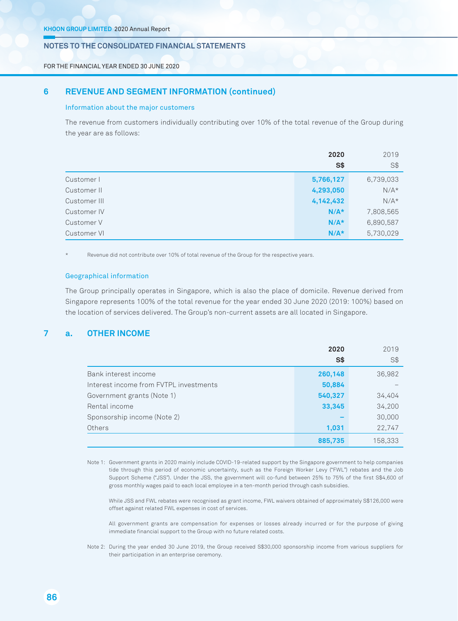FOR THE FINANCIAL YEAR ENDED 30 JUNE 2020

# **6 rEVENuE ANd SEGmENT iNFOrmATiON (continued)**

### Information about the major customers

The revenue from customers individually contributing over 10% of the total revenue of the Group during the year are as follows:

|              | 2020      | 2019      |
|--------------|-----------|-----------|
|              | $S*$      | S\$       |
| Customer I   | 5,766,127 | 6,739,033 |
| Customer II  | 4,293,050 | $N/A*$    |
| Customer III | 4,142,432 | $N/A*$    |
| Customer IV  | $N/A*$    | 7,808,565 |
| Customer V   | $N/A*$    | 6,890,587 |
| Customer VI  | $N/A*$    | 5,730,029 |

Revenue did not contribute over 10% of total revenue of the Group for the respective years.

## Geographical information

The Group principally operates in Singapore, which is also the place of domicile. Revenue derived from Singapore represents 100% of the total revenue for the year ended 30 June 2020 (2019: 100%) based on the location of services delivered. The Group's non-current assets are all located in Singapore.

# **7 a. OThEr iNCOmE**

|                                        | 2020    | 2019    |
|----------------------------------------|---------|---------|
|                                        | $S*$    | $S$ \$  |
| Bank interest income                   | 260,148 | 36,982  |
| Interest income from FVTPL investments | 50,884  |         |
| Government grants (Note 1)             | 540,327 | 34,404  |
| Rental income                          | 33,345  | 34,200  |
| Sponsorship income (Note 2)            |         | 30,000  |
| Others                                 | 1,031   | 22,747  |
|                                        | 885,735 | 158.333 |

Note 1: Government grants in 2020 mainly include COVID-19-related support by the Singapore government to help companies tide through this period of economic uncertainty, such as the Foreign Worker Levy ("FWL") rebates and the Job Support Scheme ("JSS"). Under the JSS, the government will co-fund between 25% to 75% of the first S\$4,600 of gross monthly wages paid to each local employee in a ten-month period through cash subsidies.

While JSS and FWL rebates were recognised as grant income, FWL waivers obtained of approximately S\$126,000 were offset against related FWL expenses in cost of services.

All government grants are compensation for expenses or losses already incurred or for the purpose of giving immediate financial support to the Group with no future related costs.

Note 2: During the year ended 30 June 2019, the Group received S\$30,000 sponsorship income from various suppliers for their participation in an enterprise ceremony.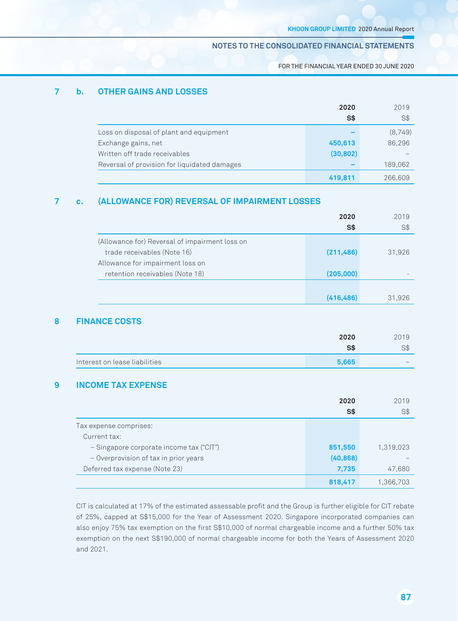FOR THE FINANCIAL YEAR ENDED 30 JUNE 2020

# **7 b. OThEr GAiNS ANd LOSSES**

|                                              | 2020      | 2019    |
|----------------------------------------------|-----------|---------|
|                                              | S\$       | S\$     |
| Loss on disposal of plant and equipment      |           | (8,749) |
| Exchange gains, net                          | 450,613   | 86,296  |
| Written off trade receivables                | (30, 802) |         |
| Reversal of provision for liquidated damages |           | 189,062 |
|                                              | 419,811   | 266,609 |

## **7 c. (ALLOWANCE FOr) rEVErSAL OF impAirmENT LOSSES**

|                                                | 2020       | 2019   |
|------------------------------------------------|------------|--------|
|                                                | S\$        | S\$    |
| (Allowance for) Reversal of impairment loss on |            |        |
| trade receivables (Note 16)                    | (211, 486) | 31,926 |
| Allowance for impairment loss on               |            |        |
| retention receivables (Note 18)                | (205,000)  |        |
|                                                |            |        |
|                                                | (416, 486) | 31.926 |

# **8 FiNANCE COSTS**

|                               | 2020  | 2019                     |
|-------------------------------|-------|--------------------------|
|                               | S\$   | $\sim$<br>97             |
| Interest on lease liabilities | 5,665 | $\overline{\phantom{a}}$ |

## **9 iNCOmE TAX EXpENSE**

|                                          | 2020      | 2019      |
|------------------------------------------|-----------|-----------|
|                                          | S\$       | S\$       |
| Tax expense comprises:                   |           |           |
| Current tax:                             |           |           |
| - Singapore corporate income tax ("CIT") | 851,550   | 1,319,023 |
| - Overprovision of tax in prior years    | (40, 868) |           |
| Deferred tax expense (Note 23)           | 7,735     | 47,680    |
|                                          | 818,417   | 1,366,703 |

CIT is calculated at 17% of the estimated assessable profit and the Group is further eligible for CIT rebate of 25%, capped at S\$15,000 for the Year of Assessment 2020. Singapore incorporated companies can also enjoy 75% tax exemption on the first S\$10,000 of normal chargeable income and a further 50% tax exemption on the next S\$190,000 of normal chargeable income for both the Years of Assessment 2020 and 2021.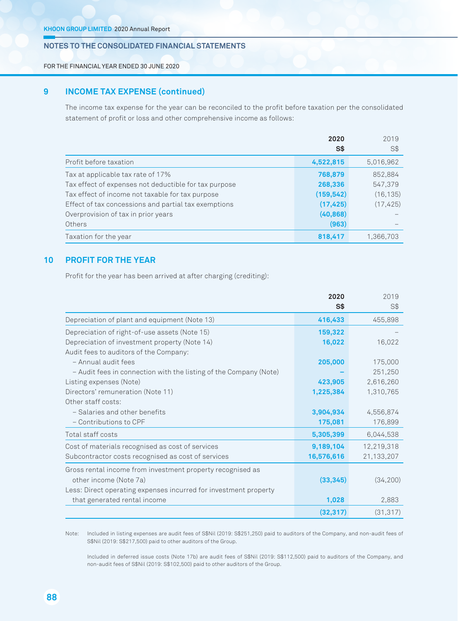FOR THE FINANCIAL YEAR ENDED 30 JUNE 2020

# **9 iNCOmE TAX EXpENSE (continued)**

The income tax expense for the year can be reconciled to the profit before taxation per the consolidated statement of profit or loss and other comprehensive income as follows:

|                                                       | 2020       | 2019      |
|-------------------------------------------------------|------------|-----------|
|                                                       | S\$        | S\$       |
| Profit before taxation                                | 4,522,815  | 5,016,962 |
| Tax at applicable tax rate of 17%                     | 768,879    | 852,884   |
| Tax effect of expenses not deductible for tax purpose | 268,336    | 547.379   |
| Tax effect of income not taxable for tax purpose      | (159, 542) | (16, 135) |
| Effect of tax concessions and partial tax exemptions  | (17, 425)  | (17, 425) |
| Overprovision of tax in prior years                   | (40, 868)  |           |
| Others                                                | (963)      |           |
| Taxation for the year                                 | 818,417    | 1,366,703 |

# **10 prOFiT FOr ThE YEAr**

Profit for the year has been arrived at after charging (crediting):

|                                                                   | 2020       | 2019       |
|-------------------------------------------------------------------|------------|------------|
|                                                                   | S\$        | S\$        |
| Depreciation of plant and equipment (Note 13)                     | 416,433    | 455,898    |
| Depreciation of right-of-use assets (Note 15)                     | 159,322    |            |
| Depreciation of investment property (Note 14)                     | 16,022     | 16,022     |
| Audit fees to auditors of the Company:                            |            |            |
| - Annual audit fees                                               | 205,000    | 175,000    |
| - Audit fees in connection with the listing of the Company (Note) |            | 251,250    |
| Listing expenses (Note)                                           | 423,905    | 2,616,260  |
| Directors' remuneration (Note 11)                                 | 1,225,384  | 1,310,765  |
| Other staff costs:                                                |            |            |
| - Salaries and other benefits                                     | 3,904,934  | 4,556,874  |
| - Contributions to CPF                                            | 175,081    | 176,899    |
| Total staff costs                                                 | 5,305,399  | 6,044,538  |
| Cost of materials recognised as cost of services                  | 9,189,104  | 12,219,318 |
| Subcontractor costs recognised as cost of services                | 16,576,616 | 21,133,207 |
| Gross rental income from investment property recognised as        |            |            |
| other income (Note 7a)                                            | (33, 345)  | (34,200)   |
| Less: Direct operating expenses incurred for investment property  |            |            |
| that generated rental income                                      | 1,028      | 2,883      |
|                                                                   | (32, 317)  | (31, 317)  |

Note: Included in listing expenses are audit fees of S\$Nil (2019: S\$251,250) paid to auditors of the Company, and non-audit fees of S\$Nil (2019: S\$217,500) paid to other auditors of the Group.

Included in deferred issue costs (Note 17b) are audit fees of S\$Nil (2019: S\$112,500) paid to auditors of the Company, and non-audit fees of S\$Nil (2019: S\$102,500) paid to other auditors of the Group.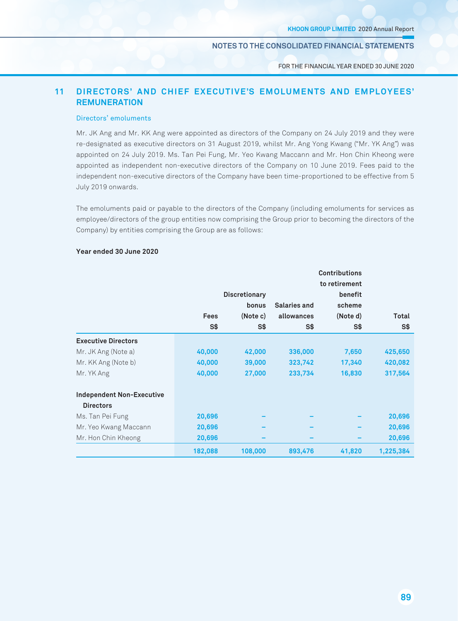FOR THE FINANCIAL YEAR ENDED 30 JUNE 2020

# **11 dirECTOrS' ANd ChiEF EXECuTiVE'S EmOLumENTS ANd EmpLOYEES' rEmuNErATiON**

# Directors' emoluments

Mr. JK Ang and Mr. KK Ang were appointed as directors of the Company on 24 July 2019 and they were re-designated as executive directors on 31 August 2019, whilst Mr. Ang Yong Kwang ("Mr. YK Ang") was appointed on 24 July 2019. Ms. Tan Pei Fung, Mr. Yeo Kwang Maccann and Mr. Hon Chin Kheong were appointed as independent non-executive directors of the Company on 10 June 2019. Fees paid to the independent non-executive directors of the Company have been time-proportioned to be effective from 5 July 2019 onwards.

The emoluments paid or payable to the directors of the Company (including emoluments for services as employee/directors of the group entities now comprising the Group prior to becoming the directors of the Company) by entities comprising the Group are as follows:

|                                  | Fees<br>$S*$ | <b>Discretionary</b><br>bonus<br>(Note c)<br>S\$ | Salaries and<br>allowances<br>S\$ | <b>Contributions</b><br>to retirement<br>benefit<br>scheme<br>(Note d)<br>S\$ | Total<br>S\$ |
|----------------------------------|--------------|--------------------------------------------------|-----------------------------------|-------------------------------------------------------------------------------|--------------|
| <b>Executive Directors</b>       |              |                                                  |                                   |                                                                               |              |
| Mr. JK Ang (Note a)              | 40,000       | 42,000                                           | 336,000                           | 7,650                                                                         | 425,650      |
| Mr. KK Ang (Note b)              | 40,000       | 39,000                                           | 323,742                           | 17,340                                                                        | 420,082      |
| Mr. YK Ang                       | 40,000       | 27,000                                           | 233,734                           | 16,830                                                                        | 317,564      |
| <b>Independent Non-Executive</b> |              |                                                  |                                   |                                                                               |              |
| <b>Directors</b>                 |              |                                                  |                                   |                                                                               |              |
| Ms. Tan Pei Fung                 | 20,696       |                                                  |                                   |                                                                               | 20,696       |
| Mr. Yeo Kwang Maccann            | 20,696       |                                                  |                                   |                                                                               | 20,696       |
| Mr. Hon Chin Kheong              | 20,696       |                                                  |                                   |                                                                               | 20,696       |
|                                  | 182,088      | 108,000                                          | 893,476                           | 41,820                                                                        | 1,225,384    |

### **Year ended 30 June 2020**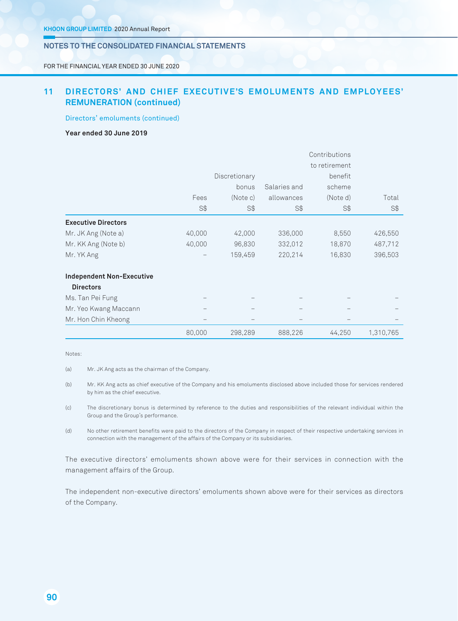FOR THE FINANCIAL YEAR ENDED 30 JUNE 2020

# **11 dirECTOrS' ANd ChiEF EXECuTiVE'S EmOLumENTS ANd EmpLOYEES' rEmuNErATiON (continued)**

Directors' emoluments (continued)

## **Year ended 30 June 2019**

|                                  | Contributions |               |               |          |           |
|----------------------------------|---------------|---------------|---------------|----------|-----------|
|                                  |               |               | to retirement |          |           |
|                                  |               | Discretionary |               | benefit  |           |
|                                  |               | bonus         | Salaries and  | scheme   |           |
|                                  | Fees          | (Note c)      | allowances    | (Note d) | Total     |
|                                  | S\$           | S\$           | S\$           | S\$      | S\$       |
| <b>Executive Directors</b>       |               |               |               |          |           |
| Mr. JK Ang (Note a)              | 40,000        | 42,000        | 336,000       | 8,550    | 426,550   |
| Mr. KK Ang (Note b)              | 40,000        | 96,830        | 332,012       | 18,870   | 487,712   |
| Mr. YK Ang                       |               | 159,459       | 220,214       | 16,830   | 396,503   |
| <b>Independent Non-Executive</b> |               |               |               |          |           |
| <b>Directors</b>                 |               |               |               |          |           |
| Ms. Tan Pei Fung                 |               |               |               |          |           |
| Mr. Yeo Kwang Maccann            |               |               |               |          |           |
| Mr. Hon Chin Kheong              |               |               |               |          |           |
|                                  | 80,000        | 298,289       | 888,226       | 44,250   | 1,310,765 |

Notes:

(a) Mr. JK Ang acts as the chairman of the Company.

(b) Mr. KK Ang acts as chief executive of the Company and his emoluments disclosed above included those for services rendered by him as the chief executive.

(c) The discretionary bonus is determined by reference to the duties and responsibilities of the relevant individual within the Group and the Group's performance.

(d) No other retirement benefits were paid to the directors of the Company in respect of their respective undertaking services in connection with the management of the affairs of the Company or its subsidiaries.

The executive directors' emoluments shown above were for their services in connection with the management affairs of the Group.

The independent non-executive directors' emoluments shown above were for their services as directors of the Company.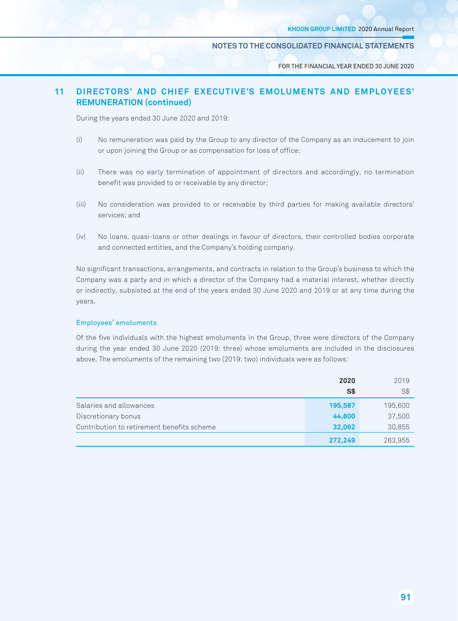FOR THE FINANCIAL YEAR ENDED 30 JUNE 2020

# **11 dirECTOrS' ANd ChiEF EXECuTiVE'S EmOLumENTS ANd EmpLOYEES' rEmuNErATiON (continued)**

During the years ended 30 June 2020 and 2019:

- (i) No remuneration was paid by the Group to any director of the Company as an inducement to join or upon joining the Group or as compensation for loss of office;
- (ii) There was no early termination of appointment of directors and accordingly, no termination benefit was provided to or receivable by any director;
- (iii) No consideration was provided to or receivable by third parties for making available directors' services; and
- (iv) No loans, quasi-loans or other dealings in favour of directors, their controlled bodies corporate and connected entities, and the Company's holding company.

No significant transactions, arrangements, and contracts in relation to the Group's business to which the Company was a party and in which a director of the Company had a material interest, whether directly or indirectly, subsisted at the end of the years ended 30 June 2020 and 2019 or at any time during the years.

## Employees' emoluments

Of the five individuals with the highest emoluments in the Group, three were directors of the Company during the year ended 30 June 2020 (2019: three) whose emoluments are included in the disclosures above. The emoluments of the remaining two (2019: two) individuals were as follows:

|                                            | 2020    | 2019    |
|--------------------------------------------|---------|---------|
|                                            | S\$     | S\$     |
| Salaries and allowances                    | 195,587 | 195,600 |
| Discretionary bonus                        | 44,600  | 37,500  |
| Contribution to retirement benefits scheme | 32,062  | 30,855  |
|                                            | 272,249 | 263,955 |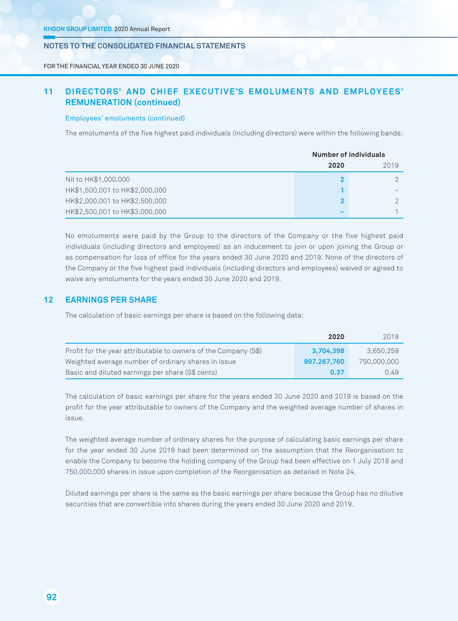FOR THE FINANCIAL YEAR ENDED 30 JUNE 2020

# **11 dirECTOrS' ANd ChiEF EXECuTiVE'S EmOLumENTS ANd EmpLOYEES' rEmuNErATiON (continued)**

### Employees' emoluments (continued)

The emoluments of the five highest paid individuals (including directors) were within the following bands:

|                                | <b>Number of individuals</b> |      |
|--------------------------------|------------------------------|------|
|                                | 2020                         | 2019 |
| Nil to HK\$1,000,000           |                              |      |
| HK\$1,500,001 to HK\$2,000,000 |                              |      |
| HK\$2,000,001 to HK\$2,500,000 |                              |      |
| HK\$2,500,001 to HK\$3,000,000 |                              |      |

No emoluments were paid by the Group to the directors of the Company or the five highest paid individuals (including directors and employees) as an inducement to join or upon joining the Group or as compensation for loss of office for the years ended 30 June 2020 and 2019. None of the directors of the Company or the five highest paid individuals (including directors and employees) waived or agreed to waive any emoluments for the years ended 30 June 2020 and 2019.

## **12 EArNiNGS pEr ShArE**

The calculation of basic earnings per share is based on the following data:

|                                                                 | 2020        | 2019        |
|-----------------------------------------------------------------|-------------|-------------|
| Profit for the year attributable to owners of the Company (S\$) | 3.704.398   | 3.650.259   |
| Weighted average number of ordinary shares in issue             | 997.267.760 | 750,000,000 |
| Basic and diluted earnings per share (S\$ cents)                | 0.37        | 0.49        |

The calculation of basic earnings per share for the years ended 30 June 2020 and 2019 is based on the profit for the year attributable to owners of the Company and the weighted average number of shares in issue.

The weighted average number of ordinary shares for the purpose of calculating basic earnings per share for the year ended 30 June 2019 had been determined on the assumption that the Reorganisation to enable the Company to become the holding company of the Group had been effective on 1 July 2018 and 750,000,000 shares in issue upon completion of the Reorganisation as detailed in Note 24.

Diluted earnings per share is the same as the basic earnings per share because the Group has no dilutive securities that are convertible into shares during the years ended 30 June 2020 and 2019.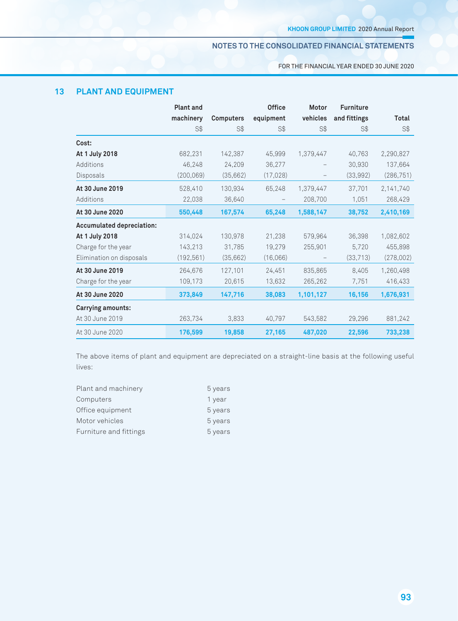FOR THE FINANCIAL YEAR ENDED 30 JUNE 2020

# **13 pLANT ANd EQuipmENT**

|                                  | <b>Plant and</b> |                  | <b>Office</b> | Motor     | <b>Furniture</b> |            |
|----------------------------------|------------------|------------------|---------------|-----------|------------------|------------|
|                                  | machinery        | <b>Computers</b> | equipment     | vehicles  | and fittings     | Total      |
|                                  | S\$              | <b>S\$</b>       | S\$           | S\$       | S\$              | S\$        |
| Cost:                            |                  |                  |               |           |                  |            |
| At 1 July 2018                   | 682.231          | 142.387          | 45,999        | 1,379,447 | 40.763           | 2,290,827  |
| Additions                        | 46,248           | 24,209           | 36,277        |           | 30,930           | 137,664    |
| Disposals                        | (200, 069)       | (35,662)         | (17, 028)     |           | (33,992)         | (286, 751) |
| At 30 June 2019                  | 528.410          | 130,934          | 65,248        | 1,379,447 | 37,701           | 2,141,740  |
| Additions                        | 22,038           | 36,640           |               | 208,700   | 1,051            | 268,429    |
| At 30 June 2020                  | 550,448          | 167,574          | 65,248        | 1,588,147 | 38,752           | 2,410,169  |
| <b>Accumulated depreciation:</b> |                  |                  |               |           |                  |            |
| At 1 July 2018                   | 314,024          | 130.978          | 21.238        | 579.964   | 36,398           | 1,082,602  |
| Charge for the year              | 143,213          | 31,785           | 19,279        | 255,901   | 5,720            | 455,898    |
| Elimination on disposals         | (192, 561)       | (35,662)         | (16,066)      |           | (33, 713)        | (278,002)  |
| At 30 June 2019                  | 264,676          | 127,101          | 24,451        | 835,865   | 8,405            | 1,260,498  |
| Charge for the year              | 109,173          | 20,615           | 13,632        | 265,262   | 7,751            | 416,433    |
| At 30 June 2020                  | 373,849          | 147,716          | 38,083        | 1,101,127 | 16,156           | 1,676,931  |
| <b>Carrying amounts:</b>         |                  |                  |               |           |                  |            |
| At 30 June 2019                  | 263,734          | 3,833            | 40,797        | 543,582   | 29,296           | 881,242    |
| At 30 June 2020                  | 176,599          | 19,858           | 27,165        | 487,020   | 22,596           | 733,238    |

The above items of plant and equipment are depreciated on a straight-line basis at the following useful lives:

| Plant and machinery    | 5 years |
|------------------------|---------|
| Computers              | 1 year  |
| Office equipment       | 5 years |
| Motor vehicles         | 5 years |
| Furniture and fittings | 5 years |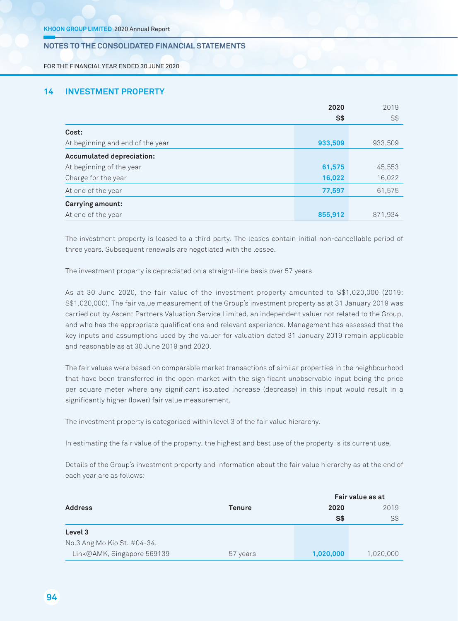FOR THE FINANCIAL YEAR ENDED 30 JUNE 2020

## **14 iNVESTmENT prOpErTY**

|                                  | 2020    | 2019    |
|----------------------------------|---------|---------|
|                                  | S\$     | S\$     |
| Cost:                            |         |         |
| At beginning and end of the year | 933,509 | 933,509 |
| <b>Accumulated depreciation:</b> |         |         |
| At beginning of the year         | 61,575  | 45,553  |
| Charge for the year              | 16,022  | 16,022  |
| At end of the year               | 77,597  | 61,575  |
| Carrying amount:                 |         |         |
| At end of the year               | 855,912 | 871,934 |

The investment property is leased to a third party. The leases contain initial non-cancellable period of three years. Subsequent renewals are negotiated with the lessee.

The investment property is depreciated on a straight-line basis over 57 years.

As at 30 June 2020, the fair value of the investment property amounted to S\$1,020,000 (2019: S\$1,020,000). The fair value measurement of the Group's investment property as at 31 January 2019 was carried out by Ascent Partners Valuation Service Limited, an independent valuer not related to the Group, and who has the appropriate qualifications and relevant experience. Management has assessed that the key inputs and assumptions used by the valuer for valuation dated 31 January 2019 remain applicable and reasonable as at 30 June 2019 and 2020.

The fair values were based on comparable market transactions of similar properties in the neighbourhood that have been transferred in the open market with the significant unobservable input being the price per square meter where any significant isolated increase (decrease) in this input would result in a significantly higher (lower) fair value measurement.

The investment property is categorised within level 3 of the fair value hierarchy.

In estimating the fair value of the property, the highest and best use of the property is its current use.

Details of the Group's investment property and information about the fair value hierarchy as at the end of each year are as follows:

|                             |               |           | Fair value as at |
|-----------------------------|---------------|-----------|------------------|
| <b>Address</b>              | <b>Tenure</b> | 2020      | 2019             |
|                             |               | S\$       | S\$              |
| Level 3                     |               |           |                  |
| No.3 Ang Mo Kio St. #04-34, |               |           |                  |
| Link@AMK, Singapore 569139  | 57 years      | 1,020,000 | 1,020,000        |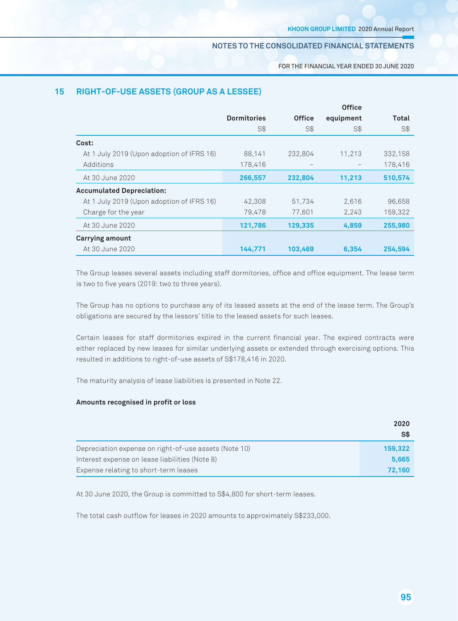FOR THE FINANCIAL YEAR ENDED 30 JUNE 2020

# **15 riGhT-OF-uSE ASSETS (GrOup AS A LESSEE)**

|                                           |                    |               | <b>Office</b> |         |
|-------------------------------------------|--------------------|---------------|---------------|---------|
|                                           | <b>Dormitories</b> | <b>Office</b> | equipment     | Total   |
|                                           | S\$                | S\$           | S\$           | S\$     |
| Cost:                                     |                    |               |               |         |
| At 1 July 2019 (Upon adoption of IFRS 16) | 88,141             | 232.804       | 11,213        | 332,158 |
| Additions                                 | 178,416            |               |               | 178,416 |
| At 30 June 2020                           | 266,557            | 232,804       | 11,213        | 510,574 |
| <b>Accumulated Depreciation:</b>          |                    |               |               |         |
| At 1 July 2019 (Upon adoption of IFRS 16) | 42.308             | 51,734        | 2.616         | 96,658  |
| Charge for the year                       | 79,478             | 77,601        | 2,243         | 159,322 |
| At 30 June 2020                           | 121,786            | 129,335       | 4,859         | 255,980 |
| <b>Carrying amount</b>                    |                    |               |               |         |
| At 30 June 2020                           | 144,771            | 103,469       | 6,354         | 254,594 |

The Group leases several assets including staff dormitories, office and office equipment. The lease term is two to five years (2019: two to three years).

The Group has no options to purchase any of its leased assets at the end of the lease term. The Group's obligations are secured by the lessors' title to the leased assets for such leases.

Certain leases for staff dormitories expired in the current financial year. The expired contracts were either replaced by new leases for similar underlying assets or extended through exercising options. This resulted in additions to right-of-use assets of S\$178,416 in 2020.

The maturity analysis of lease liabilities is presented in Note 22.

## **Amounts recognised in profit or loss**

|                                                       | 2020    |
|-------------------------------------------------------|---------|
|                                                       | S\$     |
| Depreciation expense on right-of-use assets (Note 10) | 159,322 |
| Interest expense on lease liabilities (Note 8)        | 5,665   |
| Expense relating to short-term leases                 | 72.160  |

At 30 June 2020, the Group is committed to S\$4,800 for short-term leases.

The total cash outflow for leases in 2020 amounts to approximately S\$233,000.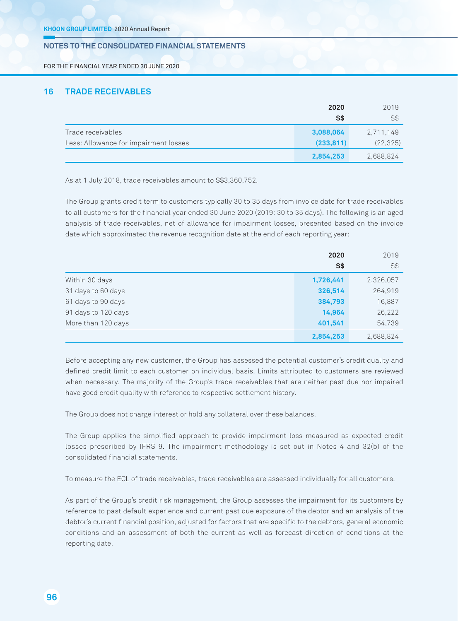FOR THE FINANCIAL YEAR ENDED 30 JUNE 2020

## **16 TrAdE rECEiVABLES**

|                                       | 2020       | 2019      |
|---------------------------------------|------------|-----------|
|                                       | S\$        | S\$       |
| Trade receivables                     | 3,088,064  | 2,711,149 |
| Less: Allowance for impairment losses | (233, 811) | (22, 325) |
|                                       | 2,854,253  | 2,688,824 |

As at 1 July 2018, trade receivables amount to S\$3,360,752.

The Group grants credit term to customers typically 30 to 35 days from invoice date for trade receivables to all customers for the financial year ended 30 June 2020 (2019: 30 to 35 days). The following is an aged analysis of trade receivables, net of allowance for impairment losses, presented based on the invoice date which approximated the revenue recognition date at the end of each reporting year:

|                     | 2020      | 2019      |
|---------------------|-----------|-----------|
|                     | S\$       | $S$ \$    |
| Within 30 days      | 1,726,441 | 2,326,057 |
| 31 days to 60 days  | 326,514   | 264,919   |
| 61 days to 90 days  | 384,793   | 16,887    |
| 91 days to 120 days | 14,964    | 26,222    |
| More than 120 days  | 401,541   | 54,739    |
|                     | 2,854,253 | 2,688,824 |

Before accepting any new customer, the Group has assessed the potential customer's credit quality and defined credit limit to each customer on individual basis. Limits attributed to customers are reviewed when necessary. The majority of the Group's trade receivables that are neither past due nor impaired have good credit quality with reference to respective settlement history.

The Group does not charge interest or hold any collateral over these balances.

The Group applies the simplified approach to provide impairment loss measured as expected credit losses prescribed by IFRS 9. The impairment methodology is set out in Notes 4 and 32(b) of the consolidated financial statements.

To measure the ECL of trade receivables, trade receivables are assessed individually for all customers.

As part of the Group's credit risk management, the Group assesses the impairment for its customers by reference to past default experience and current past due exposure of the debtor and an analysis of the debtor's current financial position, adjusted for factors that are specific to the debtors, general economic conditions and an assessment of both the current as well as forecast direction of conditions at the reporting date.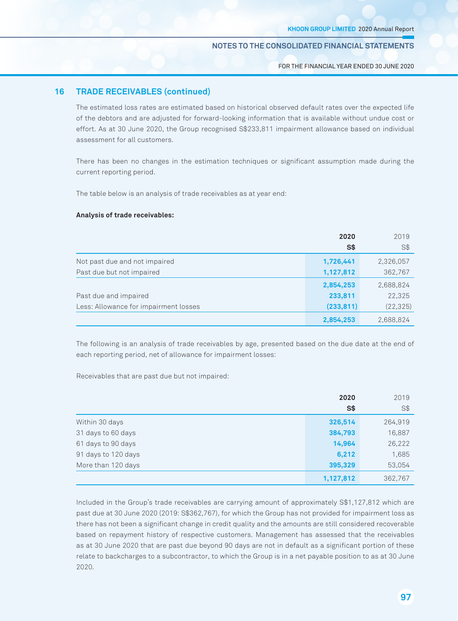FOR THE FINANCIAL YEAR ENDED 30 JUNE 2020

## **16 TrAdE rECEiVABLES (continued)**

The estimated loss rates are estimated based on historical observed default rates over the expected life of the debtors and are adjusted for forward-looking information that is available without undue cost or effort. As at 30 June 2020, the Group recognised S\$233,811 impairment allowance based on individual assessment for all customers.

There has been no changes in the estimation techniques or significant assumption made during the current reporting period.

The table below is an analysis of trade receivables as at year end:

### **Analysis of trade receivables:**

|                                       | 2020       | 2019      |
|---------------------------------------|------------|-----------|
|                                       | S\$        | S\$       |
| Not past due and not impaired         | 1,726,441  | 2,326,057 |
| Past due but not impaired             | 1,127,812  | 362,767   |
|                                       | 2,854,253  | 2,688,824 |
| Past due and impaired                 | 233,811    | 22,325    |
| Less: Allowance for impairment losses | (233, 811) | (22, 325) |
|                                       | 2,854,253  | 2,688,824 |

The following is an analysis of trade receivables by age, presented based on the due date at the end of each reporting period, net of allowance for impairment losses:

Receivables that are past due but not impaired:

|                     | 2020      | 2019    |
|---------------------|-----------|---------|
|                     | $S*$      | S\$     |
| Within 30 days      | 326,514   | 264,919 |
| 31 days to 60 days  | 384,793   | 16,887  |
| 61 days to 90 days  | 14,964    | 26,222  |
| 91 days to 120 days | 6,212     | 1,685   |
| More than 120 days  | 395,329   | 53,054  |
|                     | 1,127,812 | 362,767 |

Included in the Group's trade receivables are carrying amount of approximately S\$1,127,812 which are past due at 30 June 2020 (2019: S\$362,767), for which the Group has not provided for impairment loss as there has not been a significant change in credit quality and the amounts are still considered recoverable based on repayment history of respective customers. Management has assessed that the receivables as at 30 June 2020 that are past due beyond 90 days are not in default as a significant portion of these relate to backcharges to a subcontractor, to which the Group is in a net payable position to as at 30 June 2020.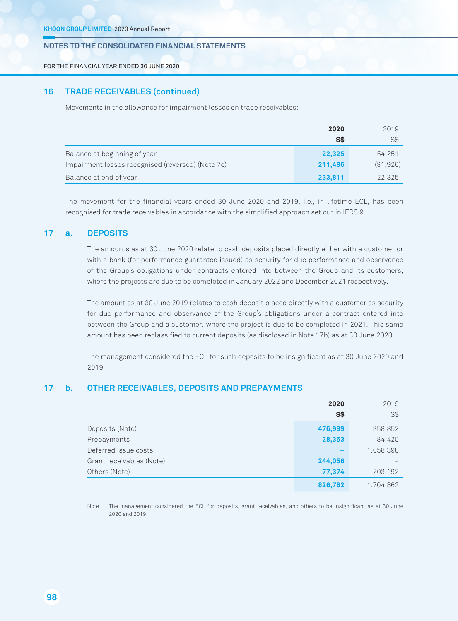FOR THE FINANCIAL YEAR ENDED 30 JUNE 2020

## **16 TrAdE rECEiVABLES (continued)**

Movements in the allowance for impairment losses on trade receivables:

|                                                   | 2020    | 2019     |
|---------------------------------------------------|---------|----------|
|                                                   | S\$     | S\$      |
| Balance at beginning of year                      | 22,325  | 54.251   |
| Impairment losses recognised (reversed) (Note 7c) | 211,486 | (31,926) |
| Balance at end of year                            | 233,811 | 22,325   |

The movement for the financial years ended 30 June 2020 and 2019, i.e., in lifetime ECL, has been recognised for trade receivables in accordance with the simplified approach set out in IFRS 9.

## **17 a. dEpOSiTS**

The amounts as at 30 June 2020 relate to cash deposits placed directly either with a customer or with a bank (for performance guarantee issued) as security for due performance and observance of the Group's obligations under contracts entered into between the Group and its customers, where the projects are due to be completed in January 2022 and December 2021 respectively.

The amount as at 30 June 2019 relates to cash deposit placed directly with a customer as security for due performance and observance of the Group's obligations under a contract entered into between the Group and a customer, where the project is due to be completed in 2021. This same amount has been reclassified to current deposits (as disclosed in Note 17b) as at 30 June 2020.

The management considered the ECL for such deposits to be insignificant as at 30 June 2020 and 2019.

## **17 b. OThEr rECEiVABLES, dEpOSiTS ANd prEpAYmENTS**

|                          | 2020                     | 2019      |
|--------------------------|--------------------------|-----------|
|                          | $S*$                     | $S$ \$    |
| Deposits (Note)          | 476,999                  | 358,852   |
| Prepayments              | 28,353                   | 84,420    |
| Deferred issue costs     | $\overline{\phantom{a}}$ | 1,058,398 |
| Grant receivables (Note) | 244,056                  |           |
| Others (Note)            | 77,374                   | 203,192   |
|                          | 826,782                  | 1,704,862 |

Note: The management considered the ECL for deposits, grant receivables, and others to be insignificant as at 30 June 2020 and 2019.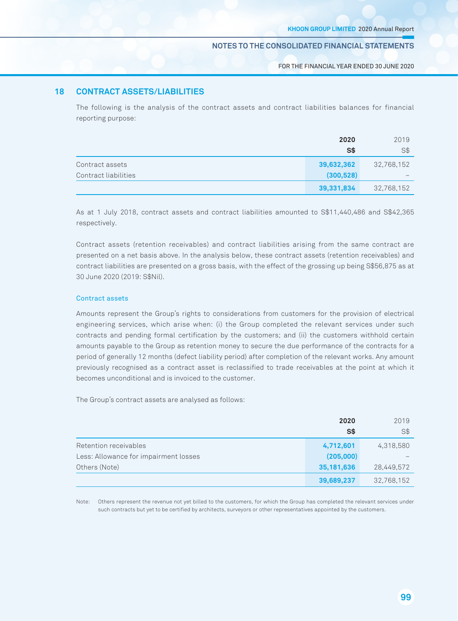FOR THE FINANCIAL YEAR ENDED 30 JUNE 2020

# **18 CONTrACT ASSETS/LiABiLiTiES**

The following is the analysis of the contract assets and contract liabilities balances for financial reporting purpose:

|                      | 2020       | 2019       |
|----------------------|------------|------------|
|                      | S\$        | S\$        |
| Contract assets      | 39,632,362 | 32,768,152 |
| Contract liabilities | (300, 528) |            |
|                      | 39,331,834 | 32,768,152 |

As at 1 July 2018, contract assets and contract liabilities amounted to S\$11,440,486 and S\$42,365 respectively.

Contract assets (retention receivables) and contract liabilities arising from the same contract are presented on a net basis above. In the analysis below, these contract assets (retention receivables) and contract liabilities are presented on a gross basis, with the effect of the grossing up being S\$56,875 as at 30 June 2020 (2019: S\$Nil).

## Contract assets

Amounts represent the Group's rights to considerations from customers for the provision of electrical engineering services, which arise when: (i) the Group completed the relevant services under such contracts and pending formal certification by the customers; and (ii) the customers withhold certain amounts payable to the Group as retention money to secure the due performance of the contracts for a period of generally 12 months (defect liability period) after completion of the relevant works. Any amount previously recognised as a contract asset is reclassified to trade receivables at the point at which it becomes unconditional and is invoiced to the customer.

The Group's contract assets are analysed as follows:

|                                       | 2020       | 2019       |
|---------------------------------------|------------|------------|
|                                       | S\$        | S\$        |
| Retention receivables                 | 4,712,601  | 4,318,580  |
| Less: Allowance for impairment losses | (205,000)  |            |
| Others (Note)                         | 35,181,636 | 28,449,572 |
|                                       | 39,689,237 | 32,768,152 |

Note: Others represent the revenue not yet billed to the customers, for which the Group has completed the relevant services under such contracts but yet to be certified by architects, surveyors or other representatives appointed by the customers.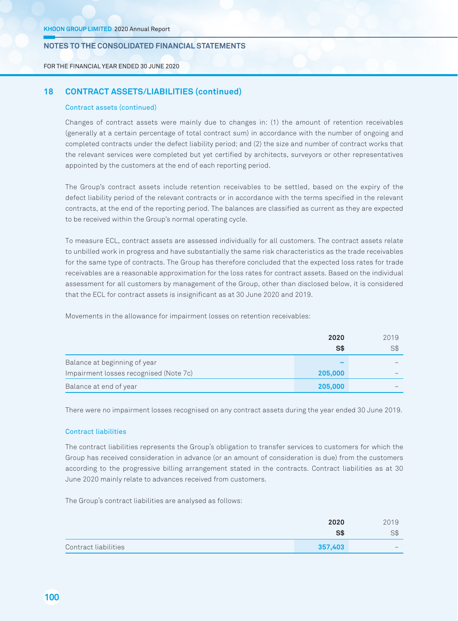FOR THE FINANCIAL YEAR ENDED 30 JUNE 2020

# **18 CONTrACT ASSETS/LiABiLiTiES (continued)**

## Contract assets (continued)

Changes of contract assets were mainly due to changes in: (1) the amount of retention receivables (generally at a certain percentage of total contract sum) in accordance with the number of ongoing and completed contracts under the defect liability period; and (2) the size and number of contract works that the relevant services were completed but yet certified by architects, surveyors or other representatives appointed by the customers at the end of each reporting period.

The Group's contract assets include retention receivables to be settled, based on the expiry of the defect liability period of the relevant contracts or in accordance with the terms specified in the relevant contracts, at the end of the reporting period. The balances are classified as current as they are expected to be received within the Group's normal operating cycle.

To measure ECL, contract assets are assessed individually for all customers. The contract assets relate to unbilled work in progress and have substantially the same risk characteristics as the trade receivables for the same type of contracts. The Group has therefore concluded that the expected loss rates for trade receivables are a reasonable approximation for the loss rates for contract assets. Based on the individual assessment for all customers by management of the Group, other than disclosed below, it is considered that the ECL for contract assets is insignificant as at 30 June 2020 and 2019.

Movements in the allowance for impairment losses on retention receivables:

|                                        | 2020    | 2019 |
|----------------------------------------|---------|------|
|                                        | S\$     | S\$  |
| Balance at beginning of year           |         |      |
| Impairment losses recognised (Note 7c) | 205,000 |      |
| Balance at end of year                 | 205,000 |      |

There were no impairment losses recognised on any contract assets during the year ended 30 June 2019.

## Contract liabilities

The contract liabilities represents the Group's obligation to transfer services to customers for which the Group has received consideration in advance (or an amount of consideration is due) from the customers according to the progressive billing arrangement stated in the contracts. Contract liabilities as at 30 June 2020 mainly relate to advances received from customers.

The Group's contract liabilities are analysed as follows:

|                      | 2020       | 2019 |
|----------------------|------------|------|
|                      | <b>S\$</b> | S\$  |
| Contract liabilities | 357,403    | _    |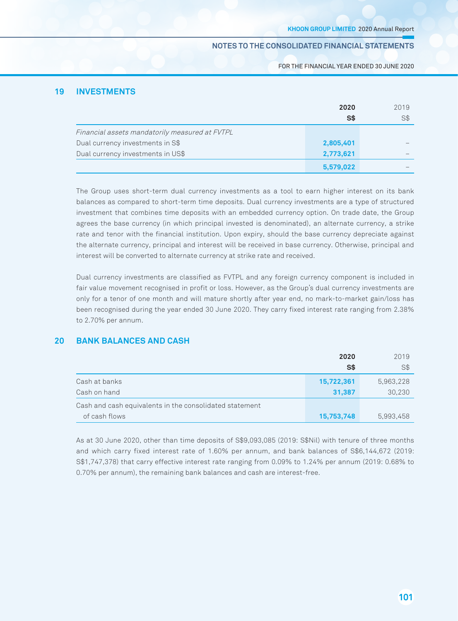FOR THE FINANCIAL YEAR ENDED 30 JUNE 2020

## **19 iNVESTmENTS**

|                                                | 2020      | 2019 |
|------------------------------------------------|-----------|------|
|                                                | S\$       | S\$  |
| Financial assets mandatorily measured at FVTPL |           |      |
| Dual currency investments in S\$               | 2,805,401 |      |
| Dual currency investments in US\$              | 2,773,621 |      |
|                                                | 5,579,022 |      |

The Group uses short-term dual currency investments as a tool to earn higher interest on its bank balances as compared to short-term time deposits. Dual currency investments are a type of structured investment that combines time deposits with an embedded currency option. On trade date, the Group agrees the base currency (in which principal invested is denominated), an alternate currency, a strike rate and tenor with the financial institution. Upon expiry, should the base currency depreciate against the alternate currency, principal and interest will be received in base currency. Otherwise, principal and interest will be converted to alternate currency at strike rate and received.

Dual currency investments are classified as FVTPL and any foreign currency component is included in fair value movement recognised in profit or loss. However, as the Group's dual currency investments are only for a tenor of one month and will mature shortly after year end, no mark-to-market gain/loss has been recognised during the year ended 30 June 2020. They carry fixed interest rate ranging from 2.38% to 2.70% per annum.

# **20 BANK BALANCES ANd CASh**

|                                                         | 2020       | 2019      |
|---------------------------------------------------------|------------|-----------|
|                                                         | S\$        | S\$       |
| Cash at banks                                           | 15,722,361 | 5,963,228 |
| Cash on hand                                            | 31,387     | 30,230    |
| Cash and cash equivalents in the consolidated statement |            |           |
| of cash flows                                           | 15,753,748 | 5,993,458 |

As at 30 June 2020, other than time deposits of S\$9,093,085 (2019: S\$Nil) with tenure of three months and which carry fixed interest rate of 1.60% per annum, and bank balances of S\$6,144,672 (2019: S\$1,747,378) that carry effective interest rate ranging from 0.09% to 1.24% per annum (2019: 0.68% to 0.70% per annum), the remaining bank balances and cash are interest-free.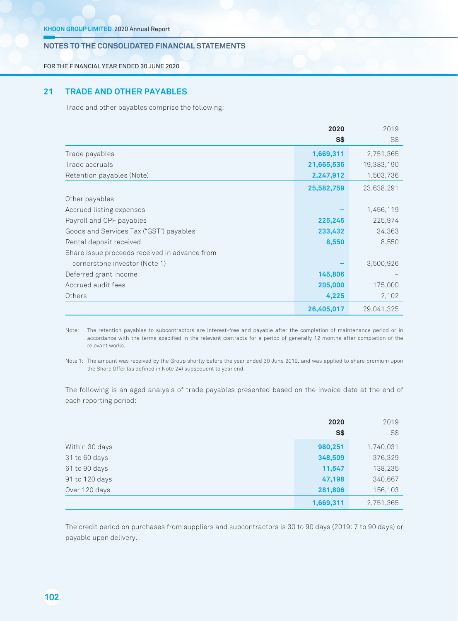FOR THE FINANCIAL YEAR ENDED 30 JUNE 2020

# **21 TrAdE ANd OThEr pAYABLES**

Trade and other payables comprise the following:

|                                               | 2020       | 2019       |
|-----------------------------------------------|------------|------------|
|                                               | $S*$       | S\$        |
| Trade payables                                | 1,669,311  | 2,751,365  |
| Trade accruals                                | 21,665,536 | 19,383,190 |
| Retention payables (Note)                     | 2,247,912  | 1,503,736  |
|                                               | 25,582,759 | 23,638,291 |
| Other payables                                |            |            |
| Accrued listing expenses                      |            | 1,456,119  |
| Payroll and CPF payables                      | 225,245    | 225,974    |
| Goods and Services Tax ("GST") payables       | 233,432    | 34,363     |
| Rental deposit received                       | 8,550      | 8,550      |
| Share issue proceeds received in advance from |            |            |
| cornerstone investor (Note 1)                 |            | 3,500,926  |
| Deferred grant income                         | 145,806    |            |
| Accrued audit fees                            | 205,000    | 175,000    |
| Others                                        | 4,225      | 2,102      |
|                                               | 26,405,017 | 29,041,325 |

Note: The retention payables to subcontractors are interest-free and payable after the completion of maintenance period or in accordance with the terms specified in the relevant contracts for a period of generally 12 months after completion of the relevant works.

Note 1: The amount was received by the Group shortly before the year ended 30 June 2019, and was applied to share premium upon the Share Offer (as defined in Note 24) subsequent to year end.

The following is an aged analysis of trade payables presented based on the invoice date at the end of each reporting period:

|                | 2020      | 2019           |
|----------------|-----------|----------------|
|                | $S*$      | S <sup>†</sup> |
| Within 30 days | 980,251   | 1,740,031      |
| 31 to 60 days  | 348,509   | 376,329        |
| 61 to 90 days  | 11,547    | 138,235        |
| 91 to 120 days | 47,198    | 340,667        |
| Over 120 days  | 281,806   | 156,103        |
|                | 1,669,311 | 2,751,365      |

The credit period on purchases from suppliers and subcontractors is 30 to 90 days (2019: 7 to 90 days) or payable upon delivery.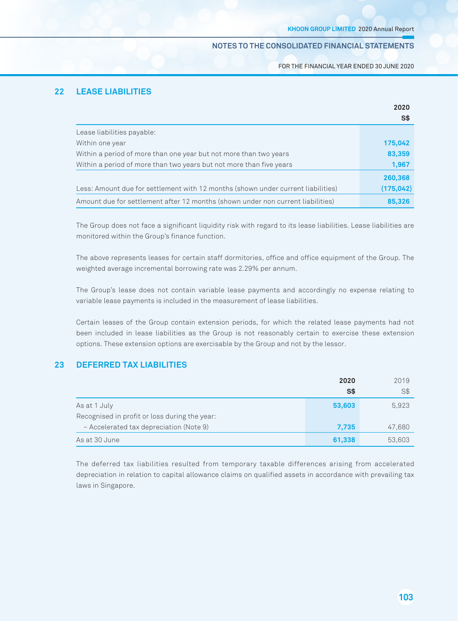FOR THE FINANCIAL YEAR ENDED 30 JUNE 2020

# **22 LEASE LiABiLiTiES**

|                                                                                  | 2020<br>S\$ |
|----------------------------------------------------------------------------------|-------------|
| Lease liabilities payable:                                                       |             |
| Within one year                                                                  | 175,042     |
| Within a period of more than one year but not more than two years                | 83,359      |
| Within a period of more than two years but not more than five years              | 1,967       |
|                                                                                  | 260,368     |
| Less: Amount due for settlement with 12 months (shown under current liabilities) | (175,042)   |
| Amount due for settlement after 12 months (shown under non current liabilities)  | 85,326      |

The Group does not face a significant liquidity risk with regard to its lease liabilities. Lease liabilities are monitored within the Group's finance function.

The above represents leases for certain staff dormitories, office and office equipment of the Group. The weighted average incremental borrowing rate was 2.29% per annum.

The Group's lease does not contain variable lease payments and accordingly no expense relating to variable lease payments is included in the measurement of lease liabilities.

Certain leases of the Group contain extension periods, for which the related lease payments had not been included in lease liabilities as the Group is not reasonably certain to exercise these extension options. These extension options are exercisable by the Group and not by the lessor.

# **23 dEFErrEd TAX LiABiLiTiES**

|                                               | 2020   | 2019   |
|-----------------------------------------------|--------|--------|
|                                               | S\$    | S\$    |
| As at 1 July                                  | 53,603 | 5,923  |
| Recognised in profit or loss during the year: |        |        |
| - Accelerated tax depreciation (Note 9)       | 7,735  | 47,680 |
| As at 30 June                                 | 61,338 | 53,603 |

The deferred tax liabilities resulted from temporary taxable differences arising from accelerated depreciation in relation to capital allowance claims on qualified assets in accordance with prevailing tax laws in Singapore.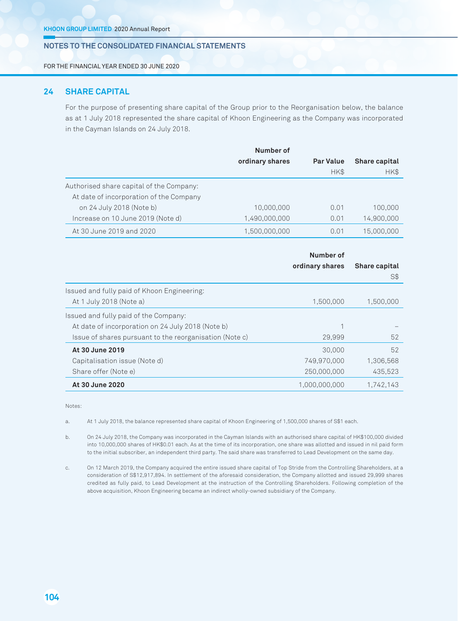FOR THE FINANCIAL YEAR ENDED 30 JUNE 2020

# **24 ShArE CApiTAL**

For the purpose of presenting share capital of the Group prior to the Reorganisation below, the balance as at 1 July 2018 represented the share capital of Khoon Engineering as the Company was incorporated in the Cayman Islands on 24 July 2018.

|                                          | Number of       |                  |               |
|------------------------------------------|-----------------|------------------|---------------|
|                                          | ordinary shares | <b>Par Value</b> | Share capital |
|                                          |                 | HK\$             | HK\$          |
| Authorised share capital of the Company: |                 |                  |               |
| At date of incorporation of the Company  |                 |                  |               |
| on 24 July 2018 (Note b)                 | 10,000,000      | 0.01             | 100,000       |
| Increase on 10 June 2019 (Note d)        | 1,490,000,000   | 0.01             | 14.900.000    |
| At 30 June 2019 and 2020                 | 1,500,000,000   | 0.01             | 15.000.000    |

|                                                                        | Number of<br>ordinary shares | Share capital<br>S\$ |
|------------------------------------------------------------------------|------------------------------|----------------------|
| Issued and fully paid of Khoon Engineering:<br>At 1 July 2018 (Note a) | 1,500,000                    | 1,500,000            |
| Issued and fully paid of the Company:                                  |                              |                      |
| At date of incorporation on 24 July 2018 (Note b)                      |                              |                      |
| Issue of shares pursuant to the reorganisation (Note c)                | 29.999                       | 52                   |
| At 30 June 2019                                                        | 30,000                       | 52                   |
| Capitalisation issue (Note d)                                          | 749,970,000                  | 1,306,568            |
| Share offer (Note e)                                                   | 250,000,000                  | 435.523              |
| At 30 June 2020                                                        | 1,000,000,000                | 1,742,143            |

Notes:

a. At 1 July 2018, the balance represented share capital of Khoon Engineering of 1,500,000 shares of S\$1 each.

b. On 24 July 2018, the Company was incorporated in the Cayman Islands with an authorised share capital of HK\$100,000 divided into 10,000,000 shares of HK\$0.01 each. As at the time of its incorporation, one share was allotted and issued in nil paid form to the initial subscriber, an independent third party. The said share was transferred to Lead Development on the same day.

c. On 12 March 2019, the Company acquired the entire issued share capital of Top Stride from the Controlling Shareholders, at a consideration of S\$12,917,894. In settlement of the aforesaid consideration, the Company allotted and issued 29,999 shares credited as fully paid, to Lead Development at the instruction of the Controlling Shareholders. Following completion of the above acquisition, Khoon Engineering became an indirect wholly-owned subsidiary of the Company.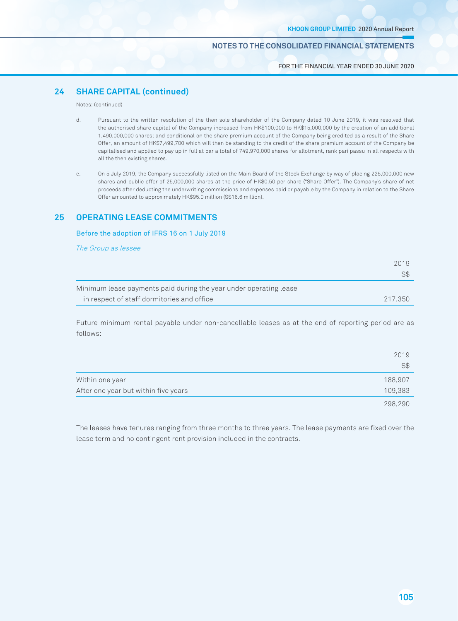### FOR THE FINANCIAL YEAR ENDED 30 JUNE 2020

# **24 ShArE CApiTAL (continued)**

Notes: (continued)

- d. Pursuant to the written resolution of the then sole shareholder of the Company dated 10 June 2019, it was resolved that the authorised share capital of the Company increased from HK\$100,000 to HK\$15,000,000 by the creation of an additional 1,490,000,000 shares; and conditional on the share premium account of the Company being credited as a result of the Share Offer, an amount of HK\$7,499,700 which will then be standing to the credit of the share premium account of the Company be capitalised and applied to pay up in full at par a total of 749,970,000 shares for allotment, rank pari passu in all respects with all the then existing shares.
- e. On 5 July 2019, the Company successfully listed on the Main Board of the Stock Exchange by way of placing 225,000,000 new shares and public offer of 25,000,000 shares at the price of HK\$0.50 per share ("Share Offer"). The Company's share of net proceeds after deducting the underwriting commissions and expenses paid or payable by the Company in relation to the Share Offer amounted to approximately HK\$95.0 million (S\$16.6 million).

## **25 OpErATiNG LEASE COmmiTmENTS**

Before the adoption of IFRS 16 on 1 July 2019

The Group as lessee

|                                                                   | 2019    |
|-------------------------------------------------------------------|---------|
|                                                                   | S\$     |
| Minimum lease payments paid during the year under operating lease |         |
| in respect of staff dormitories and office                        | 217.350 |

Future minimum rental payable under non-cancellable leases as at the end of reporting period are as follows:

|                                      | 2019    |
|--------------------------------------|---------|
|                                      | S\$     |
| Within one year                      | 188,907 |
| After one year but within five years | 109,383 |
|                                      | 298,290 |

The leases have tenures ranging from three months to three years. The lease payments are fixed over the lease term and no contingent rent provision included in the contracts.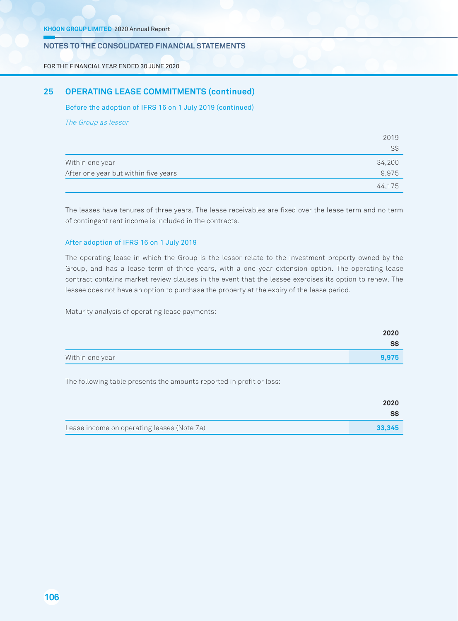FOR THE FINANCIAL YEAR ENDED 30 JUNE 2020

## **25 OpErATiNG LEASE COmmiTmENTS (continued)**

Before the adoption of IFRS 16 on 1 July 2019 (continued)

The Group as lessor

|                                      | 2019   |
|--------------------------------------|--------|
|                                      | $S$ \$ |
| Within one year                      | 34,200 |
| After one year but within five years | 9,975  |
|                                      | 44.175 |

The leases have tenures of three years. The lease receivables are fixed over the lease term and no term of contingent rent income is included in the contracts.

### After adoption of IFRS 16 on 1 July 2019

The operating lease in which the Group is the lessor relate to the investment property owned by the Group, and has a lease term of three years, with a one year extension option. The operating lease contract contains market review clauses in the event that the lessee exercises its option to renew. The lessee does not have an option to purchase the property at the expiry of the lease period.

Maturity analysis of operating lease payments:

|                 | 2020  |
|-----------------|-------|
|                 | S\$   |
| Within one year | 9.975 |

The following table presents the amounts reported in profit or loss:

|                                            | 2020   |
|--------------------------------------------|--------|
|                                            | S\$    |
| Lease income on operating leases (Note 7a) | 33,345 |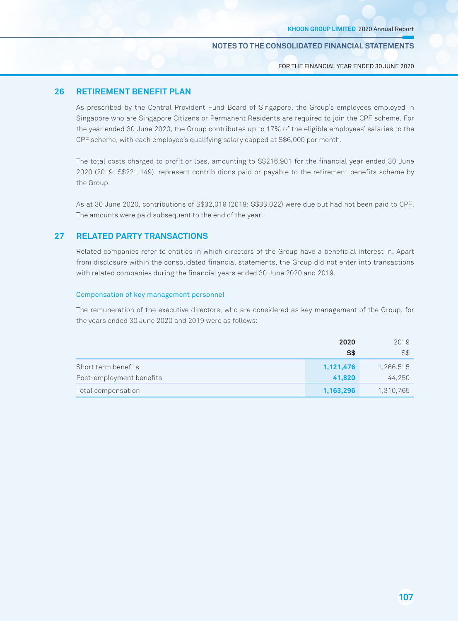## FOR THE FINANCIAL YEAR ENDED 30 JUNE 2020

## **26 RETIREMENT BENEFIT PLAN**

As prescribed by the Central Provident Fund Board of Singapore, the Group's employees employed in Singapore who are Singapore Citizens or Permanent Residents are required to join the CPF scheme. For the year ended 30 June 2020, the Group contributes up to 17% of the eligible employees' salaries to the CPF scheme, with each employee's qualifying salary capped at S\$6,000 per month.

The total costs charged to profit or loss, amounting to S\$216,901 for the financial year ended 30 June 2020 (2019: S\$221,149), represent contributions paid or payable to the retirement benefits scheme by the Group.

As at 30 June 2020, contributions of S\$32,019 (2019: S\$33,022) were due but had not been paid to CPF. The amounts were paid subsequent to the end of the year.

## **27 rELATEd pArTY TrANSACTiONS**

Related companies refer to entities in which directors of the Group have a beneficial interest in. Apart from disclosure within the consolidated financial statements, the Group did not enter into transactions with related companies during the financial years ended 30 June 2020 and 2019.

## Compensation of key management personnel

The remuneration of the executive directors, who are considered as key management of the Group, for the years ended 30 June 2020 and 2019 were as follows:

|                          | 2020      |           |
|--------------------------|-----------|-----------|
|                          | S\$       | S\$       |
| Short term benefits      | 1,121,476 | 1,266,515 |
| Post-employment benefits | 41,820    | 44.250    |
| Total compensation       | 1,163,296 | 1,310,765 |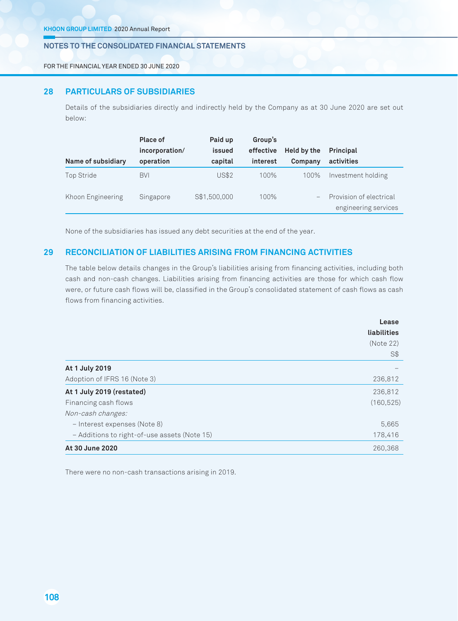FOR THE FINANCIAL YEAR ENDED 30 JUNE 2020

# **28 pArTiCuLArS OF SuBSidiAriES**

Details of the subsidiaries directly and indirectly held by the Company as at 30 June 2020 are set out below:

| Name of subsidiary | Place of<br>incorporation/<br>operation | Paid up<br>issued<br>capital | Group's<br>effective<br>interest | Held by the<br>Company | <b>Principal</b><br>activities                  |
|--------------------|-----------------------------------------|------------------------------|----------------------------------|------------------------|-------------------------------------------------|
| Top Stride         | BVI                                     | <b>US\$2</b>                 | 100%                             | 100%                   | Investment holding                              |
| Khoon Engineering  | Singapore                               | S\$1,500,000                 | 100%                             |                        | Provision of electrical<br>engineering services |

None of the subsidiaries has issued any debt securities at the end of the year.

# **29 rECONCiLiATiON OF LiABiLiTiES AriSiNG FrOm FiNANCiNG ACTiViTiES**

The table below details changes in the Group's liabilities arising from financing activities, including both cash and non-cash changes. Liabilities arising from financing activities are those for which cash flow were, or future cash flows will be, classified in the Group's consolidated statement of cash flows as cash flows from financing activities.

|                                              | Lease<br>liabilities<br>(Note 22)<br>S\$ |
|----------------------------------------------|------------------------------------------|
| At 1 July 2019                               |                                          |
| Adoption of IFRS 16 (Note 3)                 | 236,812                                  |
| At 1 July 2019 (restated)                    | 236,812                                  |
| Financing cash flows                         | (160, 525)                               |
| Non-cash changes:                            |                                          |
| - Interest expenses (Note 8)                 | 5,665                                    |
| - Additions to right-of-use assets (Note 15) | 178,416                                  |
| At 30 June 2020                              | 260.368                                  |

There were no non-cash transactions arising in 2019.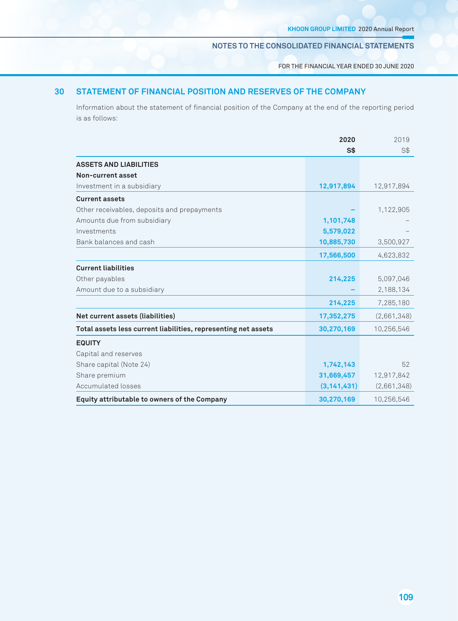FOR THE FINANCIAL YEAR ENDED 30 JUNE 2020

# **30 STATEmENT OF FiNANCiAL pOSiTiON ANd rESErVES OF ThE COmpANY**

Information about the statement of financial position of the Company at the end of the reporting period is as follows:

|                                                                | 2020           | 2019        |
|----------------------------------------------------------------|----------------|-------------|
|                                                                | S <sub>3</sub> | S\$         |
| <b>ASSETS AND LIABILITIES</b>                                  |                |             |
| Non-current asset                                              |                |             |
| Investment in a subsidiary                                     | 12,917,894     | 12,917,894  |
| <b>Current assets</b>                                          |                |             |
| Other receivables, deposits and prepayments                    |                | 1,122,905   |
| Amounts due from subsidiary                                    | 1,101,748      |             |
| Investments                                                    | 5,579,022      |             |
| Bank balances and cash                                         | 10,885,730     | 3,500,927   |
|                                                                | 17,566,500     | 4,623,832   |
| <b>Current liabilities</b>                                     |                |             |
| Other payables                                                 | 214,225        | 5,097,046   |
| Amount due to a subsidiary                                     |                | 2,188,134   |
|                                                                | 214,225        | 7,285,180   |
| Net current assets (liabilities)                               | 17,352,275     | (2,661,348) |
| Total assets less current liabilities, representing net assets | 30,270,169     | 10,256,546  |
| <b>EQUITY</b>                                                  |                |             |
| Capital and reserves                                           |                |             |
| Share capital (Note 24)                                        | 1,742,143      | 52          |
| Share premium                                                  | 31,669,457     | 12,917,842  |
| Accumulated losses                                             | (3, 141, 431)  | (2,661,348) |
| Equity attributable to owners of the Company                   | 30,270,169     | 10,256,546  |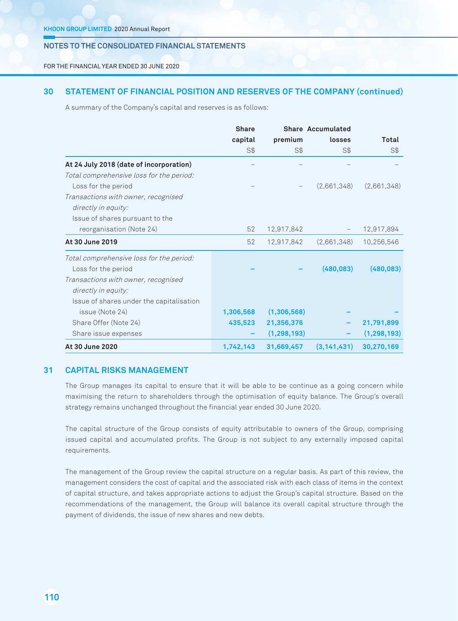FOR THE FINANCIAL YEAR ENDED 30 JUNE 2020

# **30 STATEmENT OF FiNANCiAL pOSiTiON ANd rESErVES OF ThE COmpANY (continued)**

A summary of the Company's capital and reserves is as follows:

|                                          | <b>Share</b> |               | <b>Share Accumulated</b> |               |
|------------------------------------------|--------------|---------------|--------------------------|---------------|
|                                          | capital      | premium       | losses                   | Total         |
|                                          | S\$          | S\$           | S\$                      | S\$           |
| At 24 July 2018 (date of incorporation)  |              |               |                          |               |
| Total comprehensive loss for the period: |              |               |                          |               |
| Loss for the period                      |              |               | (2,661,348)              | (2,661,348)   |
| Transactions with owner, recognised      |              |               |                          |               |
| directly in equity:                      |              |               |                          |               |
| Issue of shares pursuant to the          |              |               |                          |               |
| reorganisation (Note 24)                 | 52           | 12,917,842    | $\qquad \qquad -$        | 12,917,894    |
| At 30 June 2019                          | 52           | 12,917,842    | (2,661,348)              | 10,256,546    |
| Total comprehensive loss for the period: |              |               |                          |               |
| Loss for the period                      |              |               | (480, 083)               | (480, 083)    |
| Transactions with owner, recognised      |              |               |                          |               |
| directly in equity:                      |              |               |                          |               |
| Issue of shares under the capitalisation |              |               |                          |               |
| issue (Note 24)                          | 1,306,568    | (1,306,568)   |                          |               |
| Share Offer (Note 24)                    | 435,523      | 21,356,376    |                          | 21,791,899    |
| Share issue expenses                     |              | (1, 298, 193) |                          | (1, 298, 193) |
| At 30 June 2020                          | 1,742,143    | 31,669,457    | (3, 141, 431)            | 30,270,169    |

### **31 CApiTAL riSKS mANAGEmENT**

The Group manages its capital to ensure that it will be able to be continue as a going concern while maximising the return to shareholders through the optimisation of equity balance. The Group's overall strategy remains unchanged throughout the financial year ended 30 June 2020.

The capital structure of the Group consists of equity attributable to owners of the Group, comprising issued capital and accumulated profits. The Group is not subject to any externally imposed capital requirements.

The management of the Group review the capital structure on a regular basis. As part of this review, the management considers the cost of capital and the associated risk with each class of items in the context of capital structure, and takes appropriate actions to adjust the Group's capital structure. Based on the recommendations of the management, the Group will balance its overall capital structure through the payment of dividends, the issue of new shares and new debts.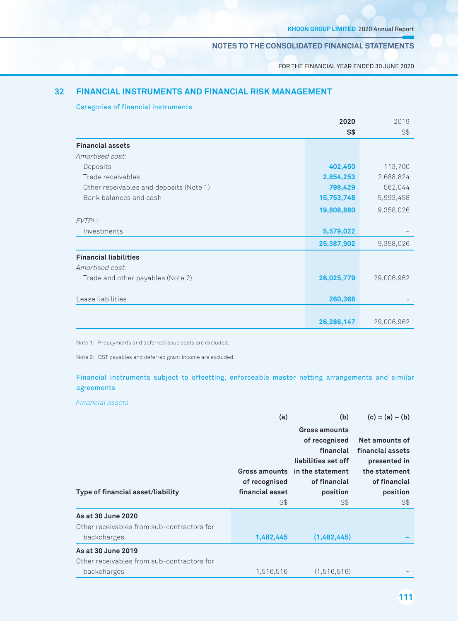FOR THE FINANCIAL YEAR ENDED 30 JUNE 2020

# **32 FiNANCiAL iNSTrumENTS ANd FiNANCiAL riSK mANAGEmENT**

#### Categories of financial instruments

|                                         | 2020       | 2019       |
|-----------------------------------------|------------|------------|
|                                         | $S*$       | S\$        |
| <b>Financial assets</b>                 |            |            |
| Amortised cost:                         |            |            |
| Deposits                                | 402,450    | 113,700    |
| Trade receivables                       | 2,854,253  | 2,688,824  |
| Other receivables and deposits (Note 1) | 798,429    | 562,044    |
| Bank balances and cash                  | 15,753,748 | 5,993,458  |
|                                         | 19,808,880 | 9,358,026  |
| FVTPL:                                  |            |            |
| Investments                             | 5,579,022  |            |
|                                         | 25,387,902 | 9,358,026  |
| <b>Financial liabilities</b>            |            |            |
| Amortised cost:                         |            |            |
| Trade and other payables (Note 2)       | 26,025,779 | 29,006,962 |
| Lease liabilities                       | 260,368    |            |
|                                         |            |            |
|                                         | 26,286,147 | 29,006,962 |
|                                         |            |            |

Note 1: Prepayments and deferred issue costs are excluded.

Note 2: GST payables and deferred grant income are excluded.

# Financial instruments subject to offsetting, enforceable master netting arrangements and similar agreements

Financial assets

|                                            | (a)             | (b)                            | $(c) = (a) - (b)$ |
|--------------------------------------------|-----------------|--------------------------------|-------------------|
|                                            |                 | Gross amounts                  |                   |
|                                            |                 | of recognised                  | Net amounts of    |
|                                            |                 | financial                      | financial assets  |
|                                            |                 | liabilities set off            | presented in      |
|                                            |                 | Gross amounts in the statement | the statement     |
|                                            | of recognised   | of financial                   | of financial      |
| Type of financial asset/liability          | financial asset | position                       | position          |
|                                            | $S$ \$          | S\$                            | S\$               |
| As at 30 June 2020                         |                 |                                |                   |
| Other receivables from sub-contractors for |                 |                                |                   |
| backcharges                                | 1,482,445       | (1,482,445)                    |                   |
| As at 30 June 2019                         |                 |                                |                   |
| Other receivables from sub-contractors for |                 |                                |                   |
| backcharges                                | 1,516,516       | (1,516,516)                    |                   |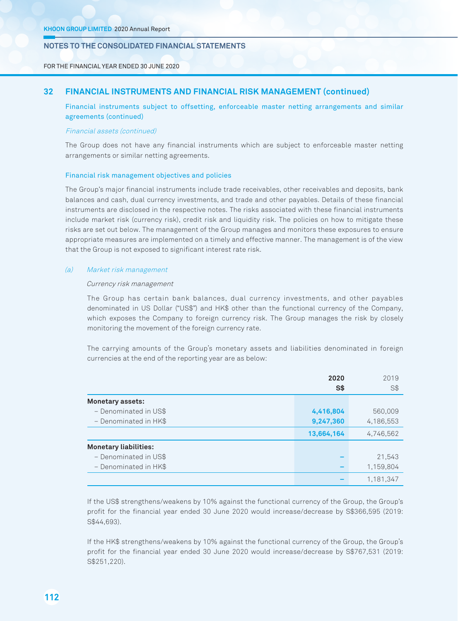FOR THE FINANCIAL YEAR ENDED 30 JUNE 2020

### **32 FiNANCiAL iNSTrumENTS ANd FiNANCiAL riSK mANAGEmENT (continued)**

Financial instruments subject to offsetting, enforceable master netting arrangements and similar agreements (continued)

#### Financial assets (continued)

The Group does not have any financial instruments which are subject to enforceable master netting arrangements or similar netting agreements.

#### Financial risk management objectives and policies

The Group's major financial instruments include trade receivables, other receivables and deposits, bank balances and cash, dual currency investments, and trade and other payables. Details of these financial instruments are disclosed in the respective notes. The risks associated with these financial instruments include market risk (currency risk), credit risk and liquidity risk. The policies on how to mitigate these risks are set out below. The management of the Group manages and monitors these exposures to ensure appropriate measures are implemented on a timely and effective manner. The management is of the view that the Group is not exposed to significant interest rate risk.

#### (a) Market risk management

#### Currency risk management

The Group has certain bank balances, dual currency investments, and other payables denominated in US Dollar ("US\$") and HK\$ other than the functional currency of the Company, which exposes the Company to foreign currency risk. The Group manages the risk by closely monitoring the movement of the foreign currency rate.

The carrying amounts of the Group's monetary assets and liabilities denominated in foreign currencies at the end of the reporting year are as below:

|                              | 2020       | 2019      |
|------------------------------|------------|-----------|
|                              | $S*$       | S\$       |
| <b>Monetary assets:</b>      |            |           |
| - Denominated in US\$        | 4,416,804  | 560,009   |
| - Denominated in HK\$        | 9,247,360  | 4,186,553 |
|                              | 13,664,164 | 4,746,562 |
| <b>Monetary liabilities:</b> |            |           |
| - Denominated in US\$        |            | 21,543    |
| - Denominated in HK\$        |            | 1,159,804 |
|                              |            | 1,181,347 |

If the US\$ strengthens/weakens by 10% against the functional currency of the Group, the Group's profit for the financial year ended 30 June 2020 would increase/decrease by S\$366,595 (2019: S\$44,693).

If the HK\$ strengthens/weakens by 10% against the functional currency of the Group, the Group's profit for the financial year ended 30 June 2020 would increase/decrease by S\$767,531 (2019: S\$251,220).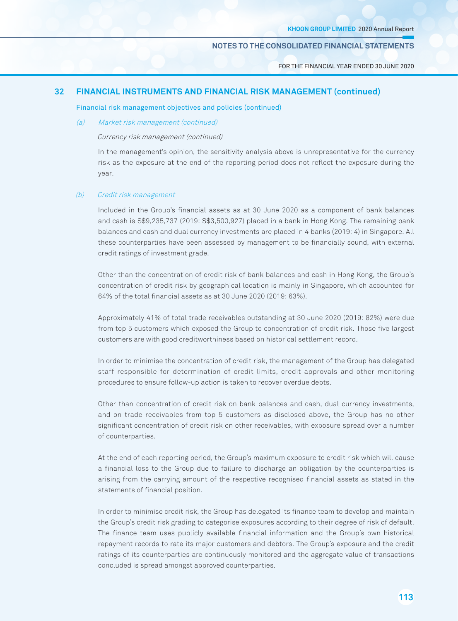FOR THE FINANCIAL YEAR ENDED 30 JUNE 2020

### **32 FiNANCiAL iNSTrumENTS ANd FiNANCiAL riSK mANAGEmENT (continued)**

Financial risk management objectives and policies (continued)

#### (a) Market risk management (continued)

Currency risk management (continued)

In the management's opinion, the sensitivity analysis above is unrepresentative for the currency risk as the exposure at the end of the reporting period does not reflect the exposure during the year.

#### (b) Credit risk management

Included in the Group's financial assets as at 30 June 2020 as a component of bank balances and cash is S\$9,235,737 (2019: S\$3,500,927) placed in a bank in Hong Kong. The remaining bank balances and cash and dual currency investments are placed in 4 banks (2019: 4) in Singapore. All these counterparties have been assessed by management to be financially sound, with external credit ratings of investment grade.

Other than the concentration of credit risk of bank balances and cash in Hong Kong, the Group's concentration of credit risk by geographical location is mainly in Singapore, which accounted for 64% of the total financial assets as at 30 June 2020 (2019: 63%).

Approximately 41% of total trade receivables outstanding at 30 June 2020 (2019: 82%) were due from top 5 customers which exposed the Group to concentration of credit risk. Those five largest customers are with good creditworthiness based on historical settlement record.

In order to minimise the concentration of credit risk, the management of the Group has delegated staff responsible for determination of credit limits, credit approvals and other monitoring procedures to ensure follow-up action is taken to recover overdue debts.

Other than concentration of credit risk on bank balances and cash, dual currency investments, and on trade receivables from top 5 customers as disclosed above, the Group has no other significant concentration of credit risk on other receivables, with exposure spread over a number of counterparties.

At the end of each reporting period, the Group's maximum exposure to credit risk which will cause a financial loss to the Group due to failure to discharge an obligation by the counterparties is arising from the carrying amount of the respective recognised financial assets as stated in the statements of financial position.

In order to minimise credit risk, the Group has delegated its finance team to develop and maintain the Group's credit risk grading to categorise exposures according to their degree of risk of default. The finance team uses publicly available financial information and the Group's own historical repayment records to rate its major customers and debtors. The Group's exposure and the credit ratings of its counterparties are continuously monitored and the aggregate value of transactions concluded is spread amongst approved counterparties.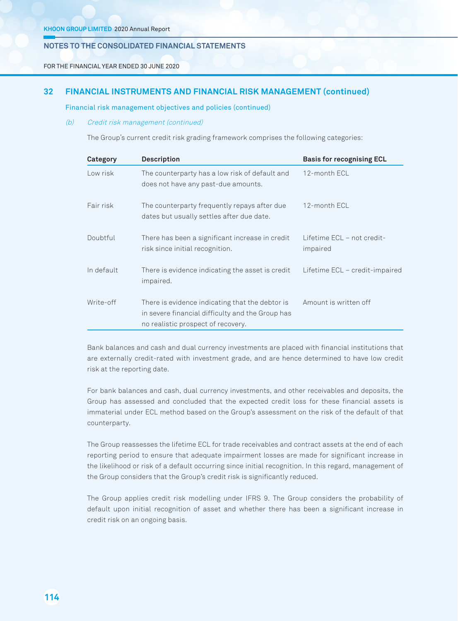FOR THE FINANCIAL YEAR ENDED 30 JUNE 2020

### **32 FiNANCiAL iNSTrumENTS ANd FiNANCiAL riSK mANAGEmENT (continued)**

Financial risk management objectives and policies (continued)

### (b) Credit risk management (continued)

The Group's current credit risk grading framework comprises the following categories:

| Category   | <b>Description</b>                                                                                                                        | <b>Basis for recognising ECL</b>       |
|------------|-------------------------------------------------------------------------------------------------------------------------------------------|----------------------------------------|
| Low risk   | The counterparty has a low risk of default and<br>does not have any past-due amounts.                                                     | 12-month ECL                           |
| Fair risk  | The counterparty frequently repays after due<br>dates but usually settles after due date.                                                 | 12-month ECL                           |
| Doubtful   | There has been a significant increase in credit<br>risk since initial recognition.                                                        | Lifetime ECL – not credit-<br>impaired |
| In default | There is evidence indicating the asset is credit<br>impaired.                                                                             | Lifetime ECL – credit-impaired         |
| Write-off  | There is evidence indicating that the debtor is<br>in severe financial difficulty and the Group has<br>no realistic prospect of recovery. | Amount is written off                  |

Bank balances and cash and dual currency investments are placed with financial institutions that are externally credit-rated with investment grade, and are hence determined to have low credit risk at the reporting date.

For bank balances and cash, dual currency investments, and other receivables and deposits, the Group has assessed and concluded that the expected credit loss for these financial assets is immaterial under ECL method based on the Group's assessment on the risk of the default of that counterparty.

The Group reassesses the lifetime ECL for trade receivables and contract assets at the end of each reporting period to ensure that adequate impairment losses are made for significant increase in the likelihood or risk of a default occurring since initial recognition. In this regard, management of the Group considers that the Group's credit risk is significantly reduced.

The Group applies credit risk modelling under IFRS 9. The Group considers the probability of default upon initial recognition of asset and whether there has been a significant increase in credit risk on an ongoing basis.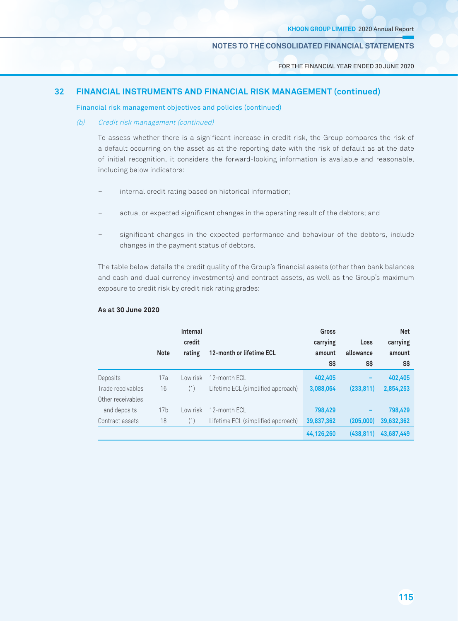FOR THE FINANCIAL YEAR ENDED 30 JUNE 2020

### **32 FiNANCiAL iNSTrumENTS ANd FiNANCiAL riSK mANAGEmENT (continued)**

#### Financial risk management objectives and policies (continued)

#### (b) Credit risk management (continued)

To assess whether there is a significant increase in credit risk, the Group compares the risk of a default occurring on the asset as at the reporting date with the risk of default as at the date of initial recognition, it considers the forward-looking information is available and reasonable, including below indicators:

- internal credit rating based on historical information;
- actual or expected significant changes in the operating result of the debtors; and
- significant changes in the expected performance and behaviour of the debtors, include changes in the payment status of debtors.

The table below details the credit quality of the Group's financial assets (other than bank balances and cash and dual currency investments) and contract assets, as well as the Group's maximum exposure to credit risk by credit risk rating grades:

|                   | <b>Note</b>     | Internal<br>credit<br>rating | 12-month or lifetime ECL           | Gross<br>carrying<br>amount<br>S\$ | Loss<br>allowance<br>S\$ | <b>Net</b><br>carrying<br>amount<br>S\$ |
|-------------------|-----------------|------------------------------|------------------------------------|------------------------------------|--------------------------|-----------------------------------------|
| Deposits          | 17a             | Low risk                     | 12-month FCL                       | 402,405                            |                          | 402,405                                 |
| Trade receivables | 16              | (1)                          | Lifetime ECL (simplified approach) | 3,088,064                          | (233, 811)               | 2,854,253                               |
| Other receivables |                 |                              |                                    |                                    |                          |                                         |
| and deposits      | 17 <sub>b</sub> | Low risk                     | 12-month ECL                       | 798,429                            | -                        | 798,429                                 |
| Contract assets   | 18              | (1)                          | Lifetime ECL (simplified approach) | 39,837,362                         | (205,000)                | 39,632,362                              |
|                   |                 |                              |                                    | 44,126,260                         | (438, 811)               | 43.687.449                              |

#### **As at 30 June 2020**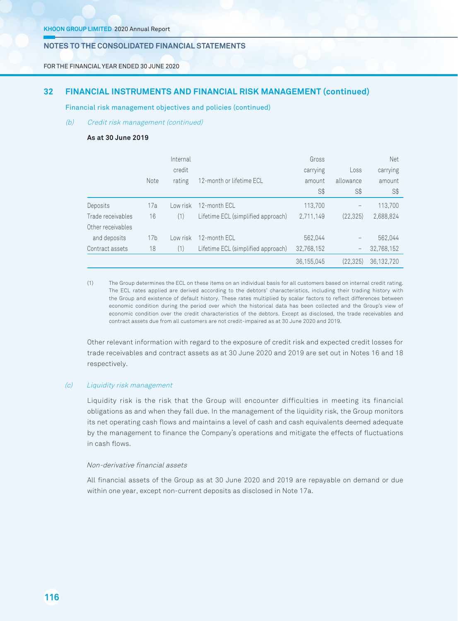FOR THE FINANCIAL YEAR ENDED 30 JUNE 2020

# **32 FiNANCiAL iNSTrumENTS ANd FiNANCiAL riSK mANAGEmENT (continued)**

Financial risk management objectives and policies (continued)

#### (b) Credit risk management (continued)

# **As at 30 June 2019**

|                   |                 | Internal |                                    | Gross      |                   | Net        |
|-------------------|-----------------|----------|------------------------------------|------------|-------------------|------------|
|                   |                 | credit   |                                    | carrying   | Loss              | carrying   |
|                   | Note            | rating   | 12-month or lifetime ECL           | amount     | allowance         | amount     |
|                   |                 |          |                                    | S\$        | S\$               | S\$        |
| Deposits          | 17a             | Low risk | 12-month ECL                       | 113,700    |                   | 113,700    |
| Trade receivables | 16              | (1)      | Lifetime ECL (simplified approach) | 2,711,149  | (22, 325)         | 2,688,824  |
| Other receivables |                 |          |                                    |            |                   |            |
| and deposits      | 17 <sub>b</sub> | Low risk | 12-month ECL                       | 562.044    |                   | 562.044    |
| Contract assets   | 18              | (1)      | Lifetime ECL (simplified approach) | 32,768,152 | $\qquad \qquad -$ | 32,768,152 |
|                   |                 |          |                                    | 36,155,045 | (22, 325)         | 36,132,720 |

(1) The Group determines the ECL on these items on an individual basis for all customers based on internal credit rating. The ECL rates applied are derived according to the debtors' characteristics, including their trading history with the Group and existence of default history. These rates multiplied by scalar factors to reflect differences between economic condition during the period over which the historical data has been collected and the Group's view of economic condition over the credit characteristics of the debtors. Except as disclosed, the trade receivables and contract assets due from all customers are not credit-impaired as at 30 June 2020 and 2019.

Other relevant information with regard to the exposure of credit risk and expected credit losses for trade receivables and contract assets as at 30 June 2020 and 2019 are set out in Notes 16 and 18 respectively.

### (c) Liquidity risk management

Liquidity risk is the risk that the Group will encounter difficulties in meeting its financial obligations as and when they fall due. In the management of the liquidity risk, the Group monitors its net operating cash flows and maintains a level of cash and cash equivalents deemed adequate by the management to finance the Company's operations and mitigate the effects of fluctuations in cash flows.

#### Non-derivative financial assets

All financial assets of the Group as at 30 June 2020 and 2019 are repayable on demand or due within one year, except non-current deposits as disclosed in Note 17a.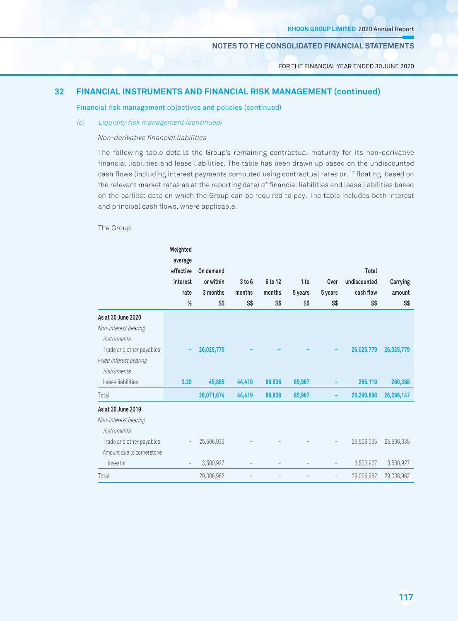FOR THE FINANCIAL YEAR ENDED 30 JUNE 2020

# **32 FiNANCiAL iNSTrumENTS ANd FiNANCiAL riSK mANAGEmENT (continued)**

Financial risk management objectives and policies (continued)

#### (c) Liquidity risk management (continued)

Non-derivative financial liabilities

The following table details the Group's remaining contractual maturity for its non-derivative financial liabilities and lease liabilities. The table has been drawn up based on the undiscounted cash flows (including interest payments computed using contractual rates or, if floating, based on the relevant market rates as at the reporting date) of financial liabilities and lease liabilities based on the earliest date on which the Group can be required to pay. The table includes both interest and principal cash flows, where applicable.

The Group

|                           | Weighted                         |                        |                          |                   |         |                          |                       |            |
|---------------------------|----------------------------------|------------------------|--------------------------|-------------------|---------|--------------------------|-----------------------|------------|
|                           | average<br>effective<br>interest | On demand<br>or within | 3 to 6                   | 6 to 12           | 1 to    | Over                     | Total<br>undiscounted | Carrying   |
|                           | rate                             | 3 months               | months                   | months            | 5 years | 5 years                  | cash flow             | amount     |
|                           | %                                | S\$                    | S\$                      | $S*$              | S\$     | S\$                      | S\$                   | S\$        |
| As at 30 June 2020        |                                  |                        |                          |                   |         |                          |                       |            |
| Non-interest bearing      |                                  |                        |                          |                   |         |                          |                       |            |
| instruments               |                                  |                        |                          |                   |         |                          |                       |            |
| Trade and other payables  |                                  | 26,025,779             |                          |                   |         |                          | 26,025,779            | 26,025,779 |
| Fixed interest bearing    |                                  |                        |                          |                   |         |                          |                       |            |
| <i>instruments</i>        |                                  |                        |                          |                   |         |                          |                       |            |
| Lease liabilities         | 2.29                             | 45,895                 | 44,419                   | 88,838            | 85,967  |                          | 265,119               | 260,368    |
| Total                     |                                  | 26,071,674             | 44,419                   | 88,838            | 85,967  |                          | 26,290,898            | 26,286,147 |
| As at 30 June 2019        |                                  |                        |                          |                   |         |                          |                       |            |
| Non-interest bearing      |                                  |                        |                          |                   |         |                          |                       |            |
| <i>instruments</i>        |                                  |                        |                          |                   |         |                          |                       |            |
| Trade and other payables  |                                  | 25,506,035             |                          |                   |         |                          | 25,506,035            | 25,506,035 |
| Amount due to cornerstone |                                  |                        |                          |                   |         |                          |                       |            |
| investor                  | $\qquad \qquad -$                | 3,500,927              | $\overline{\phantom{0}}$ | $\qquad \qquad -$ |         | $\overline{\phantom{a}}$ | 3,500,927             | 3,500,927  |
| Total                     |                                  | 29,006,962             |                          |                   |         |                          | 29,006,962            | 29,006,962 |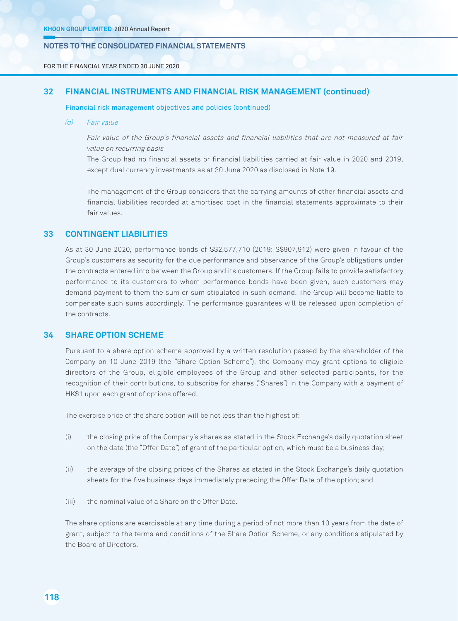FOR THE FINANCIAL YEAR ENDED 30 JUNE 2020

### **32 FiNANCiAL iNSTrumENTS ANd FiNANCiAL riSK mANAGEmENT (continued)**

Financial risk management objectives and policies (continued)

#### (d) Fair value

Fair value of the Group's financial assets and financial liabilities that are not measured at fair value on recurring basis

The Group had no financial assets or financial liabilities carried at fair value in 2020 and 2019, except dual currency investments as at 30 June 2020 as disclosed in Note 19.

The management of the Group considers that the carrying amounts of other financial assets and financial liabilities recorded at amortised cost in the financial statements approximate to their fair values.

# **33 CONTiNGENT LiABiLiTiES**

As at 30 June 2020, performance bonds of S\$2,577,710 (2019: S\$907,912) were given in favour of the Group's customers as security for the due performance and observance of the Group's obligations under the contracts entered into between the Group and its customers. If the Group fails to provide satisfactory performance to its customers to whom performance bonds have been given, such customers may demand payment to them the sum or sum stipulated in such demand. The Group will become liable to compensate such sums accordingly. The performance guarantees will be released upon completion of the contracts.

### **34 ShArE OpTiON SChEmE**

Pursuant to a share option scheme approved by a written resolution passed by the shareholder of the Company on 10 June 2019 (the "Share Option Scheme"), the Company may grant options to eligible directors of the Group, eligible employees of the Group and other selected participants, for the recognition of their contributions, to subscribe for shares ("Shares") in the Company with a payment of HK\$1 upon each grant of options offered.

The exercise price of the share option will be not less than the highest of:

- (i) the closing price of the Company's shares as stated in the Stock Exchange's daily quotation sheet on the date (the "Offer Date") of grant of the particular option, which must be a business day;
- (ii) the average of the closing prices of the Shares as stated in the Stock Exchange's daily quotation sheets for the five business days immediately preceding the Offer Date of the option; and
- (iii) the nominal value of a Share on the Offer Date.

The share options are exercisable at any time during a period of not more than 10 years from the date of grant, subject to the terms and conditions of the Share Option Scheme, or any conditions stipulated by the Board of Directors.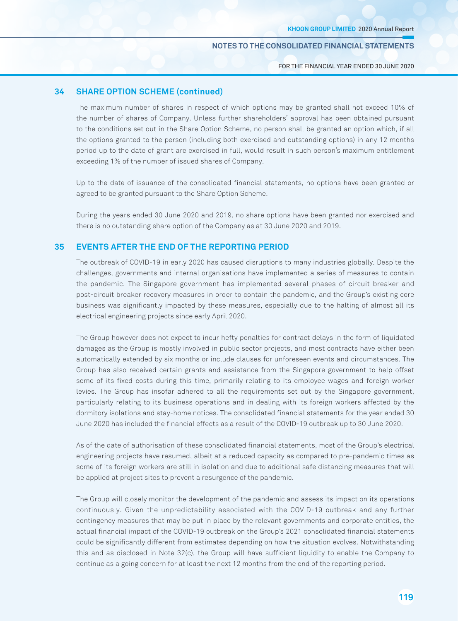FOR THE FINANCIAL YEAR ENDED 30 JUNE 2020

### **34 ShArE OpTiON SChEmE (continued)**

The maximum number of shares in respect of which options may be granted shall not exceed 10% of the number of shares of Company. Unless further shareholders' approval has been obtained pursuant to the conditions set out in the Share Option Scheme, no person shall be granted an option which, if all the options granted to the person (including both exercised and outstanding options) in any 12 months period up to the date of grant are exercised in full, would result in such person's maximum entitlement exceeding 1% of the number of issued shares of Company.

Up to the date of issuance of the consolidated financial statements, no options have been granted or agreed to be granted pursuant to the Share Option Scheme.

During the years ended 30 June 2020 and 2019, no share options have been granted nor exercised and there is no outstanding share option of the Company as at 30 June 2020 and 2019.

# **35 EVENTS AFTEr ThE ENd OF ThE rEpOrTiNG pEriOd**

The outbreak of COVID-19 in early 2020 has caused disruptions to many industries globally. Despite the challenges, governments and internal organisations have implemented a series of measures to contain the pandemic. The Singapore government has implemented several phases of circuit breaker and post-circuit breaker recovery measures in order to contain the pandemic, and the Group's existing core business was significantly impacted by these measures, especially due to the halting of almost all its electrical engineering projects since early April 2020.

The Group however does not expect to incur hefty penalties for contract delays in the form of liquidated damages as the Group is mostly involved in public sector projects, and most contracts have either been automatically extended by six months or include clauses for unforeseen events and circumstances. The Group has also received certain grants and assistance from the Singapore government to help offset some of its fixed costs during this time, primarily relating to its employee wages and foreign worker levies. The Group has insofar adhered to all the requirements set out by the Singapore government, particularly relating to its business operations and in dealing with its foreign workers affected by the dormitory isolations and stay-home notices. The consolidated financial statements for the year ended 30 June 2020 has included the financial effects as a result of the COVID-19 outbreak up to 30 June 2020.

As of the date of authorisation of these consolidated financial statements, most of the Group's electrical engineering projects have resumed, albeit at a reduced capacity as compared to pre-pandemic times as some of its foreign workers are still in isolation and due to additional safe distancing measures that will be applied at project sites to prevent a resurgence of the pandemic.

The Group will closely monitor the development of the pandemic and assess its impact on its operations continuously. Given the unpredictability associated with the COVID-19 outbreak and any further contingency measures that may be put in place by the relevant governments and corporate entities, the actual financial impact of the COVID-19 outbreak on the Group's 2021 consolidated financial statements could be significantly different from estimates depending on how the situation evolves. Notwithstanding this and as disclosed in Note 32(c), the Group will have sufficient liquidity to enable the Company to continue as a going concern for at least the next 12 months from the end of the reporting period.